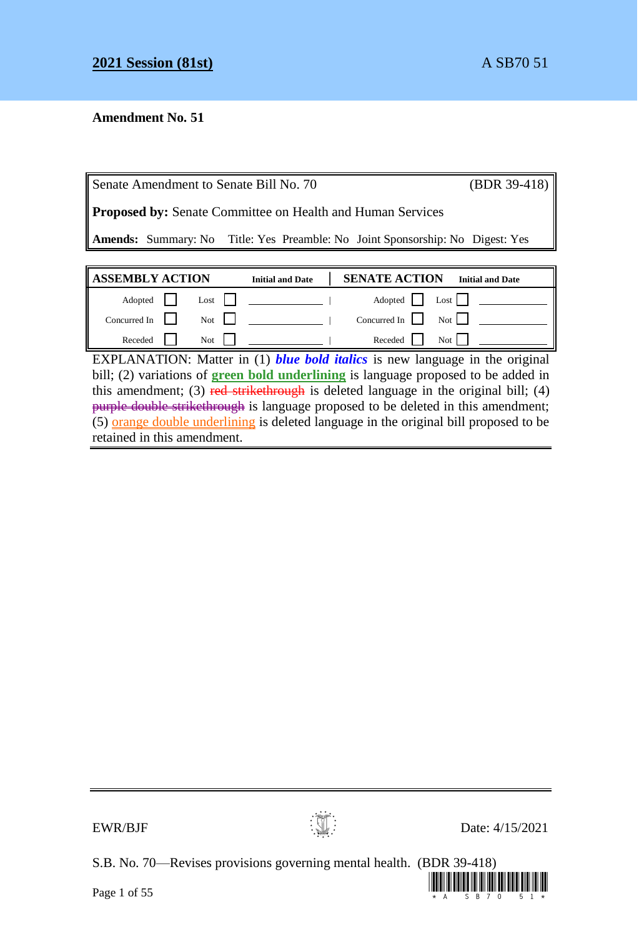# **Amendment No. 51**

| Senate Amendment to Senate Bill No. 70                            |                                                                                      |                         |                      | $(BDR 39-418)$          |
|-------------------------------------------------------------------|--------------------------------------------------------------------------------------|-------------------------|----------------------|-------------------------|
| <b>Proposed by:</b> Senate Committee on Health and Human Services |                                                                                      |                         |                      |                         |
|                                                                   | <b>Amends:</b> Summary: No Title: Yes Preamble: No Joint Sponsorship: No Digest: Yes |                         |                      |                         |
|                                                                   |                                                                                      |                         |                      |                         |
|                                                                   |                                                                                      |                         |                      |                         |
| <b>ASSEMBLY ACTION</b>                                            |                                                                                      | <b>Initial and Date</b> | <b>SENATE ACTION</b> | <b>Initial and Date</b> |
| Adopted                                                           | Lost                                                                                 |                         | Adopted              | $\text{Last}$           |
| Concurred In                                                      | Not                                                                                  |                         | Concurred In         | Not 1                   |

EXPLANATION: Matter in (1) *blue bold italics* is new language in the original bill; (2) variations of **green bold underlining** is language proposed to be added in this amendment; (3) red strikethrough is deleted language in the original bill; (4) purple double strikethrough is language proposed to be deleted in this amendment;  $(5)$  orange double underlining is deleted language in the original bill proposed to be retained in this amendment.



S.B. No. 70—Revises provisions governing mental health. (BDR 39-418)

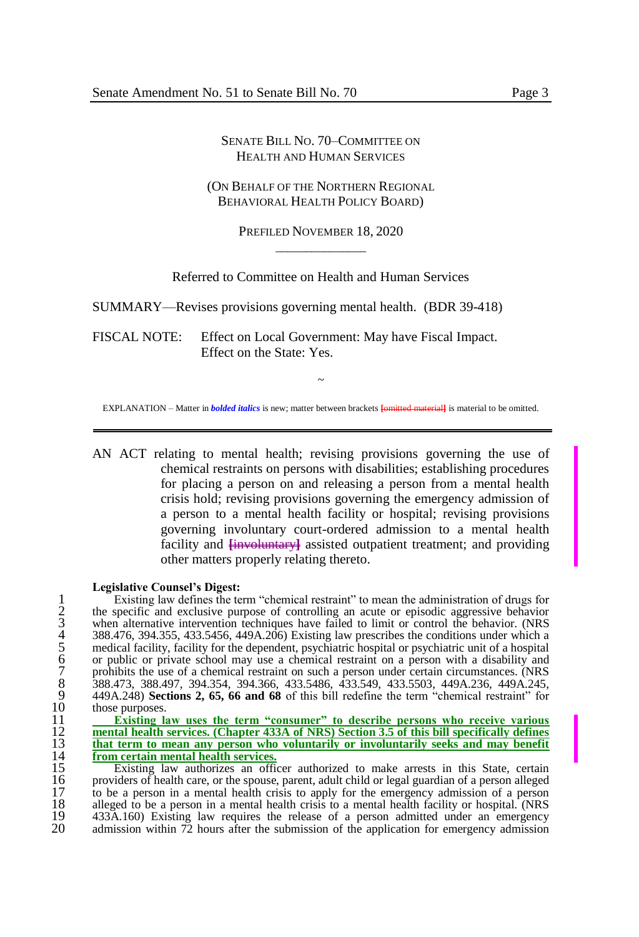#### SENATE BILL NO. 70–COMMITTEE ON HEALTH AND HUMAN SERVICES

#### (ON BEHALF OF THE NORTHERN REGIONAL BEHAVIORAL HEALTH POLICY BOARD)

PREFILED NOVEMBER 18, 2020  $\overline{\phantom{a}}$  , where  $\overline{\phantom{a}}$ 

Referred to Committee on Health and Human Services

SUMMARY—Revises provisions governing mental health. (BDR 39-418)

FISCAL NOTE: Effect on Local Government: May have Fiscal Impact. Effect on the State: Yes.

~ EXPLANATION – Matter in *bolded italics* is new; matter between brackets **[**omitted material**]** is material to be omitted.

AN ACT relating to mental health; revising provisions governing the use of chemical restraints on persons with disabilities; establishing procedures for placing a person on and releasing a person from a mental health crisis hold; revising provisions governing the emergency admission of a person to a mental health facility or hospital; revising provisions governing involuntary court-ordered admission to a mental health facility and  $\frac{1}{2}$  **[involuntary]** assisted outpatient treatment; and providing other matters properly relating thereto.

#### **Legislative Counsel's Digest:**

Existing law defines the term "chemical restraint" to mean the administration of drugs for<br>the specific and exclusive purpose of controlling an acute or episodic aggressive behavior<br>when alternative intervention techniques 2 the specific and exclusive purpose of controlling an acute or episodic aggressive behavior when alternative intervention techniques have failed to limit or control the behavior. (NRS 4 388.476, 394.355, 433.5456, 449A.206) Existing law prescribes the conditions under which a 5 medical facility, facility for the dependent, psychiatric hospital or psychiatric unit of a hospital or public or private school may use a chemical restraint on a person with a disability and prohibits the use of a chemical restraint on such a person under certain circumstances. (NRS 8 388.473, 388.497, 394.354, 394.366, 433.5486, 433.549, 433.5503, 449A.236, 449A.245, 9 449A.248) **Sections 2, 65, 66 and 68** of this bill redefine the term "chemical restraint" for  $10$  those purposes.<br> $11$  **Existing I** 

 **Existing law uses the term "consumer" to describe persons who receive various mental health services. (Chapter 433A of NRS) Section 3.5 of this bill specifically defines that term to mean any person who voluntarily or involuntarily seeks and may benefit**<br>
14 **from certain mental health services.**<br>
15 Existing law authorizes an officer authorized to make arrests in this State, certain **from certain mental health services.**

15 Existing law authorizes an officer authorized to make arrests in this State, certain 16 providers of health care, or the spouse, parent, adult child or legal guardian of a person alleged<br>17 to be a person in a mental health crisis to apply for the emergency admission of a person 17 to be a person in a mental health crisis to apply for the emergency admission of a person 18 alleged to be a person in a mental health crisis to a mental health facility or hospital. (NRS 18 alleged to be a person in a mental health crisis to a mental health facility or hospital. (NRS 19 433A.160) Existing law requires the release of a person admitted under an emergency<br>20 admission within 72 hours after the submission of the application for emergency admission admission within  $72$  hours after the submission of the application for emergency admission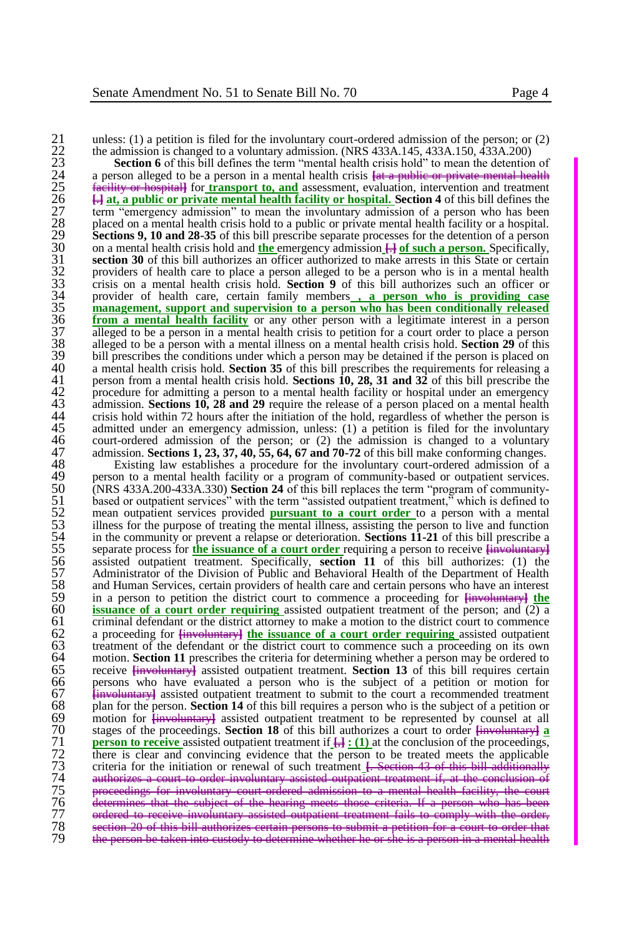22 the admission is changed to a voluntary admission. (NRS 433A.145, 433A.150, 433A.200)

21 unless: (1) a petition is filed for the involuntary court-ordered admission of the person; or (2)<br>
22 the admission is changed to a voluntary admission. (NRS 433A.145, 433A.150, 433A.200)<br>
23 **Section 6** of this bill d **Section 6** of this bill defines the term "mental health crisis hold" to mean the detention of 24 a person alleged to be a person in a mental health crisis **[**at a public or private mental health ility or hospital] for *transport to, and* assessment, evaluation, intervention and treatment 26 **[**.**] at, a public or private mental health facility or hospital. Section 4** of this bill defines the 27 term "emergency admission" to mean the involuntary admission of a person who has been 28 placed on a mental health crisis hold to a public or private mental health facility or a hospital. **Sections 9, 10 and 28-35** of this bill prescribe separate processes for the detention of a person 30 on a mental health crisis hold and **the** emergency admission **[**.**] of such a person.** Specifically, section 30 of this bill authorizes an officer authorized to make arrests in this State or certain 32 providers of health care to place a person alleged to be a person who is in a mental health crisis hold. **Section 9** of this bill authorizes such an officer or provider of health care, certain family members  $\overline{\phantom{a}}$ 33 crisis on a mental health crisis hold. **Section 9** of this bill authorizes such an officer or 34 provider of health care, certain family members **, a person who is providing case 35 management, support and supervision to a person who has been conditionally released**<br>36 **from a mental health facility** or any other person with a legitimate interest in a person<br>37 alleged to be a person in a mental **from a mental health facility** or any other person with a legitimate interest in a person  $\frac{37}{38}$  alleged to be a person in a mental health crisis to petition for a court order to place a person alleged to be a person with a mental illness on a mental health crisis hold. **Section 29** of this 38 alleged to be a person with a mental illness on a mental health crisis hold. **Section 29** of this  $39$  bill prescribes the conditions under which a person may be detained if the person is placed on a mental health crisis hold. **Section 35** of this bill prescribes the requirements for releasing a 40 a mental health crisis hold. **Section 35** of this bill prescribes the requirements for releasing a 41 person from a mental health crisis hold. **Sections 10, 28, 31 and 32** of this bill prescribe the procedure for admitting a person to a mental health facility or hospital under an emergency admission. **Sections 10, 28 an** procedure for admitting a person to a mental health facility or hospital under an emergency <sup>1</sup> admission. **Sections 10, 28 and 29** require the release of a person placed on a mental health crisis hold within 72 hours after the initiation of the hold, regardless of whether the person is 44 crisis hold within 72 hours after the initiation of the hold, regardless of whether the person is<br>45 admitted under an emergency admission, unless: (1) a petition is filed for the involuntary<br>46 court-ordered admission admitted under an emergency admission, unless: (1) a petition is filed for the involuntary 46 court-ordered admission of the person; or (2) the admission is changed to a voluntary<br>47 admission **Sections 1, 23, 37, 40, 55, 64, 67 and 70-72** of this bill make conforming changes. 47 admission. **Sections 1, 23, 37, 40, 55, 64, 67 and 70-72** of this bill make conforming changes.<br>48 Existing law establishes a procedure for the involuntary court-ordered admission of a

48 Existing law establishes a procedure for the involuntary court-ordered admission of a 49 person to a mental health facility or a program of community-based or outpatient services.<br>50 (NRS 433A.200-433A.330) **Section 24** of this bill replaces the term "program of community-50 (NRS 433A.200-433A.330) **Section 24** of this bill replaces the term "program of community-51 based or outpatient services" with the term "assisted outpatient treatment," which is defined to mean outpatient services provided **pursuant to a court order** to a person with a mental illness for the purpose of treati 52 mean outpatient services provided **pursuant to a court order** to a person with a mental 53 illness for the purpose of treating the mental illness, assisting the person to live and function in the community or prevent a relapse or deterioration. **Sections 11-21** of this bill prescribe a 54 in the community or prevent a relapse or deterioration. **Sections 11-21** of this bill prescribe a separate process for the issuance of a court order requiring a person to receive  $\frac{1}{2}$  the separate process for the i 55 separate process for **the issuance of a court order** requiring a person to receive **[**involuntary**]** 56 assisted outpatient treatment. Specifically, **section 11** of this bill authorizes: (1) the 57 Administrator of the Division of Public and Behavioral Health of the Department of Health 58 and Human Services, certain providers of health care and certain persons who have an interest<br>59 in a person to petition the district court to commence a proceeding for <del>lingularity</del> 59 in a person to petition the district court to commence a proceeding for **[**involuntary**] the**  60 **issuance of a court order requiring** assisted outpatient treatment of the person; and  $(2)$  a criminal defendant or the district attorney to make a motion to the district court to commence 61 criminal defendant or the district attorney to make a motion to the district court to commence a proceeding for  $\frac{1}{2}$  fine issuance of a court order requiring assisted outpatient 62 a proceeding for **[**involuntary**] the issuance of a court order requiring** assisted outpatient 63 treatment of the defendant or the district court to commence such a proceeding on its own motion. **Section 11** prescribes the criteria for determining whether a person may be ordered to 64 motion. **Section 11** prescribes the criteria for determining whether a person may be ordered to 65 receive **[**involuntary**]** assisted outpatient treatment. **Section 13** of this bill requires certain 66 persons who have evaluated a person who is the subject of a petition or motion for  $67$  Hinvoluntary assisted outpatient treatment to submit to the court a recommended treatment 67 *involuntary* assisted outpatient treatment to submit to the court a recommended treatment 68 plan for the person. **Section 14** of this bill requires a person who is the subject of a petition or **68** plan for the person. **Section 14** of this bill requires a person who is the subject of a petition or motion for  $\frac{1}{2}$  motion for  $\frac{1}{2}$  assisted outpatient treatment to be represented by counsel at all 69 motion for  $\frac{1}{2}$  motion for  $\frac{1}{2}$  assisted outpatient treatment to be represented by counsel at all stages of the proceedings. **Section 18** of this bill authorizes a court to order  $\frac{1}{2}$  **person to receive** 70 stages of the proceedings. **Section 18** of this bill authorizes a court to order **[**involuntary**] a**  71 **person to receive** assisted outpatient treatment if  $\frac{1}{\sqrt{2}}$  **:** (1) at the conclusion of the proceedings, there is clear and convincing evidence that the person to be treated meets the applicable There is clear and convincing evidence that the person to be treated meets the applicable<br>
There is clear and convincing evidence that the person to be treated meets the applicable<br>
authorizes a court to order involuntary criteria for the initiation or renewal of such treatment **[**. Section 43 of this bill additionally expressed outportion treatment if at the conclusion rt to order involuntary assisted outpatient treatm<br>involuntary court ordered admission to a ment admission to a mental health facility,<br>meets those criteria. If a person whe 76 determines that the subject of the hearing meets those criteria. If a person who has been 77 ordered to receive involuntary assisted outpatient treatment fails to comply with the order, 78 section 20 of this bill authorizes certain persons to submit a petition for a court to order that 79 the person be taken into custody to determine whether he or she is a person in a mental health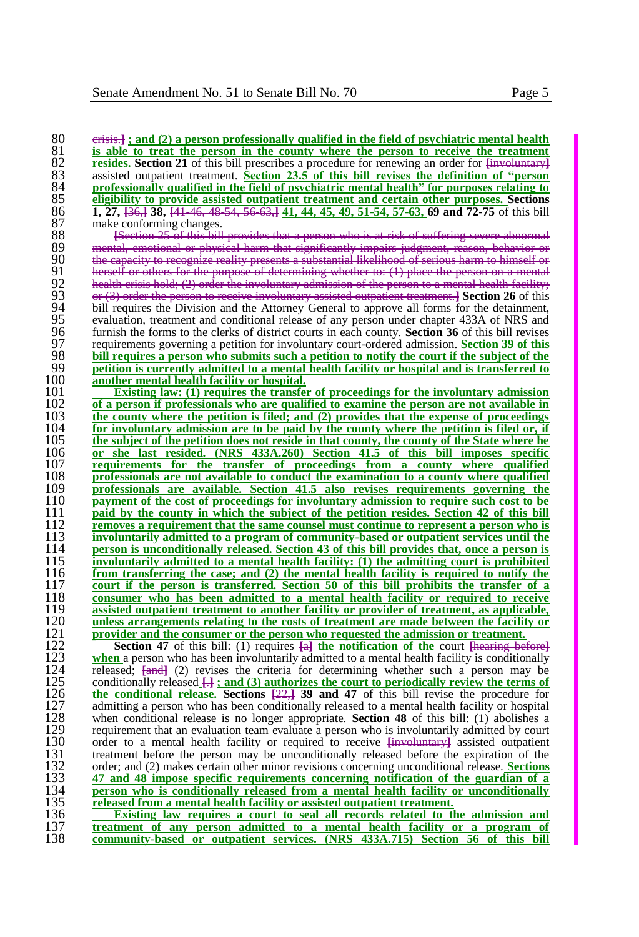crisis.**] ; and (2) a person professionally qualified in the field of psychiatric mental health is able to treat the person in the county where the person to receive the treatment <sup>82</sup> <b>is able to treat the person in the county where the person to receive the treatment <sup>82</sup> resides. Section 21** of this bill prescribes a procedure for renewing an order for  $\frac{1}{283}$  assisted outpatient treatment. Section 23.5 of this bill revises the definition of "person assisted outpatient treatment. **Section 23.5 of this bill revises the definition of "person**  <u>professionally qualified in the field of psychiatric mental health" for purposes relating to</u><br>85 **eligibility to provide assisted outpatient treatment and certain other purposes. Sections eligibility to provide assisted outpatient treatment and certain other purposes. Sections 1, 27, [**36,**] 38, [**41-46, 48-54, 56-63,**] 41, 44, 45, 49, 51-54, 57-63, 69 and 72-75** of this bill 87 make conforming changes.<br>88 <del>Section 25 of this bill</del> **[**Section 25 of this bill provides that a person who is at risk of suffering severe abnormal<br>89 **meatal, emotional or physical harm that significantly impairs judgment, reason, behavior or**<br>00 the conceitute set in the mental, emotional or physical harm that significantly impairs judgment, reason, behavior or 90 the capacity to recognize reality presents a substantial likelihood of serious harm to himself or **herself or others for the purpose of determining whether to: (1) place the person on a mental<br>92** health crisis hold: (2) order the involuntary admission of the person to a mental health facility: 92 health crisis hold; (2) order the involuntary admission of the person to a mental health facility;<br>93 or (3) order the person to receive involuntary assisted outpatient treatment. **Section 26** of this 93 or (3) order the person to receive involuntary assisted outpatient of the person to the section 26 **b**  $\frac{1}{2}$  **Section** 26 *of the Stromev General to approximate* 94 bill requires the Division and the Attorney General to approve all forms for the detainment,<br>95 evaluation, treatment and conditional release of any person under chapter 433A of NRS and 95 evaluation, treatment and conditional release of any person under chapter 433A of NRS and 96 furnish the forms to the clerks of district courts in each county. **Section 36** of this bill revises furnish the forms to the clerks of district courts in each county. **Section 36** of this bill revises requirements governing a petition for involuntary court-ordered admission. **Section 39 of this bill requires a person who submits such a petition to notify the court if the subject of the**  99 **petition is currently admitted to a mental health facility or hospital and is transferred to** 

100 **another mental health facility or hospital.**<br>
101 **Existing law**: (1) requires the transfer

**Existing law: (1) requires the transfer of proceedings for the involuntary admission**  $102$  **of a person if professionals who are qualified to examine the person are not available in of a person if professionals who are qualified to examine the person are not available in the county where the petition is filed; and (2) provides that the expense of proceedings for involuntary admission are to be paid by the county where the petition is filed or, if the subject of the petition does not reside in that county, the county of the State where he <br>106 <b>or** she last resided. (NRS 433A.260) Section 41.5 of this bill imposes specific **or she last resided. (NRS 433A.260) Section 41.5 of this bill imposes specific requirements for the transfer of proceedings from a county where qualified professionals are not available to conduct the examination to a county where qualified professionals are available. Section 41.5 also revises requirements governing the payment of the cost of proceedings for involuntary admission to require such cost to be** 111 **paid by the county in which the subject of the petition resides. Section 42 of this bill paid by the county in which the subject of the petition resides. Section 42 of this bill removes a requirement that the same counsel must continue to represent a person who is removes a requirement that the same counsel must continue to represent a person who is involuntarily admitted to a program of community-based or outpatient services until the person is unconditionally released. Section 43 of this bill provides that, once a person is involuntarily admitted to a mental health facility: (1) the admitting court is prohibited from transferring the case; and (2) the mental health facility is required to notify the court if the person is transferred. Section 50 of this bill prohibits the transfer of a consumer who has been admitted to a mental health facility or required to receive assisted outpatient treatment to another facility or provider of treatment, as applicable, unless arrangements relating to the costs of treatment are made between the facility or provider and the consumer or the person who requested the admission or treatment. provider and the consumer or the person who requested the admission or treatment.**<br>122 **Section 47** of this bill: (1) requires  $\frac{1}{2}$  the notification of the court  $\frac{1}{2}$ 

**Section 47** of this bill: (1) requires  $\frac{1}{2}$  **herearch interpretation of the court flearing before** 123 when a person who has been involuntarily admitted to a mental health facility is condition 124 released;  $\frac{1}{2}$ when a person who has been involuntarily admitted to a mental health facility is conditionally 124 released;  $\frac{1}{2}$  revises the criteria for determining whether such a person may be conditionally released  $\frac{1}{2}$ : and (3) authorizes the court to periodically review the terms of 125 conditionally released  $\frac{1}{2}$ ; and (3) authorizes the court to periodically review the terms of the conditional release. Sections  $\frac{22}{2}$  39 and 47 of this bill revise the procedure for admitting a person who has 126 **the conditional release. Sections [**22,**] 39 and 47** of this bill revise the procedure for 127 admitting a person who has been conditionally released to a mental health facility or hospital 128 when conditional release is no longer appropriate. **Section 48** of this bill: (1) abolishes a 128 when conditional release is no longer appropriate. **Section 48** of this bill: (1) abolishes a<br>129 requirement that an evaluation team evaluate a person who is involuntarily admitted by court 129 requirement that an evaluation team evaluate a person who is involuntarily admitted by court 130 order to a mental health facility or required to receive  $\frac{1}{2}$  assisted outpatient 130 order to a mental health facility or required to receive  $\frac{1}{2}$  assisted outpatient 131 treatment before the person may be unconditionally released before the expiration of the 131 treatment before the person may be unconditionally released before the expiration of the order; and (2) makes certain other minor revisions concerning unconditional release. **Sections** 132 order; and (2) makes certain other minor revisions concerning unconditional release. **Sections**  133 **47 and 48 impose specific requirements concerning notification of the guardian of a**  134 **person who is conditionally released from a mental health facility or unconditionally**  135 **released from a mental health facility or assisted outpatient treatment.**

136 **Existing law requires a court to seal all records related to the admission and**  137 **treatment of any person admitted to a mental health facility or a program of**  community-based or outpatient services. (NRS 433A.715) Section 56 of this bill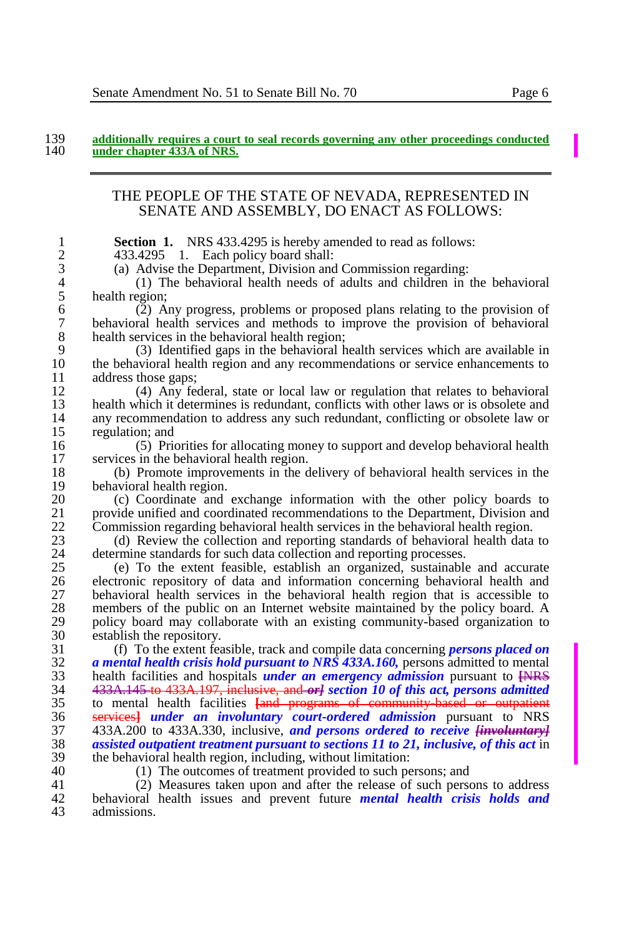### 139 **additionally requires a court to seal records governing any other proceedings conducted**  under chapter 433A of NRS.

## THE PEOPLE OF THE STATE OF NEVADA, REPRESENTED IN SENATE AND ASSEMBLY, DO ENACT AS FOLLOWS:

**1 Section 1.** NRS 433.4295 is hereby amended to read as follows:<br>2 **433.4295** 1. Each policy board shall:

2 433.4295 1. Each policy board shall:<br>3 (a) Advise the Department. Division and

3 (a) Advise the Department, Division and Commission regarding:

4 (1) The behavioral health needs of adults and children in the behavioral  $5$  health region;<br>6 (2) A

6 (2) Any progress, problems or proposed plans relating to the provision of 7 behavioral health services and methods to improve the provision of behavioral 8 health services in the behavioral health region;<br>9 (3) Identified gaps in the behavioral h

9 (3) Identified gaps in the behavioral health services which are available in 10 the behavioral health region and any recommendations or service enhancements to  $11$  address those gaps;<br> $(4)$  Any fee

12 (4) Any federal, state or local law or regulation that relates to behavioral 13 health which it determines is redundant, conflicts with other laws or is obsolete and<br>14 any recommendation to address any such redundant, conflicting or obsolete law or 14 any recommendation to address any such redundant, conflicting or obsolete law or regulation: and 15 regulation; and<br>16 (5) Prior

16 (5) Priorities for allocating money to support and develop behavioral health 17 services in the behavioral health region.<br>18 (b) Promote improvements in the d

18 (b) Promote improvements in the delivery of behavioral health services in the 19 behavioral health region.<br>20 (c) Coordinate and

20 (c) Coordinate and exchange information with the other policy boards to 21 provide unified and coordinated recommendations to the Department. Division and 21 provide unified and coordinated recommendations to the Department, Division and 22 Commission regarding behavioral health services in the behavioral health region. 22 Commission regarding behavioral health services in the behavioral health region.<br>23 (d) Review the collection and reporting standards of behavioral health data

23 (d) Review the collection and reporting standards of behavioral health data to determine standards for such data collection and reporting processes. 24 determine standards for such data collection and reporting processes.<br>25 (e) To the extent feasible, establish an organized, sustainable

25 (e) To the extent feasible, establish an organized, sustainable and accurate 26 electronic repository of data and information concerning behavioral health and 27 behavioral health services in the behavioral health region that is accessible to 27 behavioral health services in the behavioral health region that is accessible to 28 members of the public on an Internet website maintained by the policy board. A 28 members of the public on an Internet website maintained by the policy board. A policy board may collaborate with an existing community-based organization to 29 policy board may collaborate with an existing community-based organization to establish the repository. 30 establish the repository.<br>31 (f) To the extent fear-

 (f) To the extent feasible, track and compile data concerning *persons placed on a mental health crisis hold pursuant to NRS 433A.160*, persons admitted to mental<br>33 health facilities and hospitals *under an emergency admission* pursuant to <del>INRS</del> 33 health facilities and hospitals *under an emergency admission* pursuant to <del>[NRS</del> 34 433A, 145 to 433A, 197, inclusive, and *orlean if of this act, persons admitted*  433A.145 to 433A.197, inclusive, and *or] section 10 of this act, persons admitted*  to mental health facilities **[**and programs of community-based or outpatient services**]** *under an involuntary court-ordered admission* pursuant to NRS 433A.200 to 433A.330, inclusive, *and persons ordered to receive [involuntary] assisted outpatient treatment pursuant to sections 11 to 21, inclusive, of this act* in the behavioral health region, including, without limitation:<br> $40$  (1) The outcomes of treatment provided to such per

40 (1) The outcomes of treatment provided to such persons; and

41 (2) Measures taken upon and after the release of such persons to address<br>42 behavioral health issues and prevent future *mental health crisis holds and* 42 behavioral health issues and prevent future *mental health crisis holds and*  admissions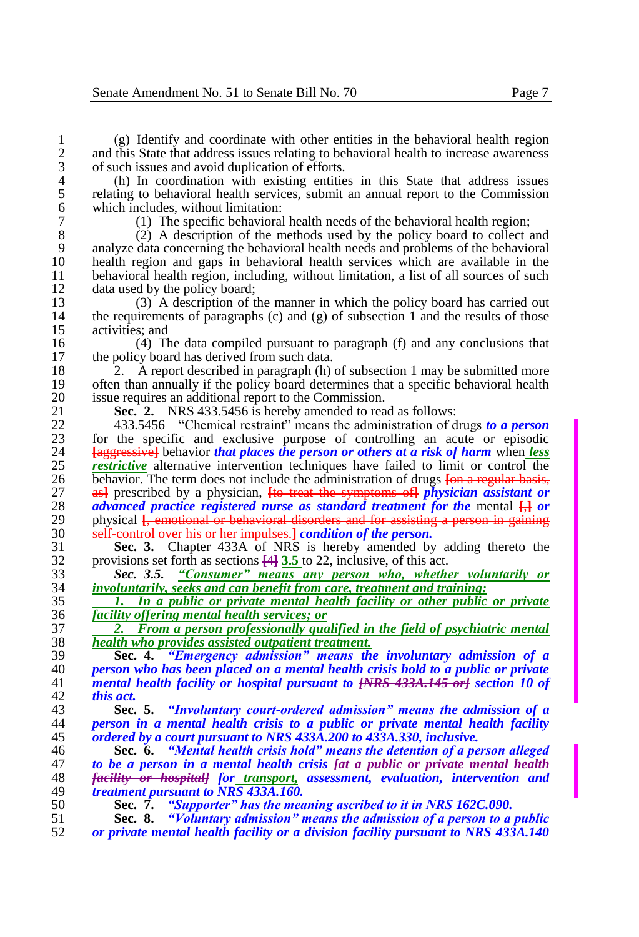1 (g) Identify and coordinate with other entities in the behavioral health region<br>2 and this State that address issues relating to behavioral health to increase awareness 2 and this State that address issues relating to behavioral health to increase awareness of such issues and avoid duplication of efforts. 3 of such issues and avoid duplication of efforts.<br>4 (h) In coordination with existing entities

4 (h) In coordination with existing entities in this State that address issues<br>5 relating to behavioral health services, submit an annual report to the Commission 5 relating to behavioral health services, submit an annual report to the Commission 6 which includes, without limitation:<br>  $\frac{7}{2}$  (1) The specific behavioral

7 (1) The specific behavioral health needs of the behavioral health region;<br>8 (2) A description of the methods used by the policy board to collect a 8 (2) A description of the methods used by the policy board to collect and 9 analyze data concerning the behavioral health needs and problems of the behavioral health region and gaps in behavioral health services which are available in the 10 health region and gaps in behavioral health services which are available in the health region including without limitation a list of all sources of such 11 behavioral health region, including, without limitation, a list of all sources of such data used by the policy board: 12 data used by the policy board;<br>13 (3) A description of the

13 (3) A description of the manner in which the policy board has carried out the requirements of paragraphs (c) and (g) of subsection 1 and the results of those 14 the requirements of paragraphs (c) and (g) of subsection 1 and the results of those activities: and 15 activities; and<br>16 (4) Th

16 (4) The data compiled pursuant to paragraph (f) and any conclusions that the policy board has derived from such data the policy board has derived from such data.

18 2. A report described in paragraph (h) of subsection 1 may be submitted more<br>19 often than annually if the policy board determines that a specific behavioral health 19 often than annually if the policy board determines that a specific behavioral health issue requires an additional report to the Commission. 20 issue requires an additional report to the Commission.<br>21 **Sec. 2.** NRS 433.5456 is hereby amended to rea

21 **Sec. 2.** NRS 433.5456 is hereby amended to read as follows:<br>22 433.5456 "Chemical restraint" means the administration of d

22 433.5456 "Chemical restraint" means the administration of drugs *to a person*  23 for the specific and exclusive purpose of controlling an acute or episodic 24 **Following 1** Following that *ulaces the person or others at a risk of harm* when *less* 24 **[**aggressive**]** behavior *that places the person or others at a risk of harm* when *less*  25 *restrictive* alternative intervention techniques have failed to limit or control the behavior. The term does not include the administration of drugs **fon a regular basis-**26 behavior. The term does not include the administration of drugs <del>[on a regular basis,</del> 27 as<sup>1</sup> prescribed by a physician. **He treat the symptoms of** *physician assistant or* 27 as<sup>1</sup> prescribed by a physician, <del>[to treat the symptoms of</del>] *physician assistant or*  $28$  *advanced practice registered nurse as standard treatment for the mental*  $\Box$  *or* 28 *advanced practice registered nurse as standard treatment for the mental*  $\frac{1}{12}$  *or physical Lemotional or behavioral disorders and for assisting a person in gaining* 29 physical <del>[, emotional or behavioral disorders and for assisting a person in gaining</del> 30 self-control over his or her impulses *a condition of the nerson*. 30 self-control over his or her impulses.**]** *condition of the person.*

**Sec. 3.** Chapter 433A of NRS is hereby amended by adding thereto the provisions set forth as sections  $\frac{1}{4}$ ,  $\frac{1}{3}$ ,  $\frac{1}{5}$  to 22, inclusive, of this act. 32 provisions set forth as sections **[**4**] 3.5** to 22, inclusive, of this act.

33 *Sec. 3.5. "Consumer" means any person who, whether voluntarily or*  34 *involuntarily, seeks and can benefit from care, treatment and training:*

35 *1. In a public or private mental health facility or other public or private*  36 *facility offering mental health services; or*

37 *2. From a person professionally qualified in the field of psychiatric mental*  38 *health who provides assisted outpatient treatment.*

 **Sec. 4.** *"Emergency admission" means the involuntary admission of a person who has been placed on a mental health crisis hold to a public or private mental health facility or hospital pursuant to [NRS 433A.145 or] section 10 of this act.*

43 **Sec. 5.** *"Involuntary court-ordered admission" means the admission of a*  44 *person in a mental health crisis to a public or private mental health facility*  45 *ordered by a court pursuant to NRS 433A.200 to 433A.330, inclusive.*

 **Sec. 6.** *"Mental health crisis hold" means the detention of a person alleged to be a person in a mental health crisis [at a public or private mental health facility or hospital] for transport, assessment, evaluation, intervention and treatment pursuant to NRS 433A.160.*

50 **Sec. 7.** *"Supporter" has the meaning ascribed to it in NRS 162C.090.*

51 **Sec. 8.** *"Voluntary admission" means the admission of a person to a public*  52 *or private mental health facility or a division facility pursuant to NRS 433A.140*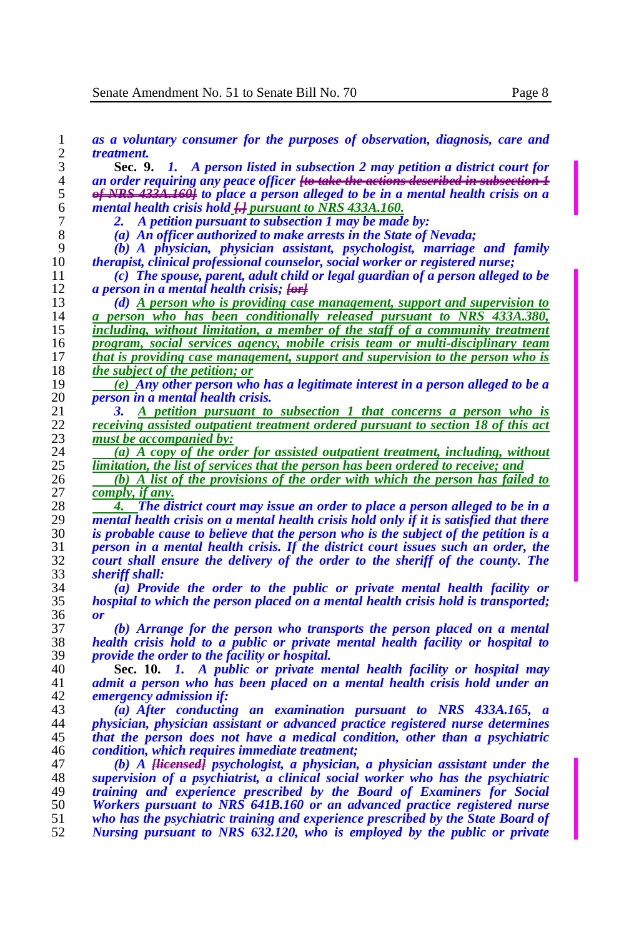*as a voluntary consumer for the purposes of observation, diagnosis, care and treatment.* **Sec. 9.** *1. A person listed in subsection 2 may petition a district court for an order requiring any peace officer [to take the actions described in subsection 1 of NRS 433A.160] to place a person alleged to be in a mental health crisis on a mental health crisis hold [.] pursuant to NRS 433A.160. 2. A petition pursuant to subsection 1 may be made by: (a) An officer authorized to make arrests in the State of Nevada; (b) A physician, physician assistant, psychologist, marriage and family therapist, clinical professional counselor, social worker or registered nurse; (c) The spouse, parent, adult child or legal guardian of a person alleged to be a person in a mental health crisis;*  $\overline{f\Theta f}$ **<br>13** *(d) A person who is providing case (d) A person who is providing case management, support and supervision to a person who has been conditionally released pursuant to NRS 433A.380, including, without limitation, a member of the staff of a community treatment program, social services agency, mobile crisis team or multi-disciplinary team that is providing case management, support and supervision to the person who is the subject of the petition; or (e) Any other person who has a legitimate interest in a person alleged to be a person in a mental health crisis. 3. A petition pursuant to subsection 1 that concerns a person who is receiving assisted outpatient treatment ordered pursuant to section 18 of this act must be accompanied by: (a) A copy of the order for assisted outpatient treatment, including, without*  $\frac{1}{25}$  *limitation, the list of services that the person has been ordered to receive: and limitation, the list of services that the person has been ordered to receive; and (b) A list of the provisions of the order with which the person has failed to comply, if any.* **4. The district court may issue an order to place a person alleged to be in a** <sup>29</sup> *nental health crisis on a mental health crisis hold only if it is satisfied that there mental health crisis on a mental health crisis hold only if it is satisfied that there is probable cause to believe that the person who is the subject of the petition is a person in a mental health crisis. If the district court issues such an order, the court shall ensure the delivery of the order to the sheriff of the county. The sheriff shall: (a) Provide the order to the public or private mental health facility or hospital to which the person placed on a mental health crisis hold is transported; or (b) Arrange for the person who transports the person placed on a mental health crisis hold to a public or private mental health facility or hospital to provide the order to the facility or hospital.* **Sec. 10.** *1. A public or private mental health facility or hospital may*  admit a person who has been placed on a mental health crisis hold under an *emergency admission if: (a) After conducting an examination pursuant to NRS 433A.165, a physician, physician assistant or advanced practice registered nurse determines that the person does not have a medical condition, other than a psychiatric condition, which requires immediate treatment; (b) A [licensed] psychologist, a physician, a physician assistant under the supervision of a psychiatrist, a clinical social worker who has the psychiatric training and experience prescribed by the Board of Examiners for Social Workers pursuant to NRS 641B.160 or an advanced practice registered nurse who has the psychiatric training and experience prescribed by the State Board of Nursing pursuant to NRS 632.120, who is employed by the public or private*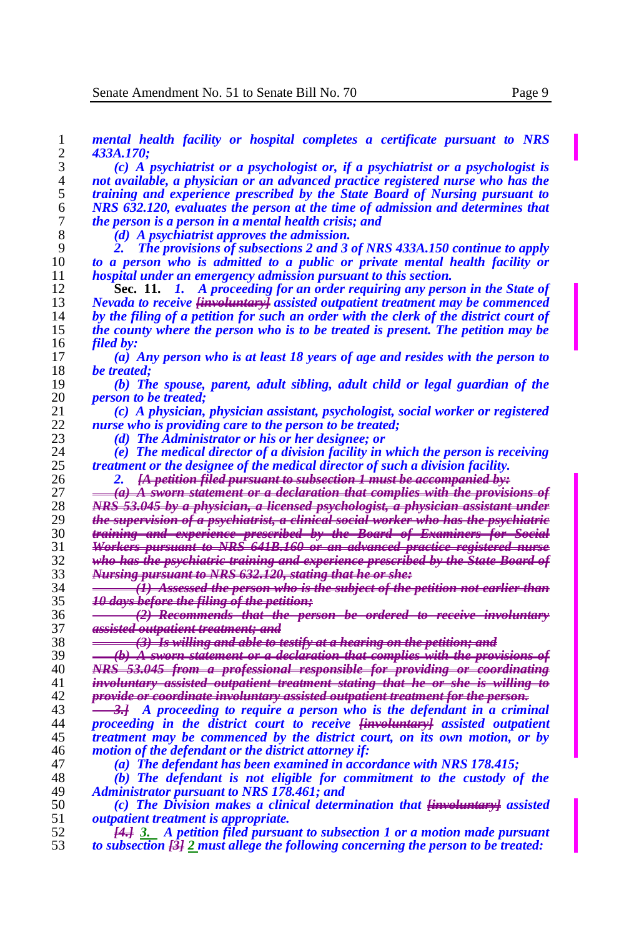*mental health facility or hospital completes a certificate pursuant to NRS 433A.170; (c) A psychiatrist or a psychologist or, if a psychiatrist or a psychologist is not available, a physician or an advanced practice registered nurse who has the training and experience prescribed by the State Board of Nursing pursuant to NRS 632.120, evaluates the person at the time of admission and determines that the person is a person in a mental health crisis; and (d) A psychiatrist approves the admission. 2. The provisions of subsections 2 and 3 of NRS 433A.150 continue to apply to a person who is admitted to a public or private mental health facility or*  hospital under an emergency admission pursuant to this section. **Sec. 11.** *1. A proceeding for an order requiring any person in the State of Nevada to receive [involuntary] assisted outpatient treatment may be commenced by the filing of a petition for such an order with the clerk of the district court of the county where the person who is to be treated is present. The petition may be filed by: (a) Any person who is at least 18 years of age and resides with the person to be treated; (b) The spouse, parent, adult sibling, adult child or legal guardian of the person to be treated; (c) A physician, physician assistant, psychologist, social worker or registered nurse who is providing care to the person to be treated; (d) The Administrator or his or her designee; or (e) The medical director of a division facility in which the person is receiving treatment or the designee of the medical director of such a division facility. 2. [A petition filed pursuant to subsection 1 must be accompanied by: (a) A sworn statement or a declaration that complies with the provisions of NRS 53.045 by a physician, a licensed psychologist, a physician assistant under the supervision of a psychiatrist, a clinical social worker who has the psychiatric training and experience prescribed by the Board of Examiners for Social Workers pursuant to NRS 641B.160 or an advanced practice registered nurse who has the psychiatric training and experience prescribed by the State Board of Nursing pursuant to NRS 632.120, stating that he or she: (1) Assessed the person who is the subject of the petition not earlier than 10 days before the filing of the petition; (2) Recommends that the person be ordered to receive involuntary assisted outpatient treatment; and (3) Is willing and able to testify at a hearing on the petition; and (b) A sworn statement or a declaration that complies with the provisions* 40 *MRS 53.045 from a professional responsible for providing or coordinate NRS 53.045 from a professional responsible for providing or coordinating* involuntary assisted outpatient treatment stating that he or she is willing *provide or coordinate involuntary assisted outpatient treatment for the person. 3.] A proceeding to require a person who is the defendant in a criminal proceeding in the district court to receive [involuntary] assisted outpatient treatment may be commenced by the district court, on its own motion, or by*  motion of the defendant or the district attorney if: *(a) The defendant has been examined in accordance with NRS 178.415; (b) The defendant is not eligible for commitment to the custody of the Administrator pursuant to NRS 178.461; and (c) The Division makes a clinical determination that [involuntary] assisted outpatient treatment is appropriate. [4.] 3. A petition filed pursuant to subsection 1 or a motion made pursuant to subsection [3] 2 must allege the following concerning the person to be treated:*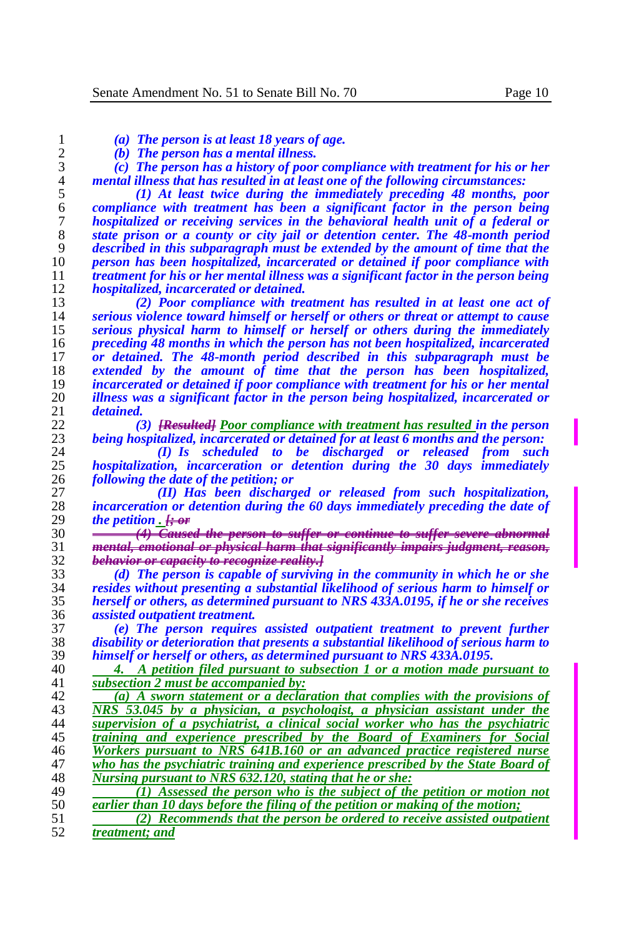|  |  |  |  |  |  |  |  | (a) The person is at least 18 years of age. |
|--|--|--|--|--|--|--|--|---------------------------------------------|
|--|--|--|--|--|--|--|--|---------------------------------------------|

*(b) The person has a mental illness.*

 *(c) The person has a history of poor compliance with treatment for his or her mental illness that has resulted in at least one of the following circumstances:*

 *(1) At least twice during the immediately preceding 48 months, poor compliance with treatment has been a significant factor in the person being hospitalized or receiving services in the behavioral health unit of a federal or state prison or a county or city jail or detention center. The 48-month period described in this subparagraph must be extended by the amount of time that the person has been hospitalized, incarcerated or detained if poor compliance with treatment for his or her mental illness was a significant factor in the person being hospitalized, incarcerated or detained.*

 *(2) Poor compliance with treatment has resulted in at least one act of serious violence toward himself or herself or others or threat or attempt to cause serious physical harm to himself or herself or others during the immediately preceding 48 months in which the person has not been hospitalized, incarcerated or detained. The 48-month period described in this subparagraph must be extended by the amount of time that the person has been hospitalized, incarcerated or detained if poor compliance with treatment for his or her mental illness was a significant factor in the person being hospitalized, incarcerated or detained.*

 *(3) [Resulted] Poor compliance with treatment has resulted in the person being hospitalized, incarcerated or detained for at least 6 months and the person:*

 *(I) Is scheduled to be discharged or released from such hospitalization, incarceration or detention during the 30 days immediately following the date of the petition; or*

 *(II) Has been discharged or released from such hospitalization,*  28 *incarceration or detention during the 60 days immediately preceding the date of the petition*. <del>*i* or</del> *the petition . [; or*

 *(4) Caused the person to suffer or continue to suffer severe abnormal mental, emotional or physical harm that significantly impairs judgment, reason, behavior or capacity to recognize reality.]*

 *(d) The person is capable of surviving in the community in which he or she resides without presenting a substantial likelihood of serious harm to himself or herself or others, as determined pursuant to NRS 433A.0195, if he or she receives assisted outpatient treatment.*

 *(e) The person requires assisted outpatient treatment to prevent further disability or deterioration that presents a substantial likelihood of serious harm to himself or herself or others, as determined pursuant to NRS 433A.0195.*

 *4. A petition filed pursuant to subsection 1 or a motion made pursuant to*  subsection 2 must be accompanied by:

 *(a) A sworn statement or a declaration that complies with the provisions of NRS 53.045 by a physician, a psychologist, a physician assistant under the supervision of a psychiatrist, a clinical social worker who has the psychiatric training and experience prescribed by the Board of Examiners for Social Workers pursuant to NRS 641B.160 or an advanced practice registered nurse who has the psychiatric training and experience prescribed by the State Board of Nursing pursuant to NRS 632.120, stating that he or she:*

49 *(1) Assessed the person who is the subject of the petition or motion not*  $\overline{ext}$  *cartier than 10 days before the filing of the petition or making of the motion: earlier than 10 days before the filing of the petition or making of the motion;*

 *(2) Recommends that the person be ordered to receive assisted outpatient treatment; and*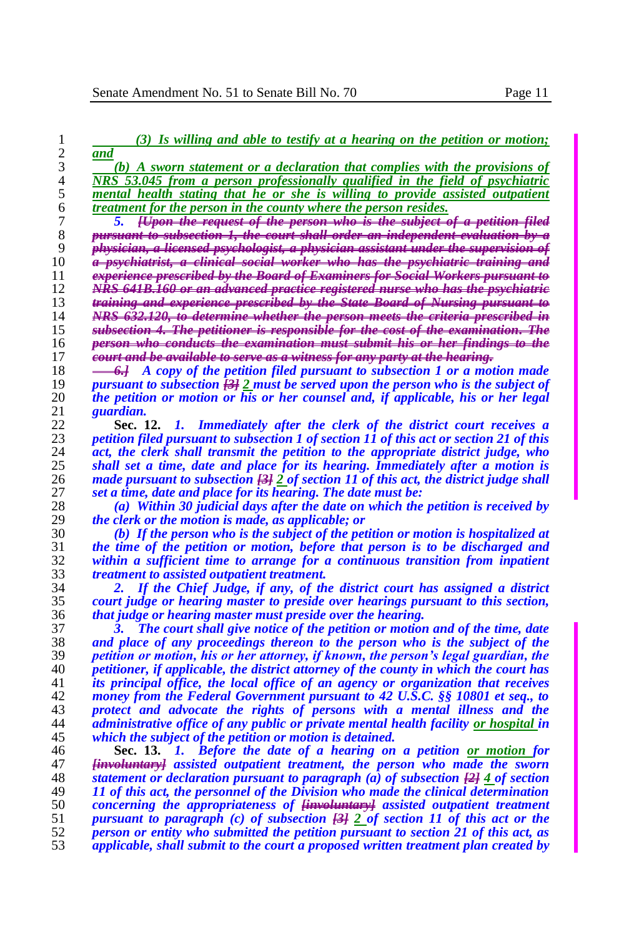| 1        | $(3)$ Is willing and able to testify at a hearing on the petition or motion;                                                         |
|----------|--------------------------------------------------------------------------------------------------------------------------------------|
| 2        | and                                                                                                                                  |
| 3        | (b) A sworn statement or a declaration that complies with the provisions of                                                          |
| 4        | NRS 53.045 from a person professionally qualified in the field of psychiatric                                                        |
| 5        | mental health stating that he or she is willing to provide assisted outpatient                                                       |
| 6        | treatment for the person in the county where the person resides.                                                                     |
| 7        | [Upon the request of the person who is the subject of a petition filed                                                               |
| 8        | <del>pursuant to subsection 1, the court shall order an independent evaluation by a</del>                                            |
| 9        | <del>physician, a licensed psychologist, a physician assistant under the supervision of</del>                                        |
| 10       | <del>a psychiatrist, a clinical social worker who has the psychiatric training and</del>                                             |
| 11       | experience prescribed by the Board of Examiners for Social Workers pursuant to                                                       |
| 12       | NRS 641B.160 or an advanced practice registered nurse who has the psychiatrie                                                        |
| 13       | training and experience prescribed by the State Board of Nursing pursuant to                                                         |
| 14       | NRS 632.120, to determine whether the person meets the criteria prescribed in                                                        |
| 15       | subsection 4. The petitioner is responsible for the cost of the examination. The                                                     |
| 16       | person who conducts the examination must submit his or her findings to the                                                           |
| 17       | <del>court and be available to serve as a witness for any party at the hearing.</del>                                                |
| 18       | 4. A copy of the petition filed pursuant to subsection 1 or a motion made                                                            |
| 19       | pursuant to subsection $\frac{21}{2}$ must be served upon the person who is the subject of                                           |
| 20       | the petition or motion or his or her counsel and, if applicable, his or her legal                                                    |
| 21       | guardian.                                                                                                                            |
| 22       | Sec. 12. 1. Immediately after the clerk of the district court receives a                                                             |
| 23       | petition filed pursuant to subsection 1 of section 11 of this act or section 21 of this                                              |
| 24       | act, the clerk shall transmit the petition to the appropriate district judge, who                                                    |
| 25       | shall set a time, date and place for its hearing. Immediately after a motion is                                                      |
| 26       | made pursuant to subsection $\frac{13}{2}$ of section 11 of this act, the district judge shall                                       |
| 27       | set a time, date and place for its hearing. The date must be:                                                                        |
| 28       | (a) Within 30 judicial days after the date on which the petition is received by                                                      |
| 29       | <i>the clerk or the motion is made, as applicable; or</i>                                                                            |
| 30       | (b) If the person who is the subject of the petition or motion is hospitalized at                                                    |
| 31<br>32 | the time of the petition or motion, before that person is to be discharged and                                                       |
| 33       | within a sufficient time to arrange for a continuous transition from inpatient<br><i>treatment to assisted outpatient treatment.</i> |
| 34       | If the Chief Judge, if any, of the district court has assigned a district                                                            |
| 35       | court judge or hearing master to preside over hearings pursuant to this section,                                                     |
| 36       | that judge or hearing master must preside over the hearing.                                                                          |
| 37       | The court shall give notice of the petition or motion and of the time, date<br>З.                                                    |
| 38       | and place of any proceedings thereon to the person who is the subject of the                                                         |
| 39       | petition or motion, his or her attorney, if known, the person's legal guardian, the                                                  |
| 40       | petitioner, if applicable, the district attorney of the county in which the court has                                                |
| 41       | its principal office, the local office of an agency or organization that receives                                                    |
| 42       | money from the Federal Government pursuant to 42 U.S.C. §§ 10801 et seq., to                                                         |
| 43       | protect and advocate the rights of persons with a mental illness and the                                                             |
| 44       | administrative office of any public or private mental health facility or hospital in                                                 |
| 45       | which the subject of the petition or motion is detained.                                                                             |
| 46       | Sec. 13. 1. Before the date of a hearing on a petition or motion for                                                                 |
| 47       | <del>[involuntary]</del> assisted outpatient treatment, the person who made the sworn                                                |
| 48       | statement or declaration pursuant to paragraph (a) of subsection $\frac{1}{2}$ 4 of section                                          |
| 49       | 11 of this act, the personnel of the Division who made the clinical determination                                                    |
| 50       | concerning the appropriateness of <del><i>involuntary</i></del> assisted outpatient treatment                                        |
| 51       | pursuant to paragraph (c) of subsection $[3]$ 2 of section 11 of this act or the                                                     |
| 52       | person or entity who submitted the petition pursuant to section 21 of this act, as                                                   |
| 53       | applicable, shall submit to the court a proposed written treatment plan created by                                                   |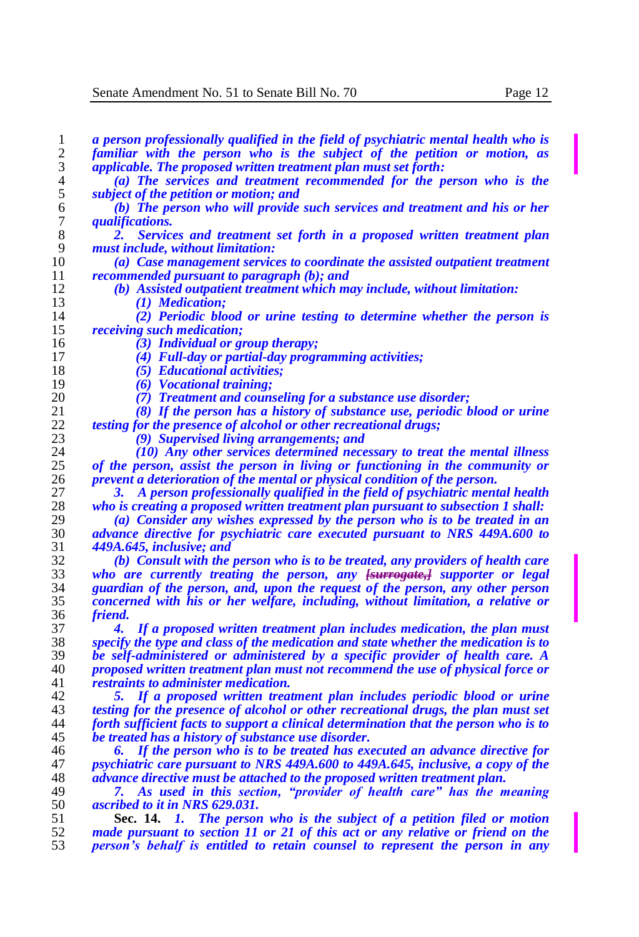| 1              | a person professionally qualified in the field of psychiatric mental health who is                                                                             |
|----------------|----------------------------------------------------------------------------------------------------------------------------------------------------------------|
| $\overline{2}$ | familiar with the person who is the subject of the petition or motion, as                                                                                      |
| 3              | applicable. The proposed written treatment plan must set forth:                                                                                                |
| 4              | (a) The services and treatment recommended for the person who is the                                                                                           |
| 5              | subject of the petition or motion; and                                                                                                                         |
| 6              | (b) The person who will provide such services and treatment and his or her                                                                                     |
| 7              | <i>qualifications.</i>                                                                                                                                         |
| 8              | Services and treatment set forth in a proposed written treatment plan<br>2.                                                                                    |
| 9              | must include, without limitation:                                                                                                                              |
| 10             | (a) Case management services to coordinate the assisted outpatient treatment                                                                                   |
| 11             | recommended pursuant to paragraph (b); and                                                                                                                     |
| 12             | (b) Assisted outpatient treatment which may include, without limitation:                                                                                       |
| 13             | (1) <b>Medication</b> ;                                                                                                                                        |
| 14             | (2) Periodic blood or urine testing to determine whether the person is                                                                                         |
| 15             |                                                                                                                                                                |
| 16             | <i>receiving such medication;</i>                                                                                                                              |
|                | (3) Individual or group therapy;                                                                                                                               |
| 17             | (4) Full-day or partial-day programming activities;                                                                                                            |
| 18             | (5) Educational activities;                                                                                                                                    |
| 19             | (6) Vocational training:                                                                                                                                       |
| 20             | (7) Treatment and counseling for a substance use disorder;                                                                                                     |
| 21             | (8) If the person has a history of substance use, periodic blood or urine                                                                                      |
| 22             | <i>testing for the presence of alcohol or other recreational drugs;</i>                                                                                        |
| 23             | (9) Supervised living arrangements; and                                                                                                                        |
| 24             | (10) Any other services determined necessary to treat the mental illness                                                                                       |
| 25             | of the person, assist the person in living or functioning in the community or                                                                                  |
| 26             | prevent a deterioration of the mental or physical condition of the person.                                                                                     |
| 27             | A person professionally qualified in the field of psychiatric mental health<br>З.                                                                              |
| 28             | who is creating a proposed written treatment plan pursuant to subsection 1 shall:                                                                              |
| 29             | (a) Consider any wishes expressed by the person who is to be treated in an                                                                                     |
| 30             | advance directive for psychiatric care executed pursuant to NRS 449A.600 to                                                                                    |
| 31             | 449A.645, inclusive; and                                                                                                                                       |
| 32             | (b) Consult with the person who is to be treated, any providers of health care                                                                                 |
| 33             | who are currently treating the person, any <del>[surrogate,]</del> supporter or legal                                                                          |
| 34             | guardian of the person, and, upon the request of the person, any other person                                                                                  |
| 35             | concerned with his or her welfare, including, without limitation, a relative or                                                                                |
| 36             | <i>friend.</i>                                                                                                                                                 |
| 37             | If a proposed written treatment plan includes medication, the plan must<br>4.                                                                                  |
| 38             | specify the type and class of the medication and state whether the medication is to                                                                            |
| 39             | be self-administered or administered by a specific provider of health care. A                                                                                  |
| 40             | proposed written treatment plan must not recommend the use of physical force or                                                                                |
| 41             | <i>restraints to administer medication.</i>                                                                                                                    |
| 42             | If a proposed written treatment plan includes periodic blood or urine<br>5.                                                                                    |
| 43             | testing for the presence of alcohol or other recreational drugs, the plan must set                                                                             |
| 44             | forth sufficient facts to support a clinical determination that the person who is to                                                                           |
| 45             | be treated has a history of substance use disorder.                                                                                                            |
| 46             | If the person who is to be treated has executed an advance directive for<br>6.                                                                                 |
| 47             | psychiatric care pursuant to NRS 449A.600 to 449A.645, inclusive, a copy of the                                                                                |
| 48             | advance directive must be attached to the proposed written treatment plan.                                                                                     |
| 49             | As used in this section, "provider of health care" has the meaning<br>7.                                                                                       |
| 50             | ascribed to it in NRS 629.031.                                                                                                                                 |
| 51             | Sec. 14. 1. The person who is the subject of a petition filed or motion                                                                                        |
| 52             |                                                                                                                                                                |
| 53             | made pursuant to section 11 or 21 of this act or any relative or friend on the<br>person's behalf is entitled to retain counsel to represent the person in any |
|                |                                                                                                                                                                |
|                |                                                                                                                                                                |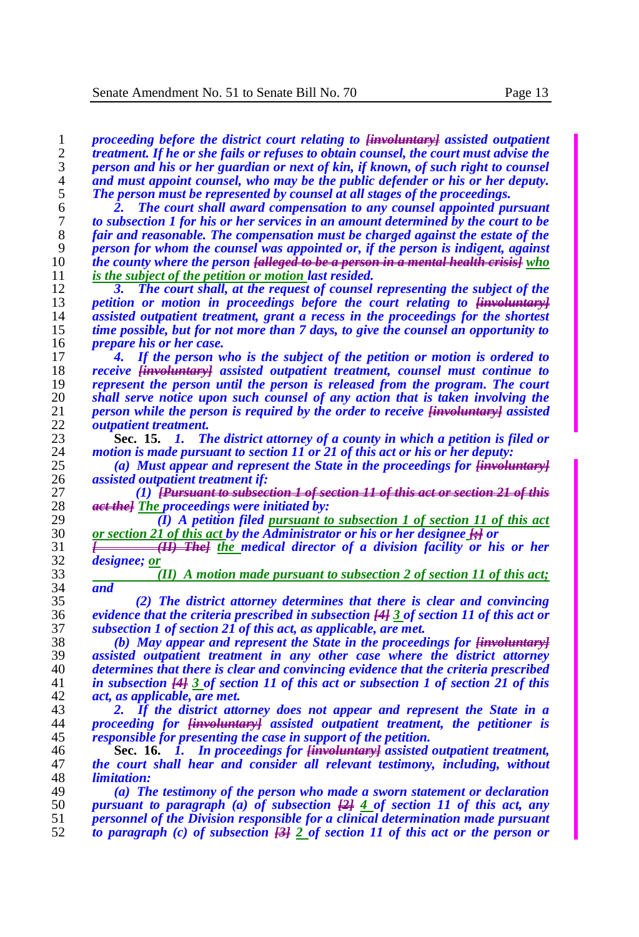*proceeding before the district court relating to [involuntary] assisted outpatient treatment. If he or she fails or refuses to obtain counsel, the court must advise the person and his or her guardian or next of kin, if known, of such right to counsel and must appoint counsel, who may be the public defender or his or her deputy.*<br>5 *The person must be represented by counsel at all stages of the proceedings. The person must be represented by counsel at all stages of the proceedings.*

 *2. The court shall award compensation to any counsel appointed pursuant to subsection 1 for his or her services in an amount determined by the court to be fair and reasonable. The compensation must be charged against the estate of the person for whom the counsel was appointed or, if the person is indigent, against the county where the person [alleged to be a person in a mental health crisis] who is the subject of the petition or motion last resided.*

 *3. The court shall, at the request of counsel representing the subject of the petition or motion in proceedings before the court relating to*  $\frac{1}{14}$  *assisted outnatient treatment, grant a recess in the proceedings for the shortest assisted outpatient treatment, grant a recess in the proceedings for the shortest time possible, but for not more than 7 days, to give the counsel an opportunity to prepare his or her case.*

 *4. If the person who is the subject of the petition or motion is ordered to receive [involuntary] assisted outpatient treatment, counsel must continue to represent the person until the person is released from the program. The court shall serve notice upon such counsel of any action that is taken involving the person while the person is required by the order to receive [involuntary] assisted outpatient treatment.*

 **Sec. 15.** *1. The district attorney of a county in which a petition is filed or motion is made pursuant to section 11 or 21 of this act or his or her deputy:*

 *(a) Must appear and represent the State in the proceedings for [involuntary] assisted outpatient treatment if:*

 *(1) [Pursuant to subsection 1 of section 11 of this act or section 21 of this act the] The proceedings were initiated by:*

29 *(I) A petition filed pursuant to subsection 1 of section 11 of this act* 30 *or section 21 of this act by the Administrator or his or her designee*  $\Theta$  or *or section 21 of this act by the Administrator or his or her designee [;] or*

31 *[ (II) The] the medical director of a division facility or his or her*  $\frac{32}{2}$  *designee; or designee; or*

 *(II) A motion made pursuant to subsection 2 of section 11 of this act; and*

 *(2) The district attorney determines that there is clear and convincing evidence that the criteria prescribed in subsection [4] 3 of section 11 of this act or subsection 1 of section 21 of this act, as applicable, are met.*

 *(b) May appear and represent the State in the proceedings for [involuntary] assisted outpatient treatment in any other case where the district attorney determines that there is clear and convincing evidence that the criteria prescribed in subsection [4] 3 of section 11 of this act or subsection 1 of section 21 of this act, as applicable, are met.*

 *2. If the district attorney does not appear and represent the State in a proceeding for [involuntary] assisted outpatient treatment, the petitioner is responsible for presenting the case in support of the petition.*

 **Sec. 16.** *1. In proceedings for [involuntary] assisted outpatient treatment, the court shall hear and consider all relevant testimony, including, without limitation:*

 *(a) The testimony of the person who made a sworn statement or declaration pursuant to paragraph (a) of subsection [2] 4 of section 11 of this act, any personnel of the Division responsible for a clinical determination made pursuant to paragraph (c) of subsection [3] 2 of section 11 of this act or the person or*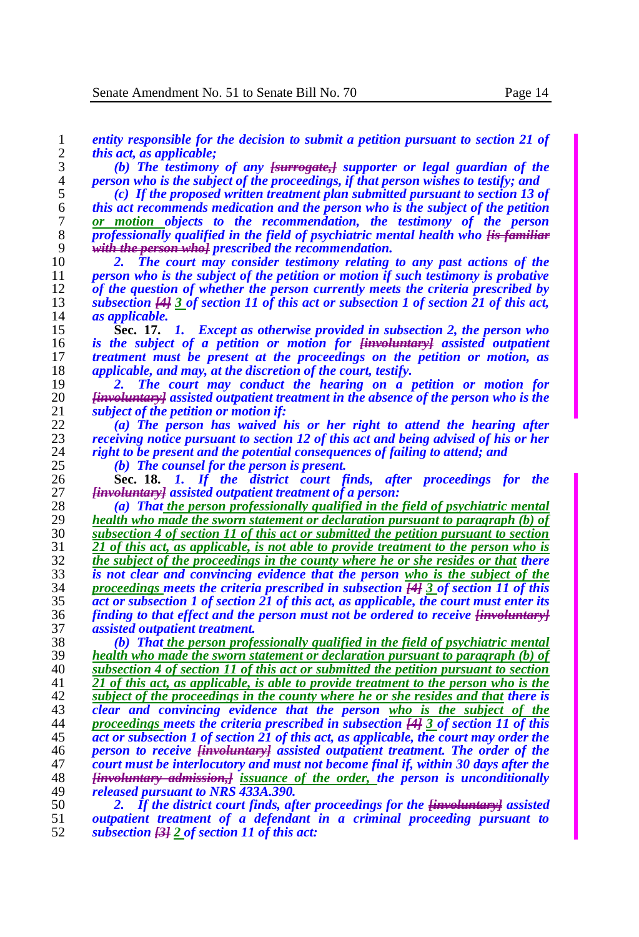*entity responsible for the decision to submit a petition pursuant to section 21 of this act, as applicable;*

 *(b) The testimony of any [surrogate,] supporter or legal guardian of the person who is the subject of the proceedings, if that person wishes to testify; and*

 *(c) If the proposed written treatment plan submitted pursuant to section 13 of this act recommends medication and the person who is the subject of the petition or motion objects to the recommendation, the testimony of the person professionally qualified in the field of psychiatric mental health who <del><i>fis familiar*</del>  $\frac{1}{2}$  with the person whole prescribed the recommendation. *with the person who] prescribed the recommendation.*

 *2. The court may consider testimony relating to any past actions of the*  person who is the subject of the petition or motion if such testimony is probative 12 of the question of whether the person currently meets the criteria prescribed by<br>13 **by Subsection 444 3** of section 11 of this act or subsection 1 of section 21 of this act. *subsection [4] 3 of section 11 of this act or subsection 1 of section 21 of this act, as applicable.*

 **Sec. 17.** *1. Except as otherwise provided in subsection 2, the person who is the subject of a petition or motion for [involuntary] assisted outpatient treatment must be present at the proceedings on the petition or motion, as applicable, and may, at the discretion of the court, testify.*

 *2. The court may conduct the hearing on a petition or motion for [involuntary] assisted outpatient treatment in the absence of the person who is the subject of the petition or motion if:*

 *(a) The person has waived his or her right to attend the hearing after receiving notice pursuant to section 12 of this act and being advised of his or her right to be present and the potential consequences of failing to attend; and*

*(b) The counsel for the person is present.*

 **Sec. 18.** *1. If the district court finds, after proceedings for the [involuntary] assisted outpatient treatment of a person:*

 *(a) That the person professionally qualified in the field of psychiatric mental health who made the sworn statement or declaration pursuant to paragraph (b) of subsection 4 of section 11 of this act or submitted the petition pursuant to section 21 of this act, as applicable, is not able to provide treatment to the person who is the subject of the proceedings in the county where he or she resides or that there*  $\frac{1}{2}$  *is not clear and convincing evidence that the person who is the subject of the is not clear and convincing evidence that the person who is the subject of the proceedings meets the criteria prescribed in subsection [4] 3 of section 11 of this*  act or subsection 1 of section 21 of this act, as applicable, the court must enter its *finding to that effect and the person must not be ordered to receive [involuntary] assisted outpatient treatment.*

 *(b) That the person professionally qualified in the field of psychiatric mental health who made the sworn statement or declaration pursuant to paragraph (b) of subsection 4 of section 11 of this act or submitted the petition pursuant to section 21 of this act, as applicable, is able to provide treatment to the person who is the subject of the proceedings in the county where he or she resides and that there is clear and convincing evidence that the person who is the subject of the proceedings meets the criteria prescribed in subsection [4] 3 of section 11 of this act or subsection 1 of section 21 of this act, as applicable, the court may order the person to receive [involuntary] assisted outpatient treatment. The order of the court must be interlocutory and must not become final if, within 30 days after the [involuntary admission,] issuance of the order, the person is unconditionally released pursuant to NRS 433A.390.* 

 *2. If the district court finds, after proceedings for the [involuntary] assisted outpatient treatment of a defendant in a criminal proceeding pursuant to subsection [3] 2 of section 11 of this act:*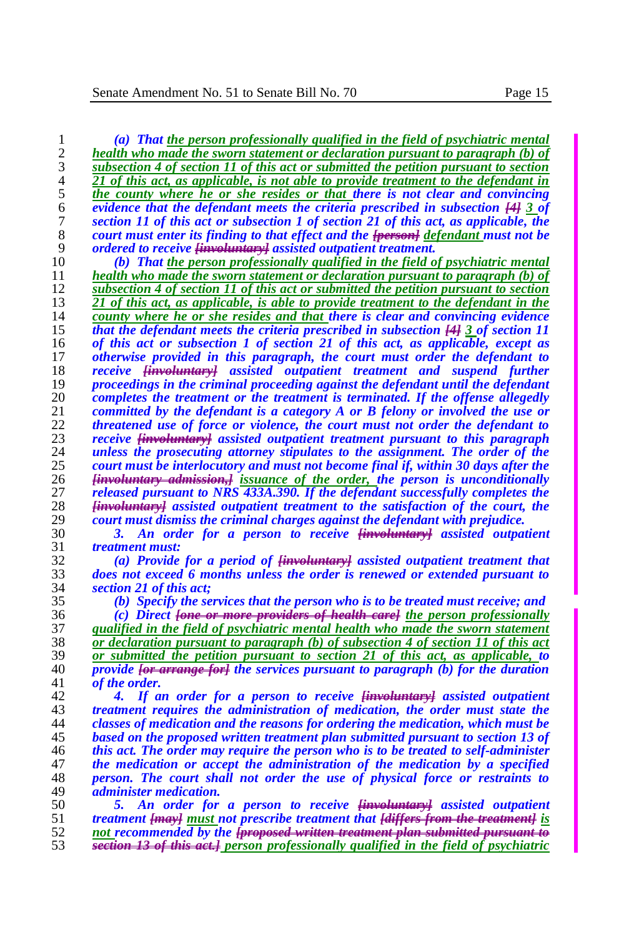*(a) That the person professionally qualified in the field of psychiatric mental health who made the sworn statement or declaration pursuant to paragraph (b) of subsection 4 of section 11 of this act or submitted the petition pursuant to section*  <sup>2</sup> <sup>2</sup>*21 of this act, as applicable, is not able to provide treatment to the defendant in*<br>
<sup>2</sup> <sup>2</sup> *the county where he or she resides or that there is not clear and convincing* **the county where he or she resides or that there is not clear and convincing**<br>6 **evidence that the defendant meets the criteria prescribed in subsection**  $\frac{1}{4}$  **3 of**  *evidence that the defendant meets the criteria prescribed in subsection [4] 3 of section 11 of this act or subsection 1 of section 21 of this act, as applicable, the court must enter its finding to that effect and the <del>[person]</del> <u>defendant</u> must not be <br>9 <i>ordered to receive* <del>linvoluntaryl</del> assisted outpatient treatment. *ordered to receive [involuntary] assisted outpatient treatment. (b) That the person professionally qualified in the field of psychiatric mental health who made the sworn statement or declaration pursuant to paragraph (b) of subsection 4 of section 11 of this act or submitted the petition pursuant to section 21 of this act, as applicable, is able to provide treatment to the defendant in the county where he or she resides and that there is clear and convincing evidence*  **that the defendant meets the criteria prescribed in subsection**  $\frac{143}{13}$  **of section 11<br>16 of this act or subsection 1 of section 21 of this act, as applicable, except as**  *of this act or subsection 1 of section 21 of this act, as applicable, except as otherwise provided in this paragraph, the court must order the defendant to receive <del>[involuntary]</del> assisted outpatient treatment and suspend further <br>19 <i>proceedings in the criminal proceeding against the defendant until the defendant proceedings in the criminal proceeding against the defendant until the defendant completes the treatment or the treatment is terminated. If the offense allegedly committed by the defendant is a category A or B felony or involved the use or threatened use of force or violence, the court must not order the defendant to* 23 *receive linvoluntaryl assisted outpatient treatment pursuant to this paragraph receive [involuntary] assisted outpatient treatment pursuant to this paragraph unless the prosecuting attorney stipulates to the assignment. The order of the court must be interlocutory and must not become final if, within 30 days after the [involuntary admission,] issuance of the order, the person is unconditionally released pursuant to NRS 433A.390. If the defendant successfully completes the [involuntary] assisted outpatient treatment to the satisfaction of the court, the court must dismiss the criminal charges against the defendant with prejudice. 3. An order for a person to receive [involuntary] assisted outpatient treatment must:*

 *(a) Provide for a period of [involuntary] assisted outpatient treatment that does not exceed 6 months unless the order is renewed or extended pursuant to section 21 of this act;*

*(b) Specify the services that the person who is to be treated must receive; and*

 *(c) Direct [one or more providers of health care] the person professionally qualified in the field of psychiatric mental health who made the sworn statement or declaration pursuant to paragraph (b) of subsection 4 of section 11 of this act or submitted the petition pursuant to section 21 of this act, as applicable, to provide [or arrange for] the services pursuant to paragraph (b) for the duration*  of the order.

 *4. If an order for a person to receive [involuntary] assisted outpatient treatment requires the administration of medication, the order must state the classes of medication and the reasons for ordering the medication, which must be based on the proposed written treatment plan submitted pursuant to section 13 of this act. The order may require the person who is to be treated to self-administer the medication or accept the administration of the medication by a specified person. The court shall not order the use of physical force or restraints to administer medication.*

 *5. An order for a person to receive [involuntary] assisted outpatient treatment [may] must not prescribe treatment that [differs from the treatment] is not recommended by the [proposed written treatment plan submitted pursuant to section 13 of this act.] person professionally qualified in the field of psychiatric*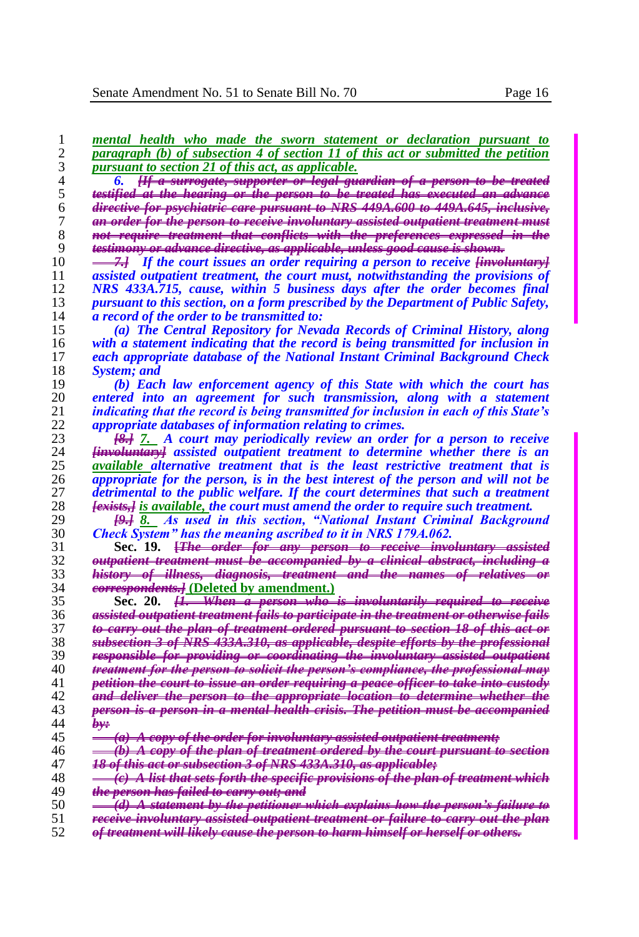| <i>pursuant to section 21 of this act, as applicable.</i>                                      |
|------------------------------------------------------------------------------------------------|
| [If a surrogate, supporter or legal guardian of a person to be treated<br>6.                   |
| testified at the hearing or the person to be treated has executed an advance                   |
| <del>directive for psychiatric care pursuant to NRS 449A.600 to 449A.645, inclusive,</del>     |
| an order for the person to receive involuntary assisted outpatient treatment must              |
| <del>not require treatment that conflicts with the preferences expressed in the</del>          |
| testimony or advance directive, as applicable, unless good cause is shown,                     |
| <i>All If the court issues an order requiring a person to receive <del>[involuntary]</del></i> |
| assisted outpatient treatment, the court must, notwithstanding the provisions of               |
| NRS 433A.715, cause, within 5 business days after the order becomes final                      |
| pursuant to this section, on a form prescribed by the Department of Public Safety,             |
| <i>a record of the order to be transmitted to:</i>                                             |
| (a) The Central Repository for Nevada Records of Criminal History, along                       |
| with a statement indicating that the record is being transmitted for inclusion in              |
| each appropriate database of the National Instant Criminal Background Check                    |
| <b>System</b> ; and                                                                            |
| (b) Each law enforcement agency of this State with which the court has                         |
| entered into an agreement for such transmission, along with a statement                        |
| indicating that the record is being transmitted for inclusion in each of this State's          |
| <i>appropriate databases of information relating to crimes.</i>                                |
| <del>[8.]</del> 7. A court may periodically review an order for a person to receive            |
| <del>[involuntary]</del> assisted outpatient treatment to determine whether there is an        |
| available alternative treatment that is the least restrictive treatment that is                |
| appropriate for the person, is in the best interest of the person and will not be              |
| detrimental to the public welfare. If the court determines that such a treatment               |
| <del>[exists,]</del> is available, the court must amend the order to require such treatment.   |
| <del>[9.]</del> 8. As used in this section, "National Instant Criminal Background              |
| Check System" has the meaning ascribed to it in NRS 179A.062.                                  |
| Sec. 19. <del>[The order for any person to receive involuntary assisted</del>                  |
| outpatient treatment must be accompanied by a clinical abstract, including a                   |
| history of illness, diagnosis, treatment and the names of relatives or                         |
| eorrespondents] (Deleted by amendment.)                                                        |
| Sec. 20. <del>[1. When a person who is involuntarily required to receive</del>                 |
| assisted outpatient treatment fails to participate in the treatment or otherwise fails         |
| to earry out the plan of treatment ordered pursuant to section 18 of this act or               |
| subsection 3 of NRS 433A.310, as applicable, despite efforts by the professional               |
| responsible for providing or coordinating the involuntary assisted outpatient                  |
| treatment for the person to solicit the person's compliance, the professional may              |
| petition the court to issue an order requiring a peace officer to take into custody            |
| and deliver the person to the appropriate location to determine whether the                    |
| person is a person in a mental health crisis. The petition must be accompanied                 |
| جبوط                                                                                           |
| $(a)$ A copy of the order for involuntary assisted outpatient treatment;                       |
| (b) A copy of the plan of treatment ordered by the court pursuant to section                   |
|                                                                                                |

 *mental health who made the sworn statement or declaration pursuant to paragraph (b) of subsection 4 of section 11 of this act or submitted the petition* 

- *18 of this act or subsection 3 of NRS 433A.310, as applicable;*
- *(c) A list that sets forth the specific provisions of the plan of treatment which the person has failed to carry out; and*
- 
- *receive involuntary assisted outpatient treatment or failure to carry out the plan of treatment will likely cause the person to harm himself or herself or others.*

*(d) A statement by the petitioner which explains how the person's failure to*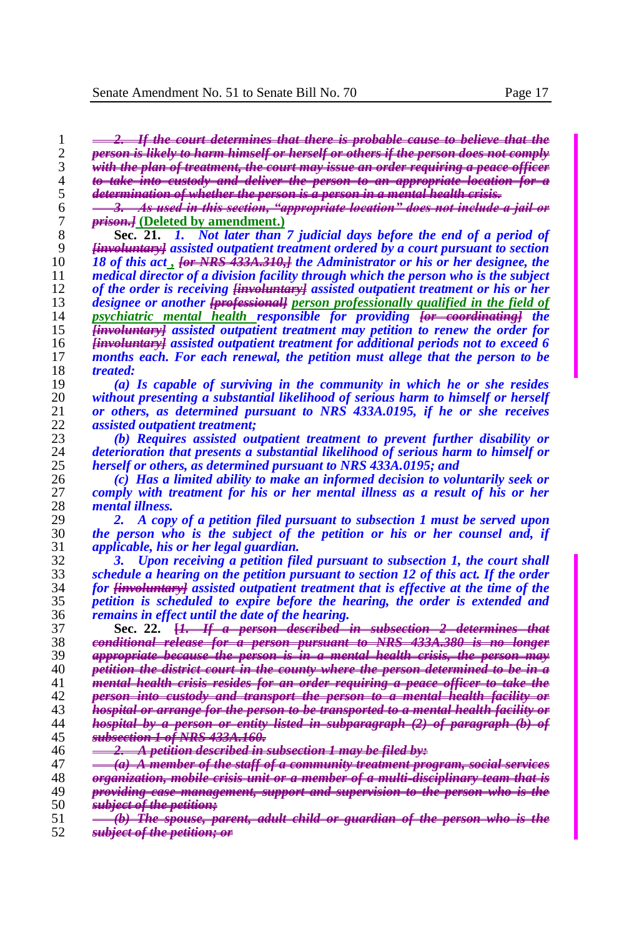*2. If the court determines that there is probable cause to believe that the person is likely to harm himself or herself or others if the person does not comply*  with the plan of treatment, the court may issue an order requiring a peace of *to take into custody and deliver the person to an appropriate location for a determination of whether the person is a person in a mental health crisis.*

 *3. As used in this section, "appropriate location" does not include a jail or*  7 **prison.**] **(Deleted by amendment.)**<br>8 **Sec. 21.** *I. Not later than* 

**Sec. 21.** *1. Not later than* 7 judicial days before the end of a period of interesting the section of the interesting of the interesting of  $\frac{1}{2}$  interesting the *section [involuntary] assisted outpatient treatment ordered by a court pursuant to section 18 of this act , [or NRS 433A.310,] the Administrator or his or her designee, the medical director of a division facility through which the person who is the subject*  12 of the order is receiving <del>*linvoluntary]</del> assisted outpatient treatment or his or her designee or another <del>[professional]</del> person professionally qualified in the field of*</del> *designee or another [professional] person professionally qualified in the field of psychiatric mental health responsible for providing [or coordinating] the [involuntary] assisted outpatient treatment may petition to renew the order for [involuntary] assisted outpatient treatment for additional periods not to exceed 6 months each. For each renewal, the petition must allege that the person to be treated:*

 *(a) Is capable of surviving in the community in which he or she resides without presenting a substantial likelihood of serious harm to himself or herself or others, as determined pursuant to NRS 433A.0195, if he or she receives assisted outpatient treatment;* 

 *(b) Requires assisted outpatient treatment to prevent further disability or deterioration that presents a substantial likelihood of serious harm to himself or herself or others, as determined pursuant to NRS 433A.0195; and* 

 *(c) Has a limited ability to make an informed decision to voluntarily seek or*  comply with treatment for his or her mental illness as a result of his or her *mental illness.*

 *2. A copy of a petition filed pursuant to subsection 1 must be served upon the person who is the subject of the petition or his or her counsel and, if applicable, his or her legal guardian.*

 *3. Upon receiving a petition filed pursuant to subsection 1, the court shall schedule a hearing on the petition pursuant to section 12 of this act. If the order for [involuntary] assisted outpatient treatment that is effective at the time of the petition is scheduled to expire before the hearing, the order is extended and remains in effect until the date of the hearing.*

|             | nerson described in subsection I determines<br>Sec.<br>that is so hard a risk to select a series<br>----                                                                                                                                                                                                                     |
|-------------|------------------------------------------------------------------------------------------------------------------------------------------------------------------------------------------------------------------------------------------------------------------------------------------------------------------------------|
| 38          | conditional relegge for a person pursuant to NDS 4334,380 is no<br>------                                                                                                                                                                                                                                                    |
| 39          | annropriate because the person is in a mental health crisis, the person may<br>. <u>2 4 5 min 1 5 min 2 4 5 5 7 8 7 8 7 8 min 2 5 5 7 8 7 8 7 8 min 3 8 min 3 8 7 8 7 8 min 3 8 5 7 8 7 8 7 8 8 8</u><br><b>STORICAL MARKET AND STORIES OF A SECOND ACTION OF A SECOND ACTION OF A STORIES OF A SECOND ACTION</b><br>------- |
|             | tition the district court in the county where the nerson determined                                                                                                                                                                                                                                                          |
|             | montal hoalth origin rogidos for an order roquiring a nogoe officer to take the<br><b><i><u>Property</u></i></b><br>$\sigma_{\text{H}}$ root to three                                                                                                                                                                        |
| 42          | into quetody and transport the person to a mental health facility or<br><b>CAMERAGES STREET METHODS</b><br>.<br>------------<br>A 12 YEAR OLD FAIR OLD MALE                                                                                                                                                                  |
| 43          | hospital or arrange for the nerson to be transported to a mental health facility or<br><b>Continued by the program and continued by the program</b><br><b>EXPLORATION CONTINUES</b><br>---------------                                                                                                                       |
|             | hoenital by a norson or outity listed in subnargoranh<br>$(2)$ of nargarants<br>$\sqrt{10000}$ $\sqrt{1000000}$<br><b>INSTALLATION</b><br>-------------------------                                                                                                                                                          |
| 45          | heaction 1 of NDS 1221 160<br><b>EXAMPLE SPIERATE!</b><br>was a contract to the contract of the contract and the contract of the contract of the contract of the contract of the contract of the contract of the contract of the contract of the contract of the contract of the contrac                                     |
| 46          | etition described in subsection 1 may be filed by:<br>5.4 2012 12:00:00 12:00:00 22:00:00 22:00:00 22:00:00 22:00:00 22:00:00 23:00:00 23:00:00 23:00:00 23:00:00 23:00:00 23:00:00 23:00:00 23:00:00 23:00:00 23:00:00 23:00:00 23:00:00 23:00:00 23:00:00 23:00:00 23:00:00 23:00:                                         |
| $4^{\circ}$ | mambay of the staff of a community typetuant nyoqyam<br><b>PA PARTS</b><br><b>VIEW PI USI WING DUVERNE DUI</b>                                                                                                                                                                                                               |
|             | .<br>$\overline{a}$                                                                                                                                                                                                                                                                                                          |
| $\sim$      | <br>$\sim$                                                                                                                                                                                                                                                                                                                   |

- *providing case management, support and supervision to the person who is the*
- *subject of the petition; (b) The spouse, parent, adult child or guardian of the person who is the*
- *subject of the petition; or*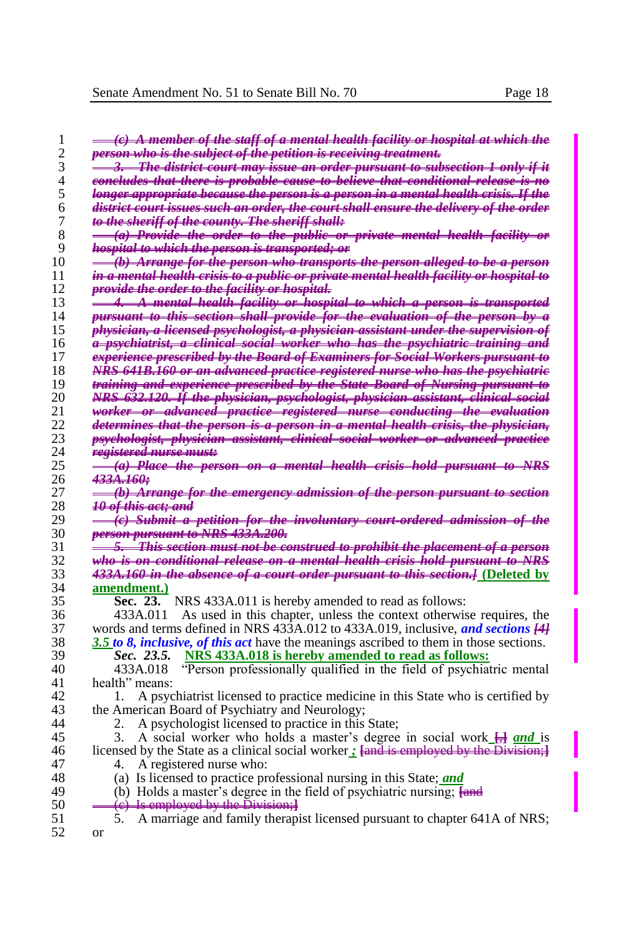| 1<br>$\overline{c}$      | <del>(c) A member of the staff of a mental health facility or hospital at which the</del><br>person who is the subject of the petition is receiving treatment. |
|--------------------------|----------------------------------------------------------------------------------------------------------------------------------------------------------------|
| 3                        |                                                                                                                                                                |
|                          | <del>3.   The district court may issue an order pursuant to subsection 1 only if it</del>                                                                      |
| $\overline{\mathcal{L}}$ | <del>concludes that there is probable cause to believe that conditional release is no</del>                                                                    |
| 5                        | longer appropriate because the person is a person in a mental health crisis. If the                                                                            |
| 6                        | <del>district court issues such an order, the court shall ensure the delivery of the order</del>                                                               |
| $\overline{7}$           | to the sheriff of the county. The sheriff shall:                                                                                                               |
| 8                        | <del>(a) Provide the order to the public or private mental health facility or</del>                                                                            |
| 9                        | <del>hospital to which the person is transported; or</del>                                                                                                     |
| 10                       | <del>(b) Arrange for the person who transports the person alleged to be a person</del>                                                                         |
| 11                       | <del>in a mental health crisis to a public or private mental health facility or hospital to</del>                                                              |
| 12                       | provide the order to the facility or hospital.                                                                                                                 |
| 13                       | 4. A mental health facility or hospital to which a person is transported                                                                                       |
| 14                       | pursuant to this section shall provide for the evaluation of the person by a                                                                                   |
| 15                       | physician, a licensed psychologist, a physician assistant under the supervision of                                                                             |
| 16                       | <del>a psychiatrist, a clinical social worker who has the psychiatric training and</del>                                                                       |
| 17                       | experience prescribed by the Board of Examiners for Social Workers pursuant to                                                                                 |
| 18                       | NRS 641B.160 or an advanced practice registered nurse who has the psychiatric                                                                                  |
| 19                       |                                                                                                                                                                |
|                          | training and experience prescribed by the State Board of Nursing pursuant to                                                                                   |
| 20                       | NRS 632.120. If the physician, psychologist, physician assistant, clinical social                                                                              |
| 21                       | <del>worker or advanced practice registered nurse conducting the evaluation</del>                                                                              |
| 22                       | determines that the person is a person in a mental health crisis, the physician,                                                                               |
| 23                       | psychologist, physician assistant, elinical social worker or advanced practice                                                                                 |
| 24                       | <del>registered nurse must:</del>                                                                                                                              |
| 25                       | (a) Place the person on a mental health crisis hold pursuant to NRS                                                                                            |
| 26                       | 433A.160÷                                                                                                                                                      |
| 27                       | (b) Arrange for the emergency admission of the person pursuant to section                                                                                      |
| 28                       | <del>10 of this act; and</del>                                                                                                                                 |
| 29                       | (e) Submit a petition for the involuntary court ordered admission of the                                                                                       |
| 30                       | person pursuant to NRS 433A.200.                                                                                                                               |
| 31                       | 5. This section must not be construed to prohibit the placement of a person                                                                                    |
| 32                       | who is on conditional release on a mental health crisis hold pursuant to NRS                                                                                   |
| 33                       | 433A.160 in the absence of a court order pursuant to this section.] (Deleted by                                                                                |
| 34                       | amendment.)                                                                                                                                                    |
| 35                       | Sec. 23. NRS 433A.011 is hereby amended to read as follows:                                                                                                    |
| 36                       | As used in this chapter, unless the context otherwise requires, the<br>433A.011                                                                                |
| 37                       | words and terms defined in NRS 433A.012 to 433A.019, inclusive, and sections [44]                                                                              |
| 38                       | 3.5 to 8, <i>inclusive, of this act</i> have the meanings ascribed to them in those sections.                                                                  |
| 39                       | <i>Sec.</i> 23.5. NRS 433A.018 is hereby amended to read as follows:                                                                                           |
| 40                       | 433A.018                                                                                                                                                       |
|                          | "Person professionally qualified in the field of psychiatric mental                                                                                            |
| 41                       | health" means:                                                                                                                                                 |
| 42                       | A psychiatrist licensed to practice medicine in this State who is certified by<br>1.                                                                           |
| 43                       | the American Board of Psychiatry and Neurology;                                                                                                                |
| 44                       | A psychologist licensed to practice in this State;<br>2.                                                                                                       |
| 45                       | A social worker who holds a master's degree in social work $\frac{1}{12}$ and is<br>3.                                                                         |
| 46                       | licensed by the State as a clinical social worker; [and is employed by the Division;]                                                                          |
| 47                       | A registered nurse who:<br>4.                                                                                                                                  |
| 48                       | (a) Is licensed to practice professional nursing in this State; and                                                                                            |
| 49                       | (b) Holds a master's degree in the field of psychiatric nursing; $\frac{f_{\text{and}}}{f_{\text{and}}}$                                                       |
| 50                       | (c) Is employed by the Division;]                                                                                                                              |
| 51                       | 5. A marriage and family therapist licensed pursuant to chapter 641A of NRS;                                                                                   |
| 52                       | or                                                                                                                                                             |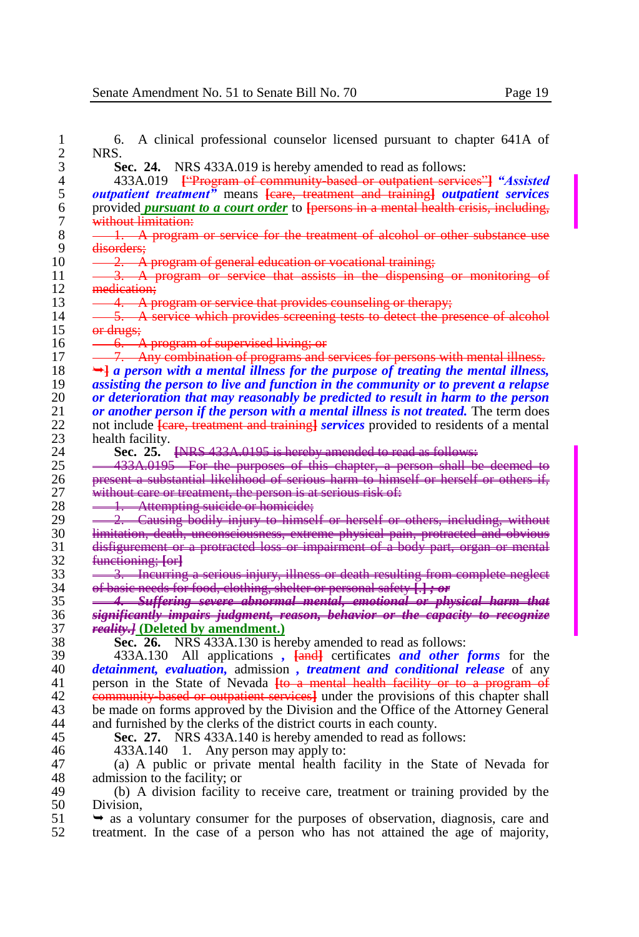| 6.                   | A clinical professional counselor licensed pursuant to chapter 641A of                                                                                                                                                                                                                                                      |
|----------------------|-----------------------------------------------------------------------------------------------------------------------------------------------------------------------------------------------------------------------------------------------------------------------------------------------------------------------------|
| NRS.                 |                                                                                                                                                                                                                                                                                                                             |
|                      | <b>Sec. 24.</b> NRS 433A.019 is hereby amended to read as follows:                                                                                                                                                                                                                                                          |
|                      | 433A.019 <del>["Program of community based or outpatient services"]</del> "Assisted"                                                                                                                                                                                                                                        |
|                      | <i>outpatient treatment</i> " means <b>Feare, treatment and training</b> <i>outpatient services</i>                                                                                                                                                                                                                         |
|                      | provided <i>pursuant to a court order</i> to <del>[persons in a mental health crisis, including,</del>                                                                                                                                                                                                                      |
| without limitation:  |                                                                                                                                                                                                                                                                                                                             |
|                      | 1. A program or service for the treatment of alcohol or other substance use                                                                                                                                                                                                                                                 |
| disorders;           |                                                                                                                                                                                                                                                                                                                             |
|                      | 2. A program of general education or vocational training;                                                                                                                                                                                                                                                                   |
|                      | 3. A program or service that assists in the dispensing or monitoring of                                                                                                                                                                                                                                                     |
| medication;          |                                                                                                                                                                                                                                                                                                                             |
|                      | 4. A program or service that provides counseling or therapy;                                                                                                                                                                                                                                                                |
|                      | 5. A service which provides screening tests to detect the presence of alcohol                                                                                                                                                                                                                                               |
| <del>or drugs:</del> |                                                                                                                                                                                                                                                                                                                             |
|                      | 6. A program of supervised living; or                                                                                                                                                                                                                                                                                       |
|                      | 7. Any combination of programs and services for persons with mental illness.                                                                                                                                                                                                                                                |
|                      | $\rightarrow$ a person with a mental illness for the purpose of treating the mental illness,                                                                                                                                                                                                                                |
|                      | assisting the person to live and function in the community or to prevent a relapse                                                                                                                                                                                                                                          |
|                      | or deterioration that may reasonably be predicted to result in harm to the person                                                                                                                                                                                                                                           |
|                      | or another person if the person with a mental illness is not treated. The term does                                                                                                                                                                                                                                         |
|                      | not include <b>[care, treatment and training]</b> services provided to residents of a mental                                                                                                                                                                                                                                |
| health facility.     |                                                                                                                                                                                                                                                                                                                             |
| Sec. 25.             | [NRS 433A.0195 is hereby amended to read as follows:                                                                                                                                                                                                                                                                        |
|                      | <b>433A.0195</b> For the purposes of this chapter, a person shall be deemed to                                                                                                                                                                                                                                              |
|                      | present a substantial likelihood of serious harm to himself or herself or others if,                                                                                                                                                                                                                                        |
|                      | without care or treatment, the person is at serious risk of:                                                                                                                                                                                                                                                                |
|                      | 1. Attempting suicide or homicide;                                                                                                                                                                                                                                                                                          |
|                      | 2. Causing bodily injury to himself or herself or others, including, without                                                                                                                                                                                                                                                |
|                      | limitation, death, unconsciousness, extreme physical pain, protracted and obvious                                                                                                                                                                                                                                           |
|                      | disfigurement or a protracted loss or impairment of a body part, organ or mental                                                                                                                                                                                                                                            |
| functioning: [or]    | 3. Incurring a serious injury, illness or death resulting from complete neglect                                                                                                                                                                                                                                             |
|                      |                                                                                                                                                                                                                                                                                                                             |
|                      |                                                                                                                                                                                                                                                                                                                             |
|                      | of basic needs for food, clothing, shelter or personal safety [.]; or                                                                                                                                                                                                                                                       |
|                      | 4. Suffering severe abnormal mental, emotional or physical harm that                                                                                                                                                                                                                                                        |
|                      | <u>significantly impairs judgment, reason, behavior or the capacity to recognize</u>                                                                                                                                                                                                                                        |
|                      | <i>reality.</i> (Deleted by amendment.)                                                                                                                                                                                                                                                                                     |
|                      | Sec. 26. NRS 433A.130 is hereby amended to read as follows:                                                                                                                                                                                                                                                                 |
|                      | 433A.130 All applications, <b>[and]</b> certificates <b>and other forms</b> for the                                                                                                                                                                                                                                         |
|                      |                                                                                                                                                                                                                                                                                                                             |
|                      | person in the State of Nevada to a mental health facility or to a program of                                                                                                                                                                                                                                                |
|                      |                                                                                                                                                                                                                                                                                                                             |
|                      |                                                                                                                                                                                                                                                                                                                             |
|                      | detainment, evaluation, admission, treatment and conditional release of any<br>community based or outpatient services] under the provisions of this chapter shall<br>be made on forms approved by the Division and the Office of the Attorney General<br>and furnished by the clerks of the district courts in each county. |
|                      | Sec. 27. NRS 433A.140 is hereby amended to read as follows:                                                                                                                                                                                                                                                                 |
|                      | 433A.140 1. Any person may apply to:                                                                                                                                                                                                                                                                                        |
|                      | (a) A public or private mental health facility in the State of Nevada for                                                                                                                                                                                                                                                   |
|                      | admission to the facility; or                                                                                                                                                                                                                                                                                               |
|                      | (b) A division facility to receive care, treatment or training provided by the                                                                                                                                                                                                                                              |
| Division.            | as a voluntary consumer for the purposes of observation, diagnosis, care and                                                                                                                                                                                                                                                |

treatment. In the case of a person who has not attained the age of majority,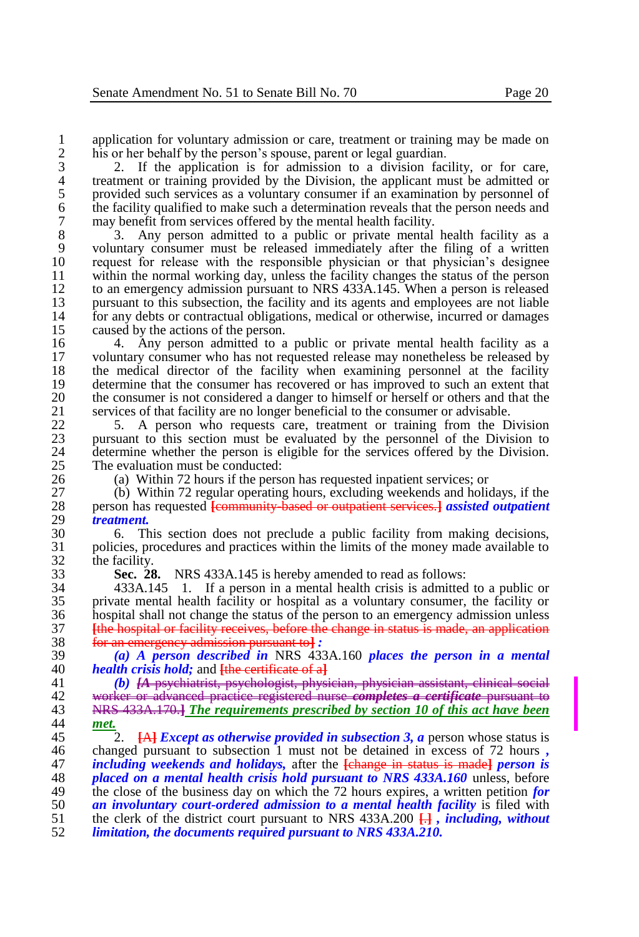1 application for voluntary admission or care, treatment or training may be made on<br>2 bis or her behalf by the person's spouse, parent or legal guardian. 2 his or her behalf by the person's spouse, parent or legal guardian.<br>
2. If the application is for admission to a division factor

3 2. If the application is for admission to a division facility, or for care, 4 treatment or training provided by the Division, the applicant must be admitted or<br>5 provided such services as a voluntary consumer if an examination by personnel of 5 provided such services as a voluntary consumer if an examination by personnel of the facility qualified to make such a determination reveals that the person needs and 6 the facility qualified to make such a determination reveals that the person needs and may benefit from services offered by the mental health facility. 7 may benefit from services offered by the mental health facility.<br>8 3. Any person admitted to a public or private mental

8 3. Any person admitted to a public or private mental health facility as a voluntary consumer must be released immediately after the filing of a written 9 voluntary consumer must be released immediately after the filing of a written 10 request for release with the responsible physician or that physician's designee<br>11 within the normal working day, unless the facility changes the status of the person 11 within the normal working day, unless the facility changes the status of the person<br>12 to an emergency admission pursuant to NRS 433A.145. When a person is released 12 to an emergency admission pursuant to NRS 433A.145. When a person is released<br>13 bursuant to this subsection, the facility and its agents and employees are not liable 13 pursuant to this subsection, the facility and its agents and employees are not liable<br>14 for any debts or contractual obligations, medical or otherwise, incurred or damages 14 for any debts or contractual obligations, medical or otherwise, incurred or damages caused by the actions of the person. 15 caused by the actions of the person.<br>16 4. Any person admitted to a

16 4. Any person admitted to a public or private mental health facility as a<br>17 voluntary consumer who has not requested release may nonetheless be released by 17 voluntary consumer who has not requested release may nonetheless be released by 18 the medical director of the facility when examining personnel at the facility<br>19 determine that the consumer has recovered or has improved to such an extent that 19 determine that the consumer has recovered or has improved to such an extent that the consumer is not considered a danger to himself or herself or others and that the 20 the consumer is not considered a danger to himself or herself or others and that the services of that facility are no longer beneficial to the consumer or advisable. 21 services of that facility are no longer beneficial to the consumer or advisable.<br>22. 5. A person who requests care, treatment or training from the D

22 5. A person who requests care, treatment or training from the Division 23 pursuant to this section must be evaluated by the personnel of the Division to 23 pursuant to this section must be evaluated by the personnel of the Division to 24 determine whether the person is eligible for the services offered by the Division. 24 determine whether the person is eligible for the services offered by the Division.<br>25 The evaluation must be conducted: 25 The evaluation must be conducted:<br>26 (a) Within 72 hours if the person

26 (a) Within 72 hours if the person has requested inpatient services; or 27 (b) Within 72 regular operating hours, excluding weekends and holic

27 (b) Within 72 regular operating hours, excluding weekends and holidays, if the person has requested **Leonymunity** hased or outpatient services al assisted outpatient 28 person has requested **[**community-based or outpatient services.**]** *assisted outpatient*  29 *treatment.*

30 6. This section does not preclude a public facility from making decisions, 31 policies, procedures and practices within the limits of the money made available to  $\begin{array}{cc} 32 \\ 33 \end{array}$  the facility.<br> **Sec. 28** 

33 **Sec. 28.** NRS 433A.145 is hereby amended to read as follows:

 433A.145 1. If a person in a mental health crisis is admitted to a public or private mental health facility or hospital as a voluntary consumer, the facility or 36 hospital shall not change the status of the person to an emergency admission unless<br>37 **The hospital or facility receives** before the change in status is made, an application **[**the hospital or facility receives, before the change in status is made, an application for an emergency admission pursuant to**]** *:*

39 *(a) A person described in* NRS 433A.160 *places the person in a mental*  40 *health crisis hold;* and <del>[the certificate of a]</del><br>41 *(b) LA* psychiatrist, psychologist, physi

 *(b) [A* psychiatrist, psychologist, physician, physician assistant, clinical social worker or advanced practice registered nurse *completes a certificate* pursuant to NRS 433A.170.**]** *The requirements prescribed by section 10 of this act have been*  met.

45 2. **[A]** *Except as otherwise provided in subsection 3, a* **person whose status is changed pursuant to subsection 1 must not be detained in excess of 72 hours.** 46 changed pursuant to subsection 1 must not be detained in excess of 72 hours *,*  $i\pi$  *including weekends and holidays*, after the *change in status is madel person is including weekends and holidays,* after the **[**change in status is made**]** *person is placed on a mental health crisis hold pursuant to NRS 433A.160* **unless, before the close of the business day on which the 72 hours expires, a written petition for** 49 the close of the business day on which the 72 hours expires, a written petition *for* an *involuntary court-ordered admission to a mental health facility* is filed with *an involuntary court-ordered admission to a mental health facility* is filed with the clerk of the district court pursuant to NRS 433A.200  $\Box$ **i**, *including, without*  the clerk of the district court pursuant to NRS 433A.200 **[**.**]** *, including, without limitation, the documents required pursuant to NRS 433A.210.*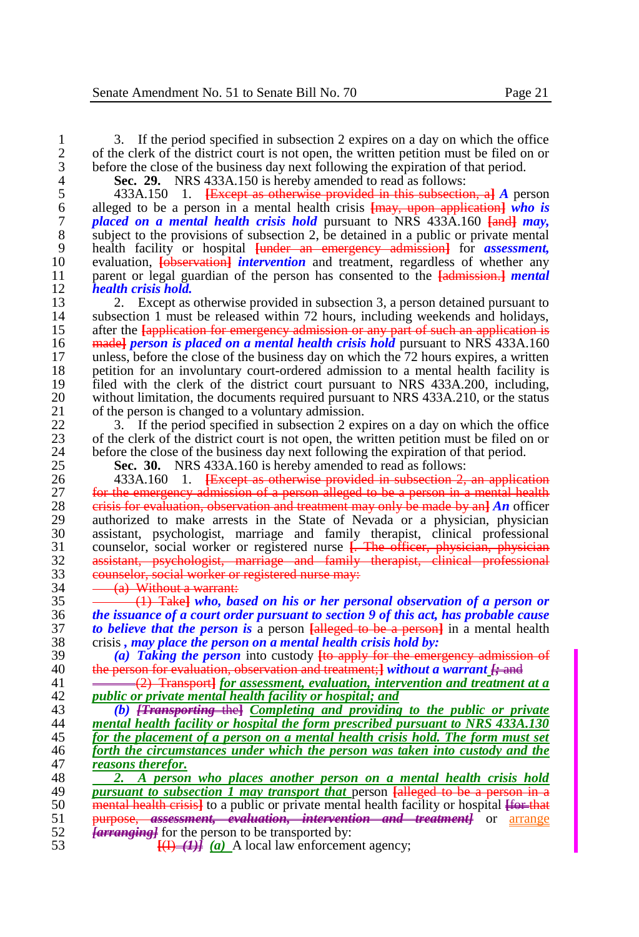1 3. If the period specified in subsection 2 expires on a day on which the office<br>2 of the clerk of the district court is not open, the written petition must be filed on or 2 of the clerk of the district court is not open, the written petition must be filed on or before the close of the business day next following the expiration of that period. 3 before the close of the business day next following the expiration of that period.<br>4 **Sec. 29.** NRS 433A.150 is hereby amended to read as follows:

**Sec. 29.** NRS 433A.150 is hereby amended to read as follows:<br>5 433A.150 1. <del>IExcept as otherwise provided in this subsection</del>

5 433A.150 1. **[**Except as otherwise provided in this subsection, a**]** *A* person 6 alleged to be a person in a mental health crisis **[**may, upon application**]** *who is placed on a mental health crisis hold* pursuant to NRS 433A.160  $\frac{1}{2}$  *may*, subject to the provisions of subsection 2, be detained in a public or private mental 8 subject to the provisions of subsection 2, be detained in a public or private mental<br>9 health facility or hospital  $\frac{F}{R}$  the emergency admission of the assessment. 9 health facility or hospital <del>[under an emergency admission]</del> for *assessment*, <br>10 evaluation. **I**observation, *intervention* and treatment, regardless of whether any 10 evaluation, **[observation]** *intervention* and treatment, regardless of whether any parent or legal guardian of the person has consented to the *fadmission-1 mental* 11 parent or legal guardian of the person has consented to the <del>[admission.]</del> *mental* 12 *health crisis hold.* 12 *health crisis hold.*

13 2. Except as otherwise provided in subsection 3, a person detained pursuant to subsection 1 must be released within 72 hours, including weekends and holidays. 14 subsection 1 must be released within 72 hours, including weekends and holidays, after the lapplication for emergency admission or any part of such an application is 15 after the **[**application for emergency admission or any part of such an application is 16 made**]** *person is placed on a mental health crisis hold* pursuant to NRS 433A.160 17 unless, before the close of the business day on which the 72 hours expires, a written 18 perception for an involuntary court-ordered admission to a mental health facility is 18 petition for an involuntary court-ordered admission to a mental health facility is<br>19 filed with the clerk of the district court pursuant to NRS 433A.200, including. 19 filed with the clerk of the district court pursuant to NRS 433A.200, including,<br>20 without limitation, the documents required pursuant to NRS 433A.210, or the status 20 without limitation, the documents required pursuant to NRS 433A.210, or the status of the person is changed to a voluntary admission. 21 of the person is changed to a voluntary admission.<br>22  $\frac{3}{2}$ . If the period specified in subsection 2 exp

22 3. If the period specified in subsection 2 expires on a day on which the office<br>23 of the clerk of the district court is not open, the written petition must be filed on or 23 of the clerk of the district court is not open, the written petition must be filed on or before the close of the business day next following the expiration of that period. 24 before the close of the business day next following the expiration of that period.<br>25 **Sec. 30.** NRS 433A.160 is hereby amended to read as follows:

**Sec. 30.** NRS 433A.160 is hereby amended to read as follows:<br>26 433A.160 1. <del>IExcept as otherwise provided in subsection 2.</del> 433A.160 1. **[**Except as otherwise provided in subsection 2, an application **for the emergency admission of a person alleged to be a person in a mental health**<br>28 **exists for evaluation, observation and treatment may only be made by an]** *An* officer crisis for evaluation, observation and treatment may only be made by an**]** *An* officer 29 authorized to make arrests in the State of Nevada or a physician, physician<br>30 assistant, psychologist, marriage and family therapist, clinical professional 30 assistant, psychologist, marriage and family therapist, clinical professional counselor, social worker or registered nurse **F**. The officer, physician, physician counselor, social worker or registered nurse **[**. The officer, physician, physician assistant, psychologist, marriage and family therapist, clinical professional 33 counselor, social worker or registered nurse may:<br>34 (a) Without a warrant:

 $34 \qquad (a) \text{ Without a warrant:}$ <br> $35 \qquad (1) \text{ Take } who, \text{ back}$ 

 (1) Take**]** *who, based on his or her personal observation of a person or the issuance of a court order pursuant to section 9 of this act, has probable cause*  **to believe that the person is a person <del>[alleged to be a person]</del> in a mental health crisis, may place the person on a mental health crisis hold by:** crisis *, may place the person on a mental health crisis hold by:*

39 *(a) Taking the person* into custody **[**to apply for the emergency admission of 40 the person for evaluation, observation and treatment;**}** without a warrant  $f_f$  and 41  $\longrightarrow$   $(2)$  Transport *a* for assessment, evaluation, intervention and treatment

41 (2) Transport**]** *for assessment, evaluation, intervention and treatment at a*  42 *public or private mental health facility or hospital; and*

 *(b) [Transporting* the**]** *Completing and providing to the public or private*  mental health facility or hospital the form prescribed pursuant to NRS 433A.130 *for the placement of a person on a mental health crisis hold. The form must set forth the circumstances under which the person was taken into custody and the reasons therefor. reasons therefor.*

48 **2.** A person who places another person on a mental health crisis hold **pairs** and **pairs** and **pairs** and **pairs** and **pairs** and **pairs** and **pairs** and **pairs** and **pairs** and **pairs** and **pairs** and **pairs** and **pai** *pursuant to subsection 1 may transport that* **person <del>[alleged to be a person in a</del><br>50 <b>mental health crisis** to a public or private mental health facility or hospital <del>Hor that</del> 50 **mental health crisis** to a public or private mental health facility or hospital <del>[for that</del> 51 **purpose, assessment, evaluation, intervention and treatment** or arrange 51 purpose, *assessment, evaluation, intervention and treatment]* or <u>arrange</u><br>52 *Carrancinel* for the person to be transported by: 52 *[arranging]* for the person to be transported by:<br>53 **[(b) (d)** A local law enforceme

 $\overline{(1) \cdot (1)}$  *(a)* A local law enforcement agency;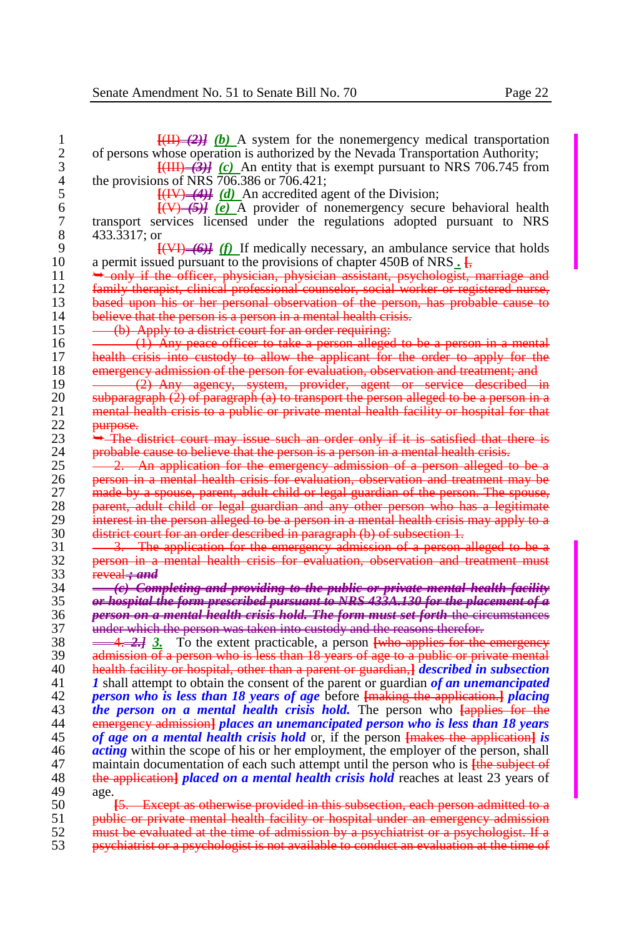| 1              | $\frac{[11] - (2)}{[11] - (2)}$ (b) A system for the nonemergency medical transportation            |
|----------------|-----------------------------------------------------------------------------------------------------|
| $\overline{c}$ | of persons whose operation is authorized by the Nevada Transportation Authority;                    |
| 3              | $\frac{1}{1}$ . (a) An entity that is exempt pursuant to NRS 706.745 from                           |
| 4              | the provisions of NRS 706.386 or 706.421;                                                           |
| 5              | $\frac{[H]}{[H]}$ ( <i>d</i> ) An accredited agent of the Division;                                 |
| 6              | $\frac{f(V)-f(J)}{f(V)}$ (e) A provider of nonemergency secure behavioral health                    |
| $\overline{7}$ | transport services licensed under the regulations adopted pursuant to NRS                           |
| 8              | 433.3317; or                                                                                        |
| 9              | $\frac{[V]}{[V]}$ (f) If medically necessary, an ambulance service that holds                       |
| 10             | a permit issued pursuant to the provisions of chapter 450B of NRS.                                  |
| 11             | only if the officer, physician, physician assistant, psychologist, marriage and                     |
| 12             | family therapist, clinical professional counselor, social worker or registered nurse,               |
| 13             |                                                                                                     |
|                | based upon his or her personal observation of the person, has probable cause to                     |
| 14             | believe that the person is a person in a mental health crisis.                                      |
| 15             | (b) Apply to a district court for an order requiring.                                               |
| 16             | $(1)$ Any peace officer to take a person alleged to be a person in a mental                         |
| 17             | health crisis into custody to allow the applicant for the order to apply for the                    |
| 18             | emergency admission of the person for evaluation, observation and treatment; and                    |
| 19             | (2) Any agency, system, provider, agent or service described in                                     |
| 20             | subparagraph $(2)$ of paragraph $(a)$ to transport the person alleged to be a person in a           |
| 21             | mental health crisis to a public or private mental health facility or hospital for that             |
| 22             | purpose.                                                                                            |
| 23             | $\rightarrow$ The district court may issue such an order only if it is satisfied that there is      |
| 24             | probable cause to believe that the person is a person in a mental health crisis.                    |
| 25             | 2. An application for the emergency admission of a person alleged to be a                           |
| 26             | person in a mental health crisis for evaluation, observation and treatment may be                   |
| 27             | made by a spouse, parent, adult child or legal guardian of the person. The spouse,                  |
| 28             | parent, adult child or legal guardian and any other person who has a legitimate                     |
| 29             | interest in the person alleged to be a person in a mental health crisis may apply to a              |
| 30             | district court for an order described in paragraph (b) of subsection 1.                             |
| 31             | 3. The application for the emergency admission of a person alleged to be a                          |
| 32             | person in a mental health crisis for evaluation, observation and treatment must                     |
| 33             | reveal + and                                                                                        |
| 34             | (c) Completing and providing to the public or private mental health facility                        |
| 35             | or hospital the form prescribed pursuant to NRS 433A.130 for the placement of a                     |
| 36             | person on a mental health crisis hold. The form must set forth the circumstances                    |
| 37             | under which the person was taken into custody and the reasons therefor.                             |
| 38             | To the extent practicable, a person <b>[who applies for the emergency</b><br><del>- 4. 2.]</del> 3. |
| 39             | admission of a person who is less than 18 years of age to a public or private mental                |
| 40             | health facility or hospital, other than a parent or guardian, <i>described in subsection</i>        |
| 41             | I shall attempt to obtain the consent of the parent or guardian of an unemancipated                 |
| 42             | <i>person who is less than 18 years of age before [making the application.] placing</i>             |
| 43             | <i>the person on a mental health crisis hold</i> . The person who <b>[applies for the</b>           |
| 44             | emergency admission] places an unemancipated person who is less than 18 years                       |
| 45             | of age on a mental health crisis hold or, if the person [makes the application] is                  |
| 46             | <i>acting</i> within the scope of his or her employment, the employer of the person, shall          |
| 47             | maintain documentation of each such attempt until the person who is <b>the subject of</b>           |
| 48             | the application <i>placed on a mental health crisis hold</i> reaches at least 23 years of           |
| 49             | age.                                                                                                |
| 50             | <b>[5.</b> Except as otherwise provided in this subsection, each person admitted to a               |
| 51             | public or private mental health facility or hospital under an emergency admission                   |
| $\epsilon$     | in the coordinate does not also ideas a fighter than the composition that are a second              |

52 must be evaluated at the time of admission by a psychiatrist or a psychologist. If a psychiatrist or a psychologist is not available to conduct an evaluation at the time of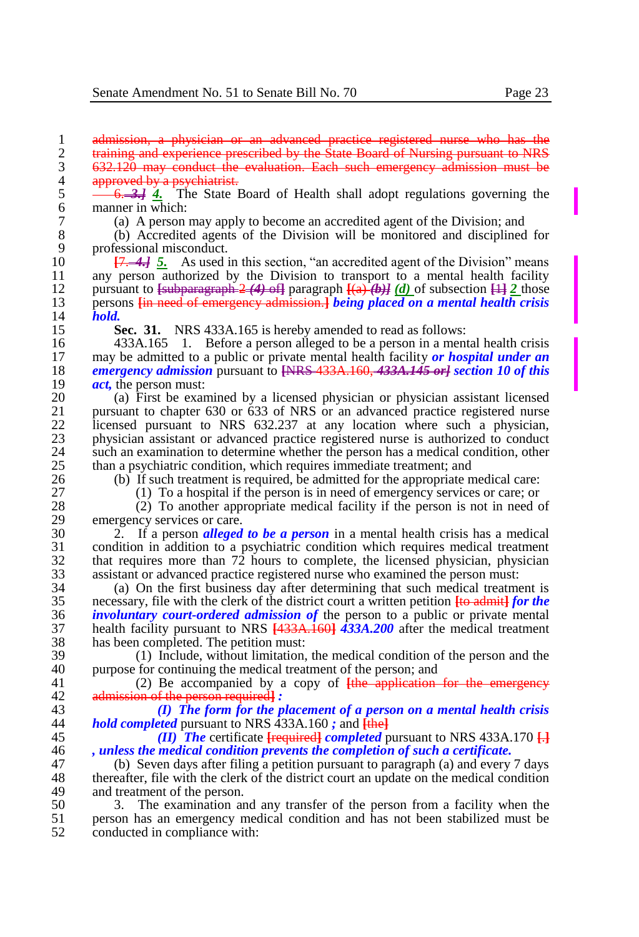1 admission, a physician or an advanced practice registered nurse who has the<br>2 training and experience prescribed by the State Board of Nursing pursuant to NRS 2 training and experience prescribed by the State Board of Nursing pursuant to NRS<br>3 632.120 may conduct the evaluation. Each such emergency admission must be 3 632.120 may conduct the evaluation. Each such emergency admission must be 4 approved by a psychiatrist.

5 <del>6. 3.]</del> 4. The State Board of Health shall adopt regulations governing the 6 manner in which:<br>7 (a) A person

7 (a) A person may apply to become an accredited agent of the Division; and

8 (b) Accredited agents of the Division will be monitored and disciplined for 9 professional misconduct.<br>10  $\overline{17,-4}$  5. As used i

10 **[7. 4.] 5.** As used in this section, "an accredited agent of the Division" means 11 any person authorized by the Division to transport to a mental health facility 11 any person authorized by the Division to transport to a mental health facility<br>12 mursuant to <del>Euchnaria rank 2(4) of</del> paragraph  $[(a)$  (b) of subsection  $\Box$  2 those 12 pursuant to  $\frac{1}{2}$  pursuant to  $\frac{1}{2}$  of  $\frac{1}{2}$  paragraph  $\frac{1}{2}$  (a)  $\frac{1}{2}$  of subsection  $\frac{11}{2}$  those persons  $\frac{1}{2}$  paragraph *being placed on a mental health crisis* 13 persons **[**in need of emergency admission.**]** *being placed on a mental health crisis*  14 *hold.*

15 **Sec. 31.** NRS 433A.165 is hereby amended to read as follows:

16 433A.165 1. Before a person alleged to be a person in a mental health crisis may be admitted to a public or private mental health facility or *hospital under an*  may be admitted to a public or private mental health facility *or hospital under an emergency admission* pursuant to <del>[NRS 433A.160, 433A.145 or]</del> *section 10 of this*  $act.$  the person must: *act*, the person must:<br>20 (a) First be examents

20 (a) First be examined by a licensed physician or physician assistant licensed 21 pursuant to chapter 630 or 633 of NRS or an advanced practice registered nurse<br>22. licensed pursuant to NRS 632.237 at any location where such a physician. 22 licensed pursuant to NRS 632.237 at any location where such a physician,<br>23 physician assistant or advanced practice registered nurse is authorized to conduct 23 physician assistant or advanced practice registered nurse is authorized to conduct such an examination to determine whether the person has a medical condition, other 24 such an examination to determine whether the person has a medical condition, other than a psychiatric condition, which requires immediate treatment: and 25 than a psychiatric condition, which requires immediate treatment; and 26 (b) If such treatment is required, be admitted for the appropriate n

26 (b) If such treatment is required, be admitted for the appropriate medical care:<br>27 (1) To a hospital if the person is in need of emergency services or care: or

27 (1) To a hospital if the person is in need of emergency services or care; or 28 (2) To another appropriate medical facility if the person is not in need of

28 (2) To another appropriate medical facility if the person is not in need of 29 emergency services or care.<br>30  $2.$  If a person alleged

 2. If a person *alleged to be a person* in a mental health crisis has a medical condition in addition to a psychiatric condition which requires medical treatment that requires more than  $72$  hours to complete, the licensed physician, physician assistant or advanced practice registered nurse who examined the person must: assistant or advanced practice registered nurse who examined the person must:

34 (a) On the first business day after determining that such medical treatment is necessary, file with the clerk of the district court a written petition  $\frac{1}{16}$  admit  $\frac{1}{16}$  or the 35 necessary, file with the clerk of the district court a written petition **[**to admit**]** *for the*  36 *involuntary court-ordered admission of* the person to a public or private mental 37 health facility pursuant to NRS **[**433A.160**]** *433A.200* after the medical treatment 38 has been completed. The petition must:<br>39 (1) Include, without limitation.

39 (1) Include, without limitation, the medical condition of the person and the nurose for continuing the medical treatment of the person: and 40 purpose for continuing the medical treatment of the person; and  $(2)$  Be accompanied by a copy of  $\frac{1}{2}$  He application

41 (2) Be accompanied by a copy of **[**the application for the emergency 42 admission of the person required**]** *:*

43 *(I) The form for the placement of a person on a mental health crisis*  44 *hold completed* pursuant to NRS 433A.160 *;* and **[**the**]**

45 *(II) The* certificate **[**required**]** *completed* pursuant to NRS 433A.170 **[**.**]** 46 *, unless the medical condition prevents the completion of such a certificate.*

47 (b) Seven days after filing a petition pursuant to paragraph (a) and every 7 days 48 thereafter, file with the clerk of the district court an update on the medical condition<br>49 and treatment of the person. 49 and treatment of the person.<br>50 3. The examination are

50 3. The examination and any transfer of the person from a facility when the 51 berson has an emergency medical condition and has not been stabilized must be 51 person has an emergency medical condition and has not been stabilized must be conducted in compliance with: conducted in compliance with: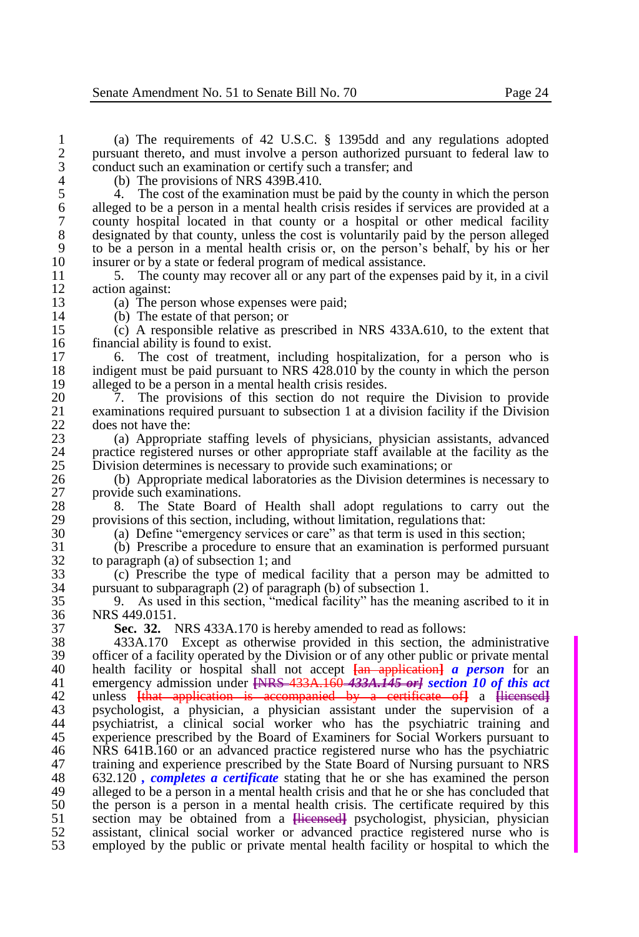1 (a) The requirements of 42 U.S.C. § 1395dd and any regulations adopted 2 pursuant thereto, and must involve a person authorized pursuant to federal law to conduct such an examination or certify such a transfer; and 3 conduct such an examination or certify such a transfer; and 4 (b) The provisions of NRS 439B.410.

4 (b) The provisions of NRS 439B.410.<br>5 4. The cost of the examination must 5 4. The cost of the examination must be paid by the county in which the person alleged to be a person in a mental health crisis resides if services are provided at a 6 alleged to be a person in a mental health crisis resides if services are provided at a 7 county hospital located in that county or a hospital or other medical facility<br>8 designated by that county, unless the cost is voluntarily paid by the person alleged 8 designated by that county, unless the cost is voluntarily paid by the person alleged<br>9 to be a person in a mental health crisis or, on the person's behalf, by his or her 9 to be a person in a mental health crisis or, on the person's behalf, by his or her 10 insurer or by a state or federal program of medical assistance.<br>11 5. The county may recover all or any part of the expense

11 5. The county may recover all or any part of the expenses paid by it, in a civil 12 action against:<br>13 (a) The pe

13 (a) The person whose expenses were paid;<br>14 (b) The estate of that person: or

14 (b) The estate of that person; or<br>15 (c) A responsible relative as pr

15 (c) A responsible relative as prescribed in NRS 433A.610, to the extent that 16 financial ability is found to exist.<br>17 6 The cost of treatment.

17 6. The cost of treatment, including hospitalization, for a person who is 18 indigent must be paid pursuant to NRS 428.010 by the county in which the person<br>19 alleged to be a person in a mental health crisis resides. 19 alleged to be a person in a mental health crisis resides.<br>20 7 The provisions of this section do not required.

20 7. The provisions of this section do not require the Division to provide<br>21 examinations required pursuant to subsection 1 at a division facility if the Division 21 examinations required pursuant to subsection 1 at a division facility if the Division does not have the: 22 does not have the:<br>23 (a) Appropria

23 (a) Appropriate staffing levels of physicians, physician assistants, advanced 24 practice registered nurses or other appropriate staff available at the facility as the 25 Division determines is necessary to provide such examinations: or 25 Division determines is necessary to provide such examinations; or 26 (b) Appropriate medical laboratories as the Division determine

26 (b) Appropriate medical laboratories as the Division determines is necessary to 27 provide such examinations.<br>28 8 The State Board

28 8. The State Board of Health shall adopt regulations to carry out the provisions of this section, including, without limitation, regulations that: 29 provisions of this section, including, without limitation, regulations that:<br>30 (a) Define "emergency services or care" as that term is used in this s

30 (a) Define "emergency services or care" as that term is used in this section;<br>31 (b) Prescribe a procedure to ensure that an examination is performed pursi-

31 (b) Prescribe a procedure to ensure that an examination is performed pursuant  $32$  to paragraph (a) of subsection 1; and<br> $33$  (c) Prescribe the type of medic

 $33$  (c) Prescribe the type of medical facility that a person may be admitted to nursuant to subparagraph (2) of paragraph (b) of subsection 1. 34 pursuant to subparagraph (2) of paragraph (b) of subsection 1.<br>35 9. As used in this section, "medical facility" has the mea

35 9. As used in this section, "medical facility" has the meaning ascribed to it in 36 NRS 449.0151.<br>37 Sec. 32.

37 **Sec. 32.** NRS 433A.170 is hereby amended to read as follows:

38 433A.170 Except as otherwise provided in this section, the administrative 39 officer of a facility operated by the Division or of any other public or private mental  $\frac{40}{2}$  health facility or bospital shall not accept  $\frac{1}{4}$  a person for an 40 health facility or hospital shall not accept **[**an application**]** *a person* for an 41 emergency admission under **[**NRS 433A.160 *433A.145 or] section 10 of this act*  42 unless **[**that application is accompanied by a certificate of**]** a **[**licensed**]** 43 psychologist, a physician, a physician assistant under the supervision of a 44 psychiatrist, a clinical social worker who has the psychiatric training and 45 experience prescribed by the Board of Examiners for Social Workers pursuant to <br>46 NRS 641B.160 or an advanced practice registered nurse who has the psychiatric 16 1886 NRS 641B.160 or an advanced practice registered nurse who has the psychiatric 47 training and experience prescribed by the State Board of Nursing pursuant to NRS 47 training and experience prescribed by the State Board of Nursing pursuant to NRS<br>48 632.120, completes a certificate stating that he or she has examined the person 48 632.120 *, completes a certificate* stating that he or she has examined the person 49 alleged to be a person in a mental health crisis and that he or she has concluded that the person is a person in a mental health crisis. The certificate required by this 50 the person is a person in a mental health crisis. The certificate required by this section may be obtained from a Herman proved psychologist, physician, physician 51 section may be obtained from a **[**licensed**]** psychologist, physician, physician 52 assistant, clinical social worker or advanced practice registered nurse who is employed by the public or private mental health facility or hospital to which the 53 employed by the public or private mental health facility or hospital to which the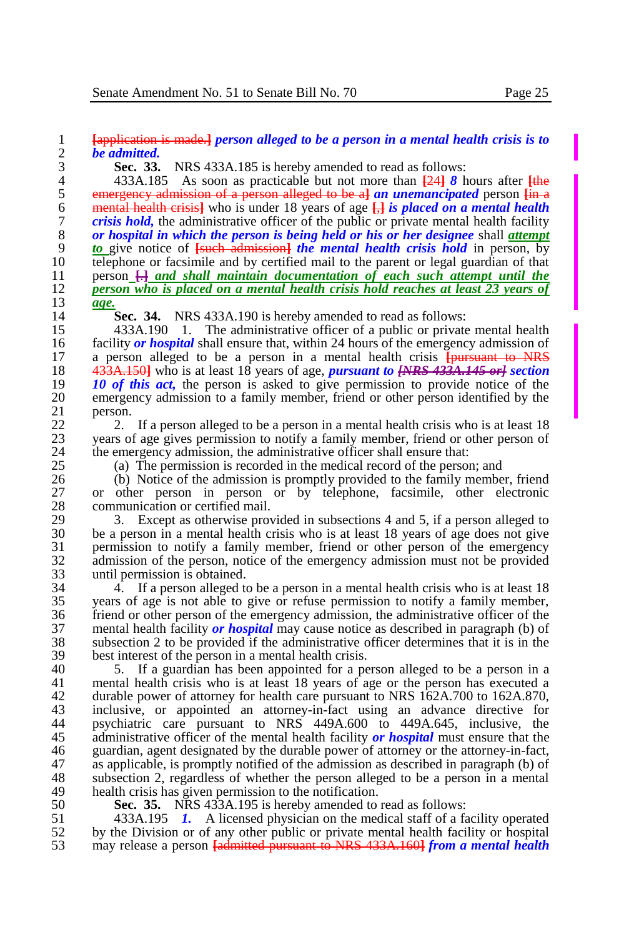# 1 **[**application is made.**]** *person alleged to be a person in a mental health crisis is to*  2 *be admitted.*

**Sec. 33.** NRS 433A.185 is hereby amended to read as follows:<br>4 433A.185 As soon as practicable but not more than  $\frac{1241}{8}$  h

4 433A.185 As soon as practicable but not more than  $\frac{241}{8}$  *8* hours after  $\frac{1}{2}$  **emergency admission of a person alleged to be al** *an unemancipated* **person lin a** 5 emergency admission of a person alleged to be a**]** *an unemancipated* person **[**in a 6 mental health crisis**]** who is under 18 years of age **[**,**]** *is placed on a mental health*  7 *crisis hold,* the administrative officer of the public or private mental health facility<br>8 *or hospital in which the person is being held or his or her designee shall attempt* 8 *or hospital in which the person is being held or his or her designee* shall *attempt*  9 *to* give notice of **[**such admission**]** *the mental health crisis hold* in person, by 10 telephone or facsimile and by certified mail to the parent or legal guardian of that  $11$  person  $\Box$  and shall maintain documentation of each such attempt until the 11 person  $\frac{[1]}{[1]}$  and shall maintain documentation of each such attempt until the **property** person who is placed on a mental health crisis hold reaches at least 23 years of 12 *person who is placed on a mental health crisis hold reaches at least 23 years of*  13 *age.*

14 **Sec. 34.** NRS 433A.190 is hereby amended to read as follows:<br>15 433A.190 1. The administrative officer of a public or private

15 433A.190 1. The administrative officer of a public or private mental health 16 facility *or hospital* shall ensure that, within 24 hours of the emergency admission of 16 facility *or hospital* shall ensure that, within 24 hours of the emergency admission of 17 a person alleged to be a person in a mental health crisis **fourwant** to NRS 17 a person alleged to be a person in a mental health crisis **[**pursuant to NRS 18 433A.150**]** who is at least 18 years of age, *pursuant to [NRS 433A.145 or] section*  19 **10 of this act,** the person is asked to give permission to provide notice of the emergency admission to a family member, friend or other person identified by the 20 emergency admission to a family member, friend or other person identified by the  $\begin{array}{cc} 21 & \text{person.} \\ 22 & 2 \end{array}$ 

22 2. 2. 2. If a person alleged to be a person in a mental health crisis who is at least 18<br>23 vears of age gives permission to notify a family member, friend or other person of 23 years of age gives permission to notify a family member, friend or other person of the emergency admission, the administrative officer shall ensure that: 24 the emergency admission, the administrative officer shall ensure that:<br>25 (a) The permission is recorded in the medical record of the person

25 (a) The permission is recorded in the medical record of the person; and 26 (b) Notice of the admission is promptly provided to the family membe

26 (b) Notice of the admission is promptly provided to the family member, friend 27 or other person in person or by telephone. facsimile, other electronic 27 or other person in person or by telephone, facsimile, other electronic<br>28 communication or certified mail. 28 communication or certified mail.<br>29 3 Except as otherwise prov

29 3. Except as otherwise provided in subsections 4 and 5, if a person alleged to 30 be a person in a mental health crisis who is at least 18 years of age does not give 30 be a person in a mental health crisis who is at least 18 years of age does not give 31 permission to notify a family member, friend or other person of the emergency<br>32 admission of the person, notice of the emergency admission must not be provided 32 admission of the person, notice of the emergency admission must not be provided until permission is obtained. 33 until permission is obtained.<br>34 4 If a person alleged to

34 4. If a person alleged to be a person in a mental health crisis who is at least 18 vears of age is not able to give or refuse permission to notify a family member. 35 years of age is not able to give or refuse permission to notify a family member, 36 friend or other person of the emergency admission, the administrative officer of the mental health facility *or hospital* may cause notice as described in paragraph (b) of 37 mental health facility *or hospital* may cause notice as described in paragraph (b) of  $38$  subsection 2 to be provided if the administrative officer determines that it is in the best interest of the person in a mental health crisis. 39 best interest of the person in a mental health crisis.<br>40 5. If a guardian has been appointed for a per-

40 5. If a guardian has been appointed for a person alleged to be a person in a<br>41 mental health crisis who is at least 18 years of age or the person has executed a 41 mental health crisis who is at least 18 years of age or the person has executed a 42 durable power of attorney for health care pursuant to NRS 162A.700 to 162A.870,<br>43 inclusive, or appointed an attorney-in-fact using an advance directive for 43 inclusive, or appointed an attorney-in-fact using an advance directive for posed in the posterior are pursuant to NRS 449A.600 to 449A.645, inclusive, the psychiatric care pursuant to NRS 449A.600 to 449A.645, inclusive, the 45 administrative officer of the mental health facility *or hospital* must ensure that the guardian, agent designated by the durable power of attorney or the attorney-in-fact. 46 guardian, agent designated by the durable power of attorney or the attorney-in-fact, as applicable, is promptly notified of the admission as described in paragraph (b) of 47 as applicable, is promptly notified of the admission as described in paragraph (b) of subsection 2, regardless of whether the person alleged to be a person in a mental 48 subsection 2, regardless of whether the person alleged to be a person in a mental health crisis has given permission to the notification. 49 health crisis has given permission to the notification.<br>50 **Sec. 35.** NRS 433A.195 is hereby amended to

50 **Sec. 35.** NRS 433A.195 is hereby amended to read as follows:<br>51 433A.195 *I*. A licensed physician on the medical staff of a fa

51 433A.195 *1.* A licensed physician on the medical staff of a facility operated by the Division or of any other public or private mental health facility or hospital 53 may release a person **[**admitted pursuant to NRS 433A.160**]** *from a mental health*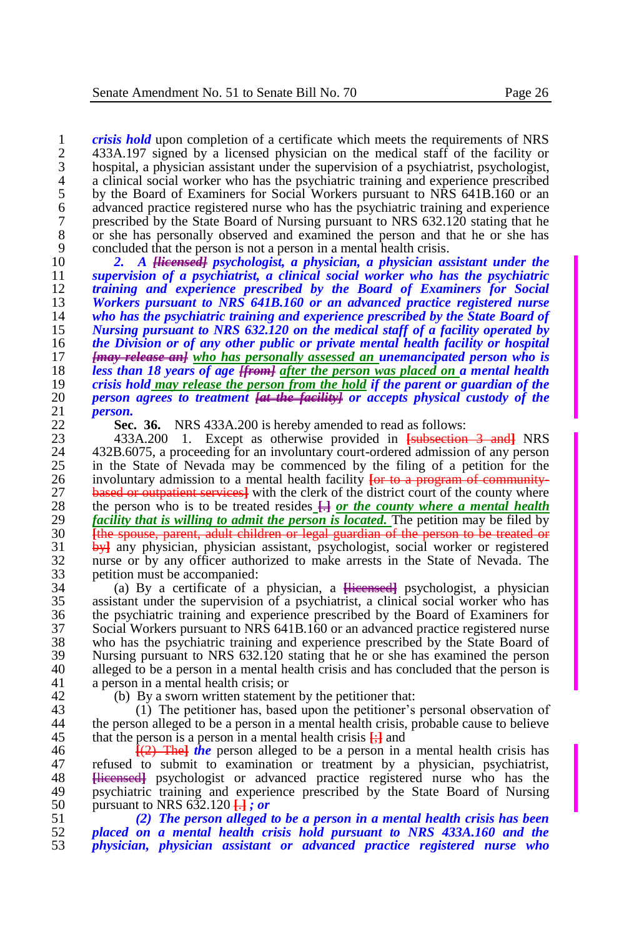1 *crisis hold* upon completion of a certificate which meets the requirements of NRS<br>2 433A.197 signed by a licensed physician on the medical staff of the facility or 2 433A.197 signed by a licensed physician on the medical staff of the facility or hospital, a physician assistant under the supervision of a psychiatrist, psychologist, 3 hospital, a physician assistant under the supervision of a psychiatrist, psychologist, 4 a clinical social worker who has the psychiatric training and experience prescribed<br>5 by the Board of Examiners for Social Workers pursuant to NRS 641B.160 or an 5 by the Board of Examiners for Social Workers pursuant to NRS 641B.160 or an advanced practice registered nurse who has the psychiatric training and experience 6 advanced practice registered nurse who has the psychiatric training and experience 7 prescribed by the State Board of Nursing pursuant to NRS 632.120 stating that he<br>8 or she has personally observed and examined the person and that he or she has 8 or she has personally observed and examined the person and that he or she has concluded that the person is not a person in a mental health crisis. 9 concluded that the person is not a person in a mental health crisis.<br>10 2. A Hierarge and *Hierarge and Division, a physician as* 

 *2. A [licensed] psychologist, a physician, a physician assistant under the supervision of a psychiatrist, a clinical social worker who has the psychiatric training and experience prescribed by the Board of Examiners for Social Workers pursuant to NRS 641B.160 or an advanced practice registered nurse who has the psychiatric training and experience prescribed by the State Board of Nursing pursuant to NRS 632.120 on the medical staff of a facility operated by the Division or of any other public or private mental health facility or hospital [may release an] who has personally assessed an unemancipated person who is less than 18 years of age <del>[from]</del> <u>after the person was placed on a</u> mental health <br>19 crisis hold may release the person from the hold if the parent or guardian of the crisis hold may release the person from the hold if the parent or guardian of the person agrees to treatment [at the facility] or accepts physical custody of the*  21 *person.* 

22 **Sec. 36.** NRS 433A.200 is hereby amended to read as follows:<br>23 433A.200 1. Except as otherwise provided in Launseeting

23 433A.200 1. Except as otherwise provided in **[**subsection 3 and**]** NRS 24 432B.6075, a proceeding for an involuntary court-ordered admission of any person<br>25 in the State of Nevada may be commenced by the filing of a petition for the 25 in the State of Nevada may be commenced by the filing of a petition for the involuntary admission to a mental health facility for to a program of community-26 involuntary admission to a mental health facility **[or to a program of community-**<br>27 **based or outpatient services** with the clerk of the district court of the county where 27 **based or outpatient services** with the clerk of the district court of the county where the nerson who is to be treated resides  $\Box$  or the county where a mental health 28 the person who is to be treated resides  $\frac{1}{12}$  or the county where a mental health  $29$  facility that is willing to admit the person is located. The petition may be filed by 29 *facility that is willing to admit the person is located*. The petition may be filed by<br>20 *f the spouse, parent, adult children or legal quardian of the person to be treated or* 30 **[**the spouse, parent, adult children or legal guardian of the person to be treated or <sup>31</sup> by any physician, physician assistant, psychologist, social worker or registered<br><sup>32</sup> nurse or by any officer authorized to make arrests in the State of Nevada. The 32 nurse or by any officer authorized to make arrests in the State of Nevada. The 33 petition must be accompanied:<br> $\begin{array}{cc} 34 & \text{(a) By a certificate of a} \end{array}$ 

34 (a) By a certificate of a physician, a **[**licensed**]** psychologist, a physician assistant under the supervision of a psychiatrist, a clinical social worker who has 36 the psychiatric training and experience prescribed by the Board of Examiners for Social Workers pursuant to NRS 641B.160 or an advanced practice registered nurse 37 Social Workers pursuant to NRS 641B.160 or an advanced practice registered nurse 38 who has the psychiatric training and experience prescribed by the State Board of 39 Nursing pursuant to NRS 632.120 stating that he or she has examined the person 39 Nursing pursuant to NRS 632.120 stating that he or she has examined the person alleged to be a person in a mental health crisis and has concluded that the person is 40 alleged to be a person in a mental health crisis and has concluded that the person is a nerson in a mental health crisis: or a person in a mental health crisis; or

42 (b) By a sworn written statement by the petitioner that:<br>43 (1) The petitioner has, based upon the petitioner's

43 (1) The petitioner has, based upon the petitioner's personal observation of the person alleged to be a person in a mental health crisis, probable cause to believe 44 the person alleged to be a person in a mental health crisis, probable cause to believe 45 that the person is a person in a mental health crisis  $\frac{1}{k}$  and 46  $\frac{1}{2}$  **[** $\frac{2}{k}$  **[** $\frac{2}{k}$  **]** The *l* the person alleged to be a person in a

 $[(2)$  The *the* person alleged to be a person in a mental health crisis has 47 refused to submit to examination or treatment by a physician, psychiatrist, 48 Hierased provention advanced practice registered nurse who has the 48 **Hicensed** psychologist or advanced practice registered nurse who has the new provention and experience prescribed by the State Board of Nursing 49 psychiatric training and experience prescribed by the State Board of Nursing<br>50 pursuant to NRS 632.120  $\Box$  i or 50 pursuant to NRS 632.120 **[**.**]** *; or*

51 *(2) The person alleged to be a person in a mental health crisis has been*  52 *placed on a mental health crisis hold pursuant to NRS 433A.160 and the*  53 *physician, physician assistant or advanced practice registered nurse who*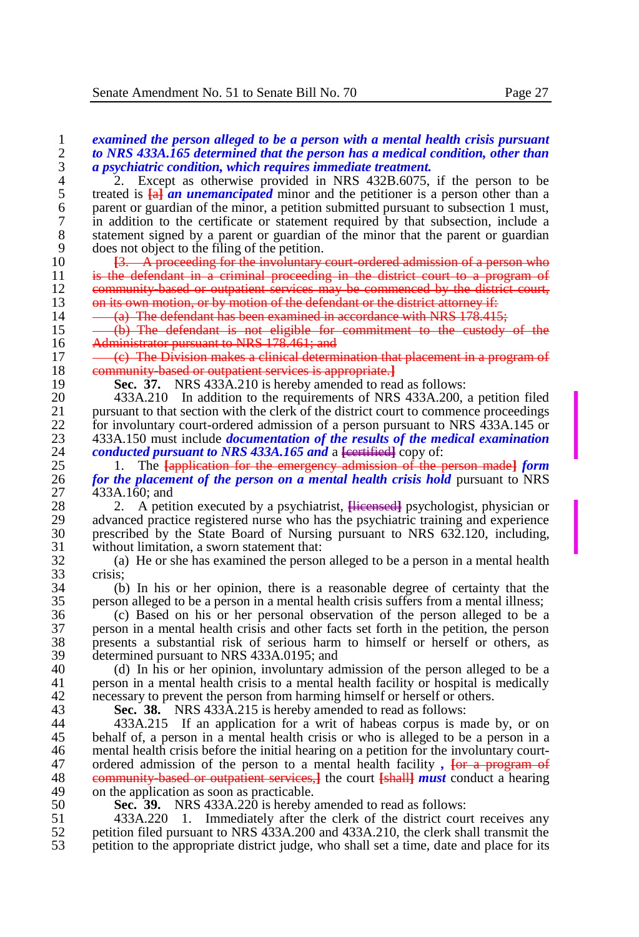<sup>2</sup>. Except as otherwise provided in NRS 432B.6075, if the person to be treated is  $\frac{1}{2}$  and *unemancipated* minor and the petitioner is a person other than a 5 treated is  $\frac{1}{2}$  **an unemancipated** minor and the petitioner is a person other than a parent or guardian of the minor, a petition submitted pursuant to subsection 1 must. 6 parent or guardian of the minor, a petition submitted pursuant to subsection 1 must,<br>
<sup>7</sup> in addition to the certificate or statement required by that subsection, include a 7 in addition to the certificate or statement required by that subsection, include a 8 statement signed by a parent or guardian of the minor that the parent or guardian<br>9 does not object to the filing of the petition. 9 does not object to the filing of the petition.<br>10  $\overline{3}$ . A proceeding for the involuntary

10 **[3. A proceeding for the involuntary court-ordered admission of a person who**<br>11 **is the defendant in a criminal proceeding in the district court to a program of** 11 is the defendant in a criminal proceeding in the district court to a program of<br>12 community based or outpatient services may be commenced by the district court. 12 community-based or outpatient services may be commenced by the district court,<br>13 on its own motion, or by motion of the defendant or the district attorney if: 13 on its own motion, or by motion of the defendant or the district attorney if:<br>14  $\frac{(-4)}{2}$  The defendant has been examined in accordance with NRS 178 415

14  $-\frac{a}{b}$  The defendant has been examined in accordance with NRS 178.415;<br>15  $-\frac{b}{c}$  The defendant is not eligible for commitment to the custody

 $15 \longrightarrow$  (b) The defendant is not eligible for commitment to the custody of the  $\overrightarrow{AB}$  Administrator pursuant to NRS 178.461; and 16 Administrator pursuant to NRS 178.461; and<br>17  $-\frac{(c)}{c}$ . The Division makes a clinical determ

17 (c) The Division makes a clinical determination that placement in a program of 18 community-based or outpatient services is appropriate.<sup>1</sup><br>19 **Sec. 37.** NRS 433A.210 is hereby amended to read

19 **Sec. 37.** NRS 433A.210 is hereby amended to read as follows:<br>20 433A.210 In addition to the requirements of NRS 433A.200.

20 433A.210 In addition to the requirements of NRS 433A.200, a petition filed<br>21 bursuant to that section with the clerk of the district court to commence proceedings 21 pursuant to that section with the clerk of the district court to commence proceedings<br>22 for involuntary court-ordered admission of a person pursuant to NRS 433A.145 or 22 for involuntary court-ordered admission of a person pursuant to NRS  $\frac{433A.145}{433A.150}$  must include *documentation of the results of the medical examination* 23 433A.150 must include *documentation of the results of the medical examination*  24 *conducted pursuant to NRS 433A.165 and* a **[**eertified] copy of:<br>25 **b** 1. The **Lapplication** for the emergency admission of the r

25 1. The **[**application for the emergency admission of the person made**]** *form*  26 *for the placement of the person on a mental health crisis hold* pursuant to NRS<br>27 433A.160; and 27 433A.160; and<br>28 2. A petit

28 2. A petition executed by a psychiatrist,  $\frac{1}{2}$  psychologist, physician or advanced practice registered nurse who has the psychiatric training and experience 29 advanced practice registered nurse who has the psychiatric training and experience<br>30 prescribed by the State Board of Nursing pursuant to NRS 632.120, including 30 prescribed by the State Board of Nursing pursuant to NRS 632.120, including, without limitation, a sworn statement that: 31 without limitation, a sworn statement that:<br>32 (a) He or she has examined the person

32 (a) He or she has examined the person alleged to be a person in a mental health  $33$  crisis;<br> $34$  (b)

34 (b) In his or her opinion, there is a reasonable degree of certainty that the 35 person alleged to be a person in a mental health crisis suffers from a mental illness;

36 (c) Based on his or her personal observation of the person alleged to be a 37 person in a mental health crisis and other facts set forth in the petition, the person 38 presents a substantial risk of serious harm to himself or herself or others, as determined pursuant to NRS 433A 0195; and 39 determined pursuant to NRS 433A.0195; and  $\overline{40}$  (d) In his or her opinion, involuntary ad

40 (d) In his or her opinion, involuntary admission of the person alleged to be a<br>41 merson in a mental health crisis to a mental health facility or hospital is medically 41 person in a mental health crisis to a mental health facility or hospital is medically 42 necessary to prevent the person from harming himself or herself or others.<br>43 **Sec. 38.** NRS 433A 215 is hereby amended to read as follows:

43 **Sec. 38.** NRS 433A.215 is hereby amended to read as follows:

44 433A.215 If an application for a writ of habeas corpus is made by, or on 45 behalf of, a person in a mental health crisis or who is alleged to be a person in a<br>46 mental health crisis before the initial hearing on a petition for the involuntary courtmental health crisis before the initial hearing on a petition for the involuntary court-47 ordered admission of the person to a mental health facility,  $\frac{1}{1}$  **[or a program of 48** community based or outpatient services.] the court **[shall]** must conduct a hearing 48 community-based or outpatient services,**]** the court **[**shall**]** *must* conduct a hearing 49 on the application as soon as practicable.<br>50 **Sec. 39.** NRS 433A 220 is hereby:

50 **Sec. 39.** NRS 433A.220 is hereby amended to read as follows:

51 433A.220 1. Immediately after the clerk of the district court receives any<br>52 pertition filed pursuant to NRS 433A 200 and 433A 210, the clerk shall transmit the 52 petition filed pursuant to NRS 433A.200 and 433A.210, the clerk shall transmit the 53 petition to the appropriate district judge, who shall set a time, date and place for its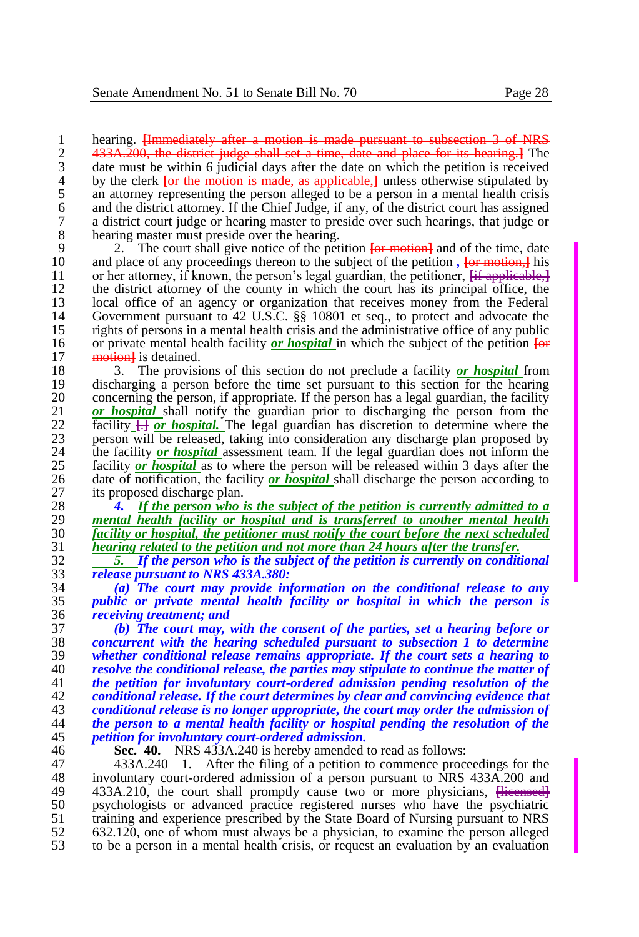1 hearing. <del>[Immediately after a motion is made pursuant to subsection 3 of NRS</del><br>2 433A.200, the district judge shall set a time, date and place for its hearing. The 2 433A.200, the district judge shall set a time, date and place for its hearing.**]** The 3 date must be within 6 judicial days after the date on which the petition is received<br>4 by the clerk  $\overline{1}$  to the motion is made, as applicable. The unless otherwise stipulated by <sup>4</sup> by the clerk <del>[or the motion is made, as applicable,]</del> unless otherwise stipulated by an attorney representing the person alleged to be a person in a mental health crisis 5 an attorney representing the person alleged to be a person in a mental health crisis and the district attorney. If the Chief Judge, if any, of the district court has assigned 6 and the district attorney. If the Chief Judge, if any, of the district court has assigned a district court judge or hearing master to preside over such hearings, that judge or 7 a district court judge or hearing master to preside over such hearings, that judge or 8 hearing master must preside over the hearing.<br>9 2. The court shall give notice of the pet

9 2. The court shall give notice of the petition  $\overline{\text{for}\text{motion}}$  and of the time, date<br>10 and place of any proceedings thereon to the subject of the petition. For motion, lis 10 and place of any proceedings thereon to the subject of the petition,  $\frac{1}{2}$  his or her attorney, if known, the person's legal guardian, the petitioner. <del>If applicable, 1</del> 11 or her attorney, if known, the person's legal guardian, the petitioner,  $\frac{1}{2}$  **[if applicable,**]<br>12 the district attorney of the county in which the court has its principal office, the 12 the district attorney of the county in which the court has its principal office, the local office of an agency or organization that receives money from the Federal 13 local office of an agency or organization that receives money from the Federal 14 Government pursuant to 42 U.S.C. 88 10801 et seq., to protect and advocate the 14 Government pursuant to 42 U.S.C. §§ 10801 et seq., to protect and advocate the rights of persons in a mental health crisis and the administrative office of any public 15 rights of persons in a mental health crisis and the administrative office of any public<br>16 or private mental health facility *or hospital* in which the subject of the petition  $\overline{1}$ 16 or private mental health facility **or hospital** in which the subject of the petition  $\frac{1}{\Theta^2}$  method is detained. motion] is detained.

18 3. The provisions of this section do not preclude a facility *or hospital* from 19 discharging a person before the time set pursuant to this section for the hearing<br>20 concerning the person, if appropriate. If the person has a legal guardian, the facility 20 concerning the person, if appropriate. If the person has a legal guardian, the facility  $21$  or *hospital* shall notify the guardian prior to discharging the person from the 21 *or hospital* shall notify the guardian prior to discharging the person from the facility  $\Box$  or hospital. The legal guardian has discretion to determine where the 22 **facility**  $\frac{1}{2}$ *or hospital*. The legal guardian has discretion to determine where the person will be released, taking into consideration any discharge plan proposed by 23 person will be released, taking into consideration any discharge plan proposed by the facility *or hospital* assessment team. If the legal guardian does not inform the 24 the facility *or hospital* assessment team. If the legal guardian does not inform the facility *or hospital* as to where the person will be released within 3 days after the 25 facility *or hospital* as to where the person will be released within 3 days after the date of notification, the facility *or hospital* shall discharge the person according to 26 date of notification, the facility *or hospital* shall discharge the person according to its proposed discharge plan. 27 its proposed discharge plan.<br>28  $\frac{4}{5}$  If the nerson who

28 *4. If the person who is the subject of the petition is currently admitted to a*  29 *mental health facility or hospital and is transferred to another mental health*  30 *facility or hospital, the petitioner must notify the court before the next scheduled* 

31 *hearing related to the petition and not more than 24 hours after the transfer.* 32 *5. If the person who is the subject of the petition is currently on conditional*  33 *release pursuant to NRS 433A.380:*

34 *(a) The court may provide information on the conditional release to any*  35 *public or private mental health facility or hospital in which the person is*  36 *receiving treatment; and*

 *(b) The court may, with the consent of the parties, set a hearing before or concurrent with the hearing scheduled pursuant to subsection 1 to determine whether conditional release remains appropriate. If the court sets a hearing to resolve the conditional release, the parties may stipulate to continue the matter of the petition for involuntary court-ordered admission pending resolution of the conditional release. If the court determines by clear and convincing evidence that conditional release is no longer appropriate, the court may order the admission of the person to a mental health facility or hospital pending the resolution of the petition for involuntary court-ordered admission.*

46 **Sec. 40.** NRS 433A.240 is hereby amended to read as follows: 47 433A.240 1. After the filing of a petition to commence proceedings for the<br>48 involuntary court-ordered admission of a person pursuant to NRS 433A.200 and 48 involuntary court-ordered admission of a person pursuant to NRS 433A.200 and 49 433A.210, the court shall promptly cause two or more physicians. Higganged 49 433A.210, the court shall promptly cause two or more physicians, **[licensed]**<br>50 by osvehilation of advanced practice registered nurses who have the psychiatric 50 psychologists or advanced practice registered nurses who have the psychiatric training and experience prescribed by the State Board of Nursing pursuant to NRS 51 training and experience prescribed by the State Board of Nursing pursuant to NRS<br>52 632.120, one of whom must always be a physician, to examine the person alleged 52 632.120, one of whom must always be a physician, to examine the person alleged 53 to be a person in a mental health crisis, or request an evaluation by an evaluation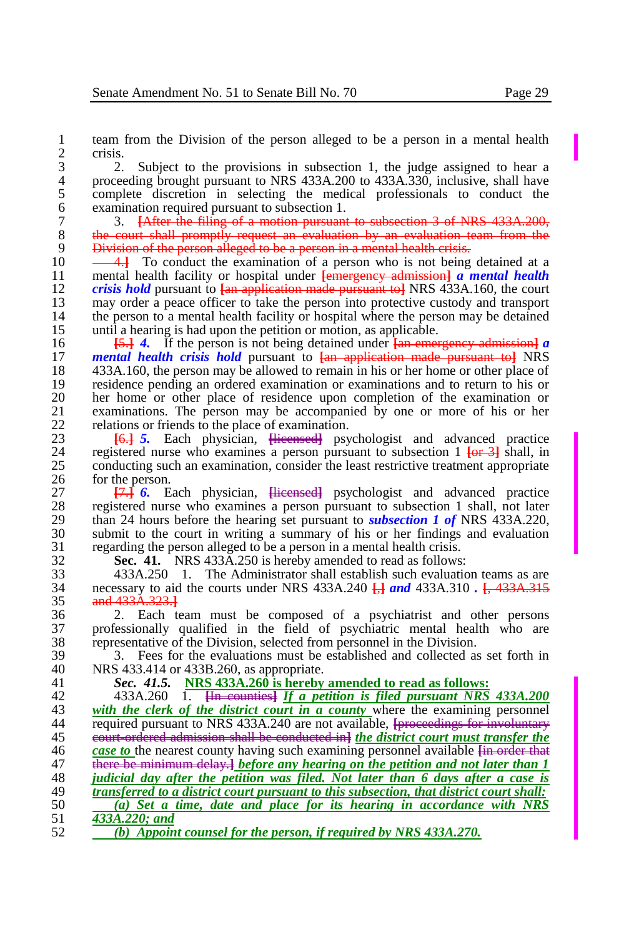$\frac{2}{3}$  crisis. 3 2. Subject to the provisions in subsection 1, the judge assigned to hear a<br>4 proceeding brought pursuant to NRS 433A.200 to 433A.330, inclusive, shall have 4 proceeding brought pursuant to NRS 433A.200 to 433A.330, inclusive, shall have<br>5 complete discretion in selecting the medical professionals to conduct the 5 complete discretion in selecting the medical professionals to conduct the examination required pursuant to subsection 1. 6 examination required pursuant to subsection 1.<br>  $\frac{7}{2}$  3. **[After the filing of a motion pursuant** 

7 3. **[**After the filing of a motion pursuant to subsection 3 of NRS 433A.200, 8 the court shall promptly request an evaluation by an evaluation team from the 9 Division of the person alleged to be a person in a mental health crisis.

10 **4.** To conduct the examination of a person who is not being detained at a<br>11 mental health facility or hospital under **Lemergency admission a mental health** 11 mental health facility or hospital under **[**emergency admission**]** *a mental health*  12 *crisis hold* pursuant to  $\frac{1}{2}$  application made pursuant to JNRS 433A.160, the court may order a peace officer to take the person into protective custody and transport 13 may order a peace officer to take the person into protective custody and transport the person to a mental health facility or hospital where the person may be detained 14 the person to a mental health facility or hospital where the person may be detained<br>15 until a hearing is had upon the petition or motion, as applicable.

15 until a hearing is had upon the petition or motion, as applicable.<br>16  $\frac{15.1}{12}$  4. If the person is not being detained under  $\frac{1}{120}$  and  $\frac{1}{120}$ 16 **[**5.**]** *4.* If the person is not being detained under **[**an emergency admission**]** *a*  17 *mental health crisis hold* pursuant to **[**an application made pursuant to**]** NRS 18 433A.160, the person may be allowed to remain in his or her home or other place of residence pending an ordered examination or examinations and to return to his or 19 residence pending an ordered examination or examinations and to return to his or 20 her home or other place of residence upon completion of the examination or 20 her home or other place of residence upon completion of the examination or examinations. The person may be accompanied by one or more of his or her 21 examinations. The person may be accompanied by one or more of his or her relations or friends to the place of examination. 22 relations or friends to the place of examination.<br>23 **161.5** Fach physician. Highersedl psy

 **[**6.**]** *5.* Each physician, **[**licensed**]** psychologist and advanced practice registered nurse who examines a person pursuant to subsection 1 **[**or 3**]** shall, in conducting such an examination, consider the least restrictive treatment appropriate 26 for the person.<br>27  $\frac{17.1}{6}$  6. E

27 **[**7.**]** *6.* Each physician, **[**licensed**]** psychologist and advanced practice 28 registered nurse who examines a person pursuant to subsection 1 shall, not later<br>29 than 24 hours before the hearing set pursuant to *subsection 1 of* NRS 433A.220. 29 than 24 hours before the hearing set pursuant to *subsection 1 of* NRS 433A.220, 20<br>30 submit to the court in writing a summary of his or her findings and evaluation submit to the court in writing a summary of his or her findings and evaluation 31 regarding the person alleged to be a person in a mental health crisis.<br>32 **Sec. 41.** NRS 433A.250 is hereby amended to read as follows

32 **Sec. 41.** NRS 433A.250 is hereby amended to read as follows:

33 433A.250 1. The Administrator shall establish such evaluation teams as are<br>34 necessary to aid the courts under NRS 433A.240  $\Box$  and 433A.310  $\Box$  433A.315 34 necessary to aid the courts under NRS 433A.240 **[**,**]** *and* 433A.310 *.* **[**, 433A.315 35 and 433A.323.**]**

36 2. Each team must be composed of a psychiatrist and other persons 37 professionally qualified in the field of psychiatric mental health who are 38 representative of the Division, selected from personnel in the Division.<br>39 3. Fees for the evaluations must be established and collected as

39 3. Fees for the evaluations must be established and collected as set forth in  $\frac{40}{2}$  NRS 433 414 or 433B 260 as appropriate. 40 NRS 433.414 or 433B.260, as appropriate.<br>41 Sec. 41.5. NRS 433A.260 is hereby

41 *Sec. 41.5.* **NRS 433A.260 is hereby amended to read as follows:**

 433A.260 1. **[**In counties**]** *If a petition is filed pursuant NRS 433A.200 with the clerk of the district court in a county* where the examining personnel required pursuant to NRS 433A.240 are not available. Invegeding for involuntary required pursuant to NRS 433A.240 are not available, *[proceedings for involuntary*  court-ordered admission shall be conducted in**]** *the district court must transfer the case to* the nearest county having such examining personnel available <del>[in order that</del> 47 **in the example of the interpretation** and not later than 1 there be minimum delay.**]** *before any hearing on the petition and not later than 1 judicial day after the petition was filed. Not later than 6 days after a case is transferred to a district court pursuant to this subsection, that district court shall: (a) Set a time, date and place for its hearing in accordance with NRS 433A.220; and (b) Appoint counsel for the person, if required by NRS 433A.270.*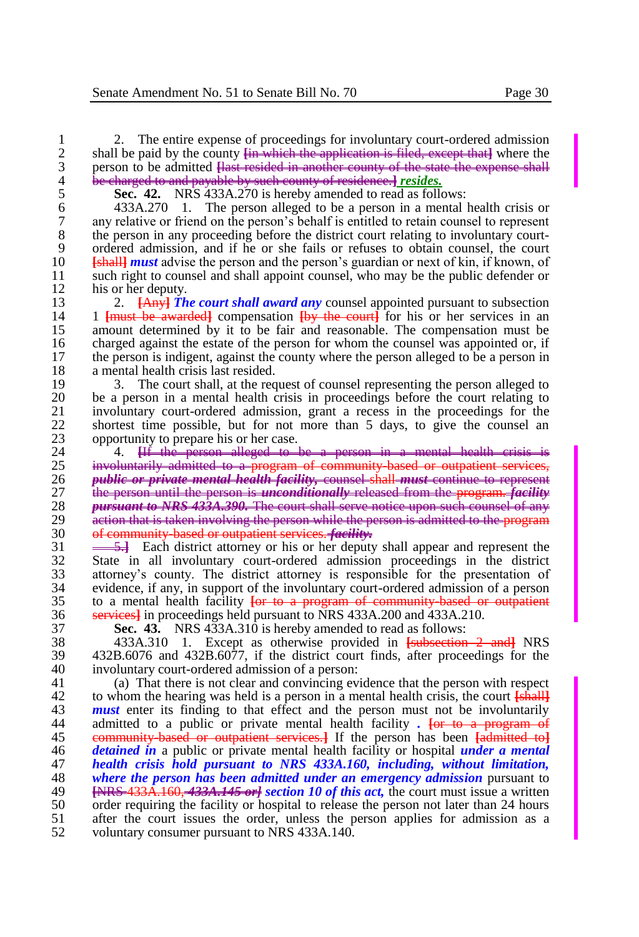2. The entire expense of proceedings for involuntary court-ordered admission<br>2. shall be paid by the county the which the application is filed, except that where the 2 shall be paid by the county  $\frac{1}{2}$  in which the application is filed, except that I where the person to be admitted Hast resided in another county of the state the expense shall 3 person to be admitted <del>[last resided in another county of the state the expense shall</del><br>4 be charged to and payable by such county of residence.] *resides*. 4 be charged to and payable by such county of residence.<sup>1</sup> *resides*.<br>5 **Sec. 42.** NRS 433A.270 is hereby amended to read as follow

5 **Sec.** 42. NRS 433A.270 is hereby amended to read as follows:<br>6 433A.270 1. The person alleged to be a person in a mental 6 433A.270 1. The person alleged to be a person in a mental health crisis or 7 any relative or friend on the person's behalf is entitled to retain counsel to represent the person in any proceeding before the district court relating to involuntary court-8 the person in any proceeding before the district court relating to involuntary court-<br>9 ordered admission, and if he or she fails or refuses to obtain counsel, the court 9 ordered admission, and if he or she fails or refuses to obtain counsel, the court 10 **F** 10 **[**shall**]** *must* advise the person and the person's guardian or next of kin, if known, of 11 such right to counsel and shall appoint counsel, who may be the public defender or his or her deputy.

12 his or her deputy.<br>13  $2 \frac{[A_n \sqrt{I_n}]}{2}$ 13 2. **[Any<sup>}</sup>** *The court shall award any* **counsel appointed pursuant to subsection** 14 1 *I**Franch* **be awarded compensation** *I**I**Ang**the court**I* **for his or her services in an** 14 1 **[must be awarded]** compensation **[by the court]** for his or her services in an an amount determined by it to be fair and reasonable. The compensation must be 15 amount determined by it to be fair and reasonable. The compensation must be charged against the estate of the person for whom the counsel was appointed or, if 16 charged against the estate of the person for whom the counsel was appointed or, if<br>17 the person is indigent, against the county where the person alleged to be a person in 17 the person is indigent, against the county where the person alleged to be a person in 18 a mental health crisis last resided.<br>19 3. The court shall, at the red

19 3. The court shall, at the request of counsel representing the person alleged to 20 be a person in a mental health crisis in proceedings before the court relating to 20 be a person in a mental health crisis in proceedings before the court relating to involuntary court-ordered admission, grant a recess in the proceedings for the 21 involuntary court-ordered admission, grant a recess in the proceedings for the shortest time possible, but for not more than 5 days, to give the counsel an 22 shortest time possible, but for not more than 5 days, to give the counsel an opportunity to prepare his or her case. 23 opportunity to prepare his or her case.<br>24  $\sqrt{4}$  +  $\sqrt{4}$  + the person-alleged to +

24 <sup>1</sup>4. **He person alleged to be a person in a mental health crisis** 25 **involuntarily admitted to a program of community based or outpatient servi**involuntarily admitted to a program of community-based or outpatient services, 26 *public or private mental health facility,* counsel shall *must* continue to represent 27 the person until the person is *unconditionally* released from the program. *facility*  28 *pursuant to NRS 433A.390.* The court shall serve notice upon such counsel of any 29 action that is taken involving the person while the person is admitted to the program<br>30 of community based or outpatient services *facility* 30 of community-based or outpatient services. *facility.*

<sup>31</sup> <sup>5.</sup> Each district attorney or his or her deputy shall appear and represent the 32 State in all involuntary court-ordered admission proceedings in the district State in all involuntary court-ordered admission proceedings in the district attorney's county. The district attorney is responsible for the presentation of evidence, if any, in support of the involuntary court-ordered admission of a person  $35$  to a mental health facility  $\overline{\text{for to a preorderum of communit}}$  to a mental health facility **[**or to a program of community-based or outpatient services**]** in proceedings held pursuant to NRS 433A.200 and 433A.210.

37 **Sec. 43.** NRS 433A.310 is hereby amended to read as follows:

38 433A.310 1. Except as otherwise provided in **[**subsection 2 and**]** NRS 39 432B.6076 and 432B.6077, if the district court finds, after proceedings for the involuntary court-ordered admission of a nerson: 40 involuntary court-ordered admission of a person:<br>41 (a) That there is not clear and convincing ev

(a) That there is not clear and convincing evidence that the person with respect 42 to whom the hearing was held is a person in a mental health crisis, the court  $\frac{1}{\text{6} \cdot \text{8}}$ <br>43 *must* enter its finding to that effect and the person must not be involuntarily 43 **must** enter its finding to that effect and the person must not be involuntarily admitted to a public or private mental health facility. **For to a program of** admitted to a public or private mental health facility . **[or to a program of** 45 community based or outpatient services.<sup>1</sup> If the person has been  $\frac{1}{4}$  admitted to<sup>1</sup> detained in a public or private mental health facility or hospital *under a mental* 46 *detained in* a public or private mental health facility or hospital *under a mental*  47 *health crisis hold pursuant to NRS 433A.160, including, without limitation,*  48 *where the person has been admitted under an emergency admission* pursuant to 49 **EVPS** 433A 160 433A 145 extinction 10 of this act, the court must issue a written 49 **[**NRS 433A.160, *433A.145 or] section 10 of this act,* the court must issue a written 50 order requiring the facility or hospital to release the person not later than 24 hours 51 after the court issues the order, unless the person applies for admission as a 51 after the court issues the order, unless the person applies for admission as a voluntary consumer pursuant to NRS 433A.140. voluntary consumer pursuant to NRS 433A.140.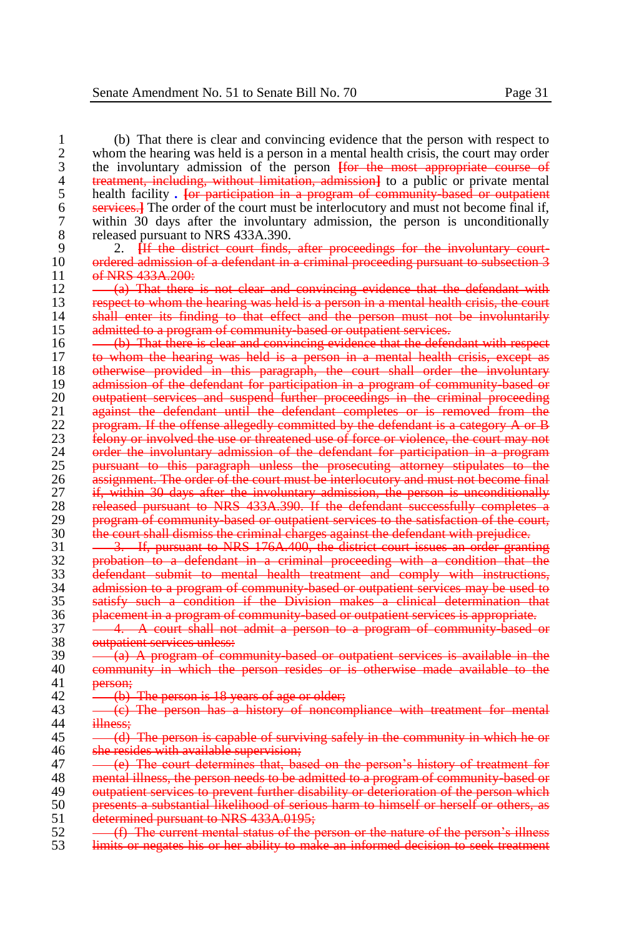1 (b) That there is clear and convincing evidence that the person with respect to 2 whom the hearing was held is a person in a mental health crisis, the court may order 2 whom the hearing was held is a person in a mental health crisis, the court may order<br>3 the involuntary admission of the person Hor the most appropriate course of 3 the involuntary admission of the person **[**for the most appropriate course of 4 treatment, including, without limitation, admission**]** to a public or private mental 5 health facility *. For participation in a program of community based or outpatient* 6 services.<sup>1</sup> The order of the court must be interlocutory and must not become final if. 6 **services.]** The order of the court must be interlocutory and must not become final if,<br>7 within 30 days after the involuntary admission, the person is unconditionally 7 within 30 days after the involuntary admission, the person is unconditionally 8 released pursuant to NRS 433A.390.<br>9 2. <del>H the district court finds.</del> 9 2. **[**If the district court finds, after proceedings for the involuntary court-10 ordered admission of a defendant in a criminal proceeding pursuant to subsection 3<br>11 of NRS 433A-200: 11 of NRS 433A.200:<br>12 (a) That there  $12 \longrightarrow (a)$  That there is not clear and convincing evidence that the defendant with  $13 \longrightarrow$  respect to whom the hearing was held is a person in a mental health crisis, the court 13 respect to whom the hearing was held is a person in a mental health crisis, the court<br>14 shall enter its finding to that effect and the person must not be involuntarily 14 shall enter its finding to that effect and the person must not be involuntarily<br>15 admitted to a program of community based or outpatient services. 15 admitted to a program of community based or outpatient services.<br>16 - <del>(b) That there is clear and convincing evidence that the defer</del> 16 (b) That there is clear and convincing evidence that the defendant with respect 17 (b) whom the hearing was held is a person in a mental health crisis, except as to whom the hearing was held is a person in a mental health crisis, except as 18 otherwise provided in this paragraph, the court shall order the involuntary<br>19 admission of the defendant for participation in a program of community based or 19 admission of the defendant for participation in a program of community-based or<br>20 **outpatient services and suspend further proceedings** in the criminal proceeding 20 outpatient services and suspend further proceedings in the criminal proceeding<br>21 against the defendant until the defendant completes or is removed from the 21 against the defendant until the defendant completes or is removed from the<br>22 **program If the offense allegedly committed by the defendant is a category A or B** 22 program. If the offense allegedly committed by the defendant is a category A or B<br>23 felony or involved the use or threatened use of force or violence, the court may not 23 felony or involved the use or threatened use of force or violence, the court may not 24 order the involuntary admission of the defendant for participation in a program 24 order the involuntary admission of the defendant for participation in a program<br>25 **pursuant to this paragraph unless the prosecuting attorney stipulates** to the 25 pursuant to this paragraph unless the prosecuting attorney stipulates to the<br>26 assignment. The order of the court must be interlocutory and must not become final 26 assignment. The order of the court must be interlocutory and must not become final<br>27 if, within 30 days after the involuntary admission, the person is unconditionally 27 if, within 30 days after the involuntary admission, the person is unconditionally<br>28 released pursuant to NRS 433A-390. If the defendant successfully completes a 28 released pursuant to NRS 433A.390. If the defendant successfully completes a 29 program of community-based or outpatient services to the satisfaction of the court,<br>30 the court shall dismiss the criminal charges against the defendant with prejudice. 30 the court shall dismiss the criminal charges against the defendant with prejudice. 31 <del>3. If, pursuant to NRS 176A.400, the district court issues an order granting</del><br>32 **bullet by a probation to a defendant in a criminal proceeding with a condition that the** 32 probation to a defendant in a criminal proceeding with a condition that the 33 defendant submit to mental health treatment and comply with instructions, 34 admission to a program of community-based or outpatient services may be used to satisfy such a condition if the Division makes a clinical determination that satisfy such a condition if the Division makes a clinical determination that 36 placement in a program of community-based or outpatient services is appropriate.<br>37 - 4. A court shall not admit a person to a program of community-based 37 - 4. A court shall not admit a person to a program of community based or outpatient services unless: 38 outpatient services unless:<br>39 - (a) A program of con  $39 - \frac{1}{(a)}$  A program of community-based or outpatient services is available in the 40 community in which the person resides or is otherwise made available to the 40 community in which the person resides or is otherwise made available to the  $41$ person; 42  $\leftarrow$  (b) The person is 18 years of age or older;<br>43  $\leftarrow$  (c) The person has a history of noncor 43 (c) The person has a history of noncompliance with treatment for mental illness:  $\frac{45}{10}$  - (d) The person is capable of surviving safely in the community in which he or 46 she resides with available supervision: 46 she resides with available supervision;<br>47 - (e) The court determines that, bas 47 (e) The court determines that, based on the person's history of treatment for 48 mental illness, the person needs to be admitted to a program of community based or 48 mental illness, the person needs to be admitted to a program of community-based or<br>49 method in the person services to prevent further disability or deterioration of the person which 49 outpatient services to prevent further disability or deterioration of the person which<br>50 presents a substantial likelihood of serious harm to himself or herself or others, as 50 presents a substantial likelihood of serious harm to himself or herself or others, as<br>51 determined pursuant to NRS 433A.0195: 51 determined pursuant to NRS 433A.0195;<br>52 – (f) The current mental status of the r  $52 \leftarrow$  (f) The current mental status of the person or the nature of the person's illness  $53 \leftarrow$  limits or negates his or her ability to make an informed decision to seek treatment limits or negates his or her ability to make an informed decision to seek treatment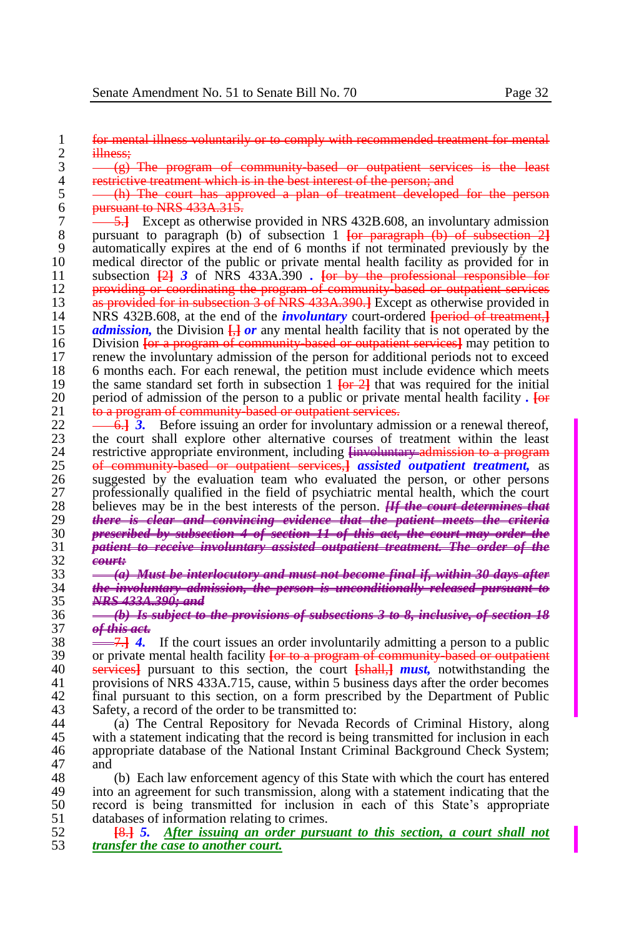1 for mental illness voluntarily or to comply with recommended treatment for mental 2 illness: 2 illness;<br>3  $\frac{\text{ii} \text{le}}{(\text{g})^2}$ 

 $3 \leftarrow (g)$  The program of community-based or outpatient services is the least  $4 \leftarrow$  restrictive treatment which is in the best interest of the person: and 4 restrictive treatment which is in the best interest of the person; and<br>5 - (h) The court has approved a plan of treatment developed

5 (h) The court has approved a plan of treatment developed for the person 6 pursuant to NRS  $433A.315$ .<br>7  $-5.1$  Except as otherwise

7 5.<sup>1</sup> Except as otherwise provided in NRS 432B.608, an involuntary admission<br>8 bursuant to paragraph (b) of subsection 1 <del>for paragraph (b) of subsection 21</del> 8 pursuant to paragraph (b) of subsection 1 <del>[or paragraph (b) of subsection 2]</del><br>9 automatically expires at the end of 6 months if not terminated previously by the 9 automatically expires at the end of 6 months if not terminated previously by the 10 medical director of the public or private mental health facility as provided for in<br>11 subsection  $\frac{1}{24}$  3 of NRS 433A.390. For by the professional responsible for 11 subsection **[**2**]** *3* of NRS 433A.390 *.* **[**or by the professional responsible for 12 providing or coordinating the program of community based or outpatient services<br>13 as provided for in subsection 3 of NRS 433A, 390, I Except as otherwise provided in 13 **as provided for in subsection 3 of NRS 433A.390.**] Except as otherwise provided in NRS 432B 608, at the end of the *involuntary* court-ordered **Ineriod of treatment** 14 NRS 432B.608, at the end of the *involuntary* court-ordered **[period of treatment,]**<br>15 *admission*, the Division **[]** *or* any mental health facility that is not operated by the 15 *admission*, the Division  $\frac{1}{b}$  *or* any mental health facility that is not operated by the Division for a program of community based or outpatient services! may petition to 16 Division **[**or a program of community-based or outpatient services**]** may petition to 17 renew the involuntary admission of the person for additional periods not to exceed 18 6 months each. For each renewal, the petition must include evidence which meets the same standard set forth in subsection 1 For  $\frac{21}{10}$  that was required for the initial 19 the same standard set forth in subsection  $1 \overline{\text{for-2}}$  that was required for the initial negative of admission of the person to a public or private mental health facility. **Let** 20 period of admission of the person to a public or private mental health facility  $\cdot$   $\frac{1}{100}$  to a program of community based or outpatient services. 21 to a program of community-based or outpatient services.

 $22 \rightarrow 6.$  **3.** Before issuing an order for involuntary admission or a renewal thereof, the court shall explore other alternative courses of treatment within the least 23 the court shall explore other alternative courses of treatment within the least restrictive appropriate environment, including linewolumetery admission to a program 24 restrictive appropriate environment, including <del>[involuntary admission to a program</del><br>25 **of community based or outpatient services** *consisted outpatient treatment* as 25 of community-based or outpatient services,**]** *assisted outpatient treatment,* as 26 suggested by the evaluation team who evaluated the person, or other persons professionally qualified in the field of psychiatric mental health, which the court 27 professionally qualified in the field of psychiatric mental health, which the court<br>28 percent point is not be the percent of the person. **If the court determines that** 28 believes may be in the best interests of the person. *[If the court determines that*  $29$  there is clear and convincing evidence that the patient meets the criteria 29 *there is clear and convincing evidence that the patient meets the criteria*  30 *prescribed by subsection 4 of section 11 of this act, the court may order the*  31 *patient to receive involuntary assisted outpatient treatment. The order of the*  32 *court:*

33 *(a) Must be interlocutory and must not become final if, within 30 days after*  34 *the involuntary admission, the person is unconditionally released pursuant to*  35 *NRS 433A.390; and*

36 *(b) Is subject to the provisions of subsections 3 to 8, inclusive, of section 18*  37 *of this act.*

38 <sup>7.</sup><sup>7</sup>/<sub>4</sub> If the court issues an order involuntarily admitting a person to a public<br>39 or private mental health facility for to a program of community hased or outpatient 39 or private mental health facility **[or to a program of community-based or outpatient** 40 services] pursuant to this section, the court **[shall ] must**, notwithstanding the 40 **services** l pursuant to this section, the court [shall, l must, notwithstanding the provisions of NRS 433A 715 cause, within 5 business days after the order becomes provisions of NRS 433A.715, cause, within 5 business days after the order becomes 42 final pursuant to this section, on a form prescribed by the Department of Public Safety, a record of the order to be transmitted to: 43 Safety, a record of the order to be transmitted to:<br>44 (a) The Central Repository for Nevada Re

(a) The Central Repository for Nevada Records of Criminal History, along 45 with a statement indicating that the record is being transmitted for inclusion in each 46 appropriate database of the National Instant Criminal Background Check System: appropriate database of the National Instant Criminal Background Check System; 47 and

48 (b) Each law enforcement agency of this State with which the court has entered<br>49 into an agreement for such transmission, along with a statement indicating that the 49 into an agreement for such transmission, along with a statement indicating that the record is being transmitted for inclusion in each of this State's appropriate 50 record is being transmitted for inclusion in each of this State's appropriate 51 databases of information relating to crimes.<br>52 **18.1.5.** After issuing an order pursu

52 **[**8.**]** *5. After issuing an order pursuant to this section, a court shall not*  53 *transfer the case to another court.*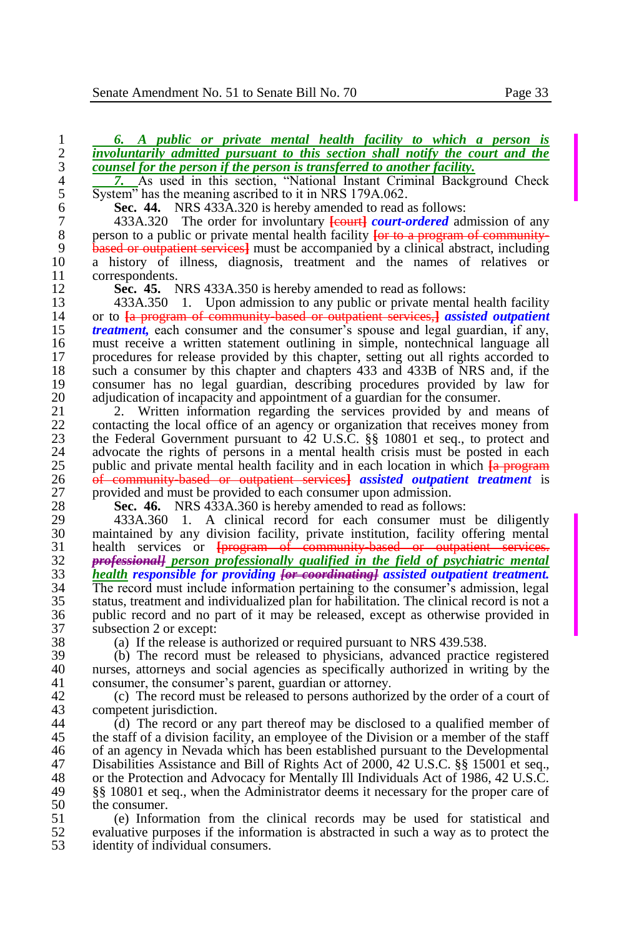<sup>2</sup><br>
<sup>4</sup><br>
<sup>7</sup>/<sub>2</sub> As used in this section, "National Instant Criminal Background Check<br>
<sup>5</sup><br>
System" has the meaning ascribed to it in NRS 179A.062. 5 System" has the meaning ascribed to it in NRS 179A.062.<br>6 Sec. 44. NRS 433A.320 is hereby amended to read a

**Sec. 44.** NRS 433A.320 is hereby amended to read as follows:<br> **6** 433A.320 The order for involuntary **Following Figure** 

7 433A.320 The order for involuntary **[court]** *court-ordered* admission of any person to a public or private mental health facility **for to a program of community** 8 person to a public or private mental health facility **[or to a program of community-**<br>9 **based or outpatient services**] must be accompanied by a clinical abstract, including 9 **based or outpatient services** must be accompanied by a clinical abstract, including a history of illness, diagnosis, treatment and the names of relatives or 10 a history of illness, diagnosis, treatment and the names of relatives or 11 correspondents.<br>12 **Sec. 45.** N

12 **Sec. 45.** NRS 433A.350 is hereby amended to read as follows:<br>13 433A.350 1. Upon admission to any public or private mental 13 433A.350 1. Upon admission to any public or private mental health facility<br>14 or to La program of community hased or outpatient services-l assisted outpatient 14 or to <del>[a program of community based or outpatient services,]</del> *assisted outpatient* 15 *treatment*, each consumer and the consumer's spouse and legal guardian, if any, 15 *treatment*, each consumer and the consumer's spouse and legal guardian, if any, must receive a written statement outlining in simple, nontechnical language all 16 must receive a written statement outlining in simple, nontechnical language all procedures for release provided by this chapter, setting out all rights accorded to 17 procedures for release provided by this chapter, setting out all rights accorded to 18 such a consumer by this chapter and chapters 433 and 433B of NRS and, if the consumer has no legal guardian, describing procedures provided by law for 19 consumer has no legal guardian, describing procedures provided by law for adjudication of incapacity and appointment of a guardian for the consumer. 20 adjudication of incapacity and appointment of a guardian for the consumer.<br>21 2. Written information regarding the services provided by and n

21 2. Written information regarding the services provided by and means of contacting the local office of an agency or organization that receives money from 22 contacting the local office of an agency or organization that receives money from<br>23 the Federal Government pursuant to 42 U.S.C. 88 10801 et seq., to protect and 23 the Federal Government pursuant to  $\frac{42 \text{ U.S.C. } }$  \$ 10801 et seq., to protect and advocate the rights of persons in a mental health crisis must be posted in each 24 advocate the rights of persons in a mental health crisis must be posted in each outlier and private mental health facility and in each location in which La program 25 public and private mental health facility and in each location in which  $\frac{1}{26}$  program 26 <del>of community based or outpatient services</del> assisted outpatient treatment is 26 of community-based or outpatient services**]** *assisted outpatient treatment* is 27 provided and must be provided to each consumer upon admission.<br>28 **Sec. 46.** NRS 433A 360 is hereby amended to read as follow

28 **Sec. 46.** NRS 433A.360 is hereby amended to read as follows:<br>29 433A.360 1. A clinical record for each consumer must

29 433A.360 1. A clinical record for each consumer must be diligently<br>30 maintained by any division facility, private institution, facility offering mental maintained by any division facility, private institution, facility offering mental 31 health services or <del>[program of community-based or outpatient services.</del><br>32 **professionally** person professionally qualified in the field of psychiatric mental 32 *professional] person professionally qualified in the field of psychiatric mental*  33 *health responsible for providing [or coordinating] assisted outpatient treatment.*  34 The record must include information pertaining to the consumer's admission, legal 35 status, treatment and individualized plan for habilitation. The clinical record is not a 36 public record and no part of it may be released, except as otherwise provided in 37 subsection 2 or except:<br>38 (a) If the release is

38 (a) If the release is authorized or required pursuant to NRS 439.538.<br>39 (b) The record must be released to physicians, advanced practice

39 (b) The record must be released to physicians, advanced practice registered 40 nurses, attorneys and social agencies as specifically authorized in writing by the consumer the consumer's parent, quardian or attorney. consumer, the consumer's parent, guardian or attorney.

42 (c) The record must be released to persons authorized by the order of a court of competent invisible intervalsed to persons authorized by the order of a court of 43 competent jurisdiction.<br>44 (d) The record or a

 $(d)$  The record or any part thereof may be disclosed to a qualified member of 45 the staff of a division facility, an employee of the Division or a member of the staff<br>46 of an agency in Nevada which has been established pursuant to the Developmental of an agency in Nevada which has been established pursuant to the Developmental 47 Disabilities Assistance and Bill of Rights Act of 2000, 42 U.S.C. §§ 15001 et seq.,<br>48 or the Protection and Advocacy for Mentally Ill Individuals Act of 1986, 42 U.S.C. 48 or the Protection and Advocacy for Mentally Ill Individuals Act of 1986, 42 U.S.C.<br>49 88 10801 et seq., when the Administrator deems it necessary for the proper care of 49 §§ 10801 et seq., when the Administrator deems it necessary for the proper care of 50 the consumer.<br>51 (e) Inform

51 (e) Information from the clinical records may be used for statistical and evaluative purposes if the information is abstracted in such a way as to protect the 52 evaluative purposes if the information is abstracted in such a way as to protect the 53 identity of individual consumers.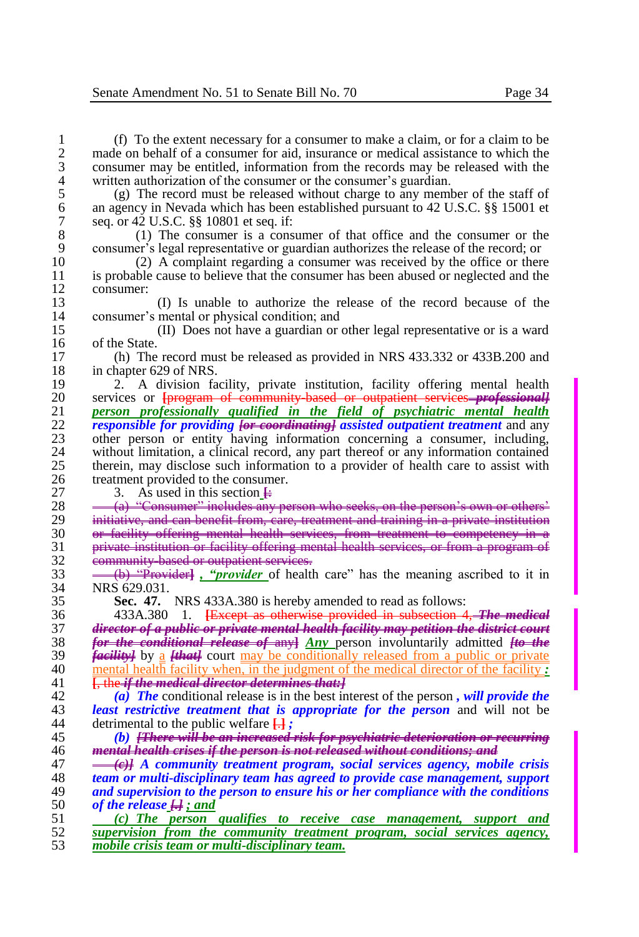1 (f) To the extent necessary for a consumer to make a claim, or for a claim to be 2 made on behalf of a consumer for aid, insurance or medical assistance to which the consumer may be entitled, information from the records may be released with the 3 consumer may be entitled, information from the records may be released with the written authorization of the consumer or the consumer's guardian. 4 written authorization of the consumer or the consumer's guardian.<br>5 (g) The record must be released without charge to any member

5 (g) The record must be released without charge to any member of the staff of an agency in Nevada which has been established pursuant to 42 U.S.C.  $\$  15001 et 6 an agency in Nevada which has been established pursuant to 42 U.S.C. §§ 15001 et 7 seq. or 42 U.S.C. §§ 10801 et seq. if:<br>8 (1) The consumer is a cons

8 (1) The consumer is a consumer of that office and the consumer or the consumer's legal representative or guardian authorizes the release of the record: or 9 consumer's legal representative or guardian authorizes the release of the record; or (2) A complaint regarding a consumer was received by the office or there

10 (2) A complaint regarding a consumer was received by the office or there is probable cause to believe that the consumer has been abused or neglected and the 11 is probable cause to believe that the consumer has been abused or neglected and the consumer: 12 consumer:

13 (I) Is unable to authorize the release of the record because of the 14 consumer's mental or physical condition; and<br>15 (II) Does not have a guardian or

15 (II) Does not have a guardian or other legal representative or is a ward 16 of the State.<br>17 (h) The

17 (h) The record must be released as provided in NRS 433.332 or 433B.200 and 18 in chapter 629 of NRS.<br>19 2. A division fa

19 2. A division facility, private institution, facility offering mental health  $20$  services or  $\frac{1}{2}$  community hased or outpatient services *mediationall* 20 services or **[**program of community-based or outpatient services *professional]* 21 *person professionally qualified in the field of psychiatric mental health*  22 *responsible for providing [or coordinating] assisted outpatient treatment* and any 23 other person or entity having information concerning a consumer, including, without limitation, a clinical record, any part thereof or any information contained 24 without limitation, a clinical record, any part thereof or any information contained<br>25 therein, may disclose such information to a provider of health care to assist with 25 therein, may disclose such information to a provider of health care to assist with 26 treatment provided to the consumer.<br>27 3. As used in this section  $\frac{1}{2}$ 

27 3. As used in this section  $\frac{1}{2}$ <br>28  $\frac{(a)$  "Consumer" includes any

28 (a) "Consumer" includes any person who seeks, on the person's own or other<br>29 initiative, and can benefit from care, treatment and training in a private institution 29 initiative, and can benefit from, care, treatment and training in a private institution<br>30 er facility offering mental health services, from treatment to competency in a or facility offering mental health services, from treatment to competency 31 private institution or facility offering mental health services, or from a program of  $\frac{32}{33}$  community-based or outpatient services.<br> $\frac{33}{33}$   $\frac{4}{33}$   $\frac{49}{33}$   $\frac{49}{33}$   $\frac{49}{33}$   $\frac{49}{33}$   $\frac{49}{33}$   $\frac{49}{33}$   $\frac{49}{33}$   $\frac{49}{33}$   $\frac{49}{33}$   $\frac{49}{33}$   $\frac{49}{33}$   $\frac{49}{33}$   $\$ 

33 (b) "Provider**]** *, "provider* of health care" has the meaning ascribed to it in 34 NRS 629.031.<br>35 **Sec. 47.** 

**Sec. 47.** NRS 433A.380 is hereby amended to read as follows:

 433A.380 1. **[**Except as otherwise provided in subsection 4, *The medical director of a public or private mental health facility may petition the district court for the conditional release of* any**]** *Any* person involuntarily admitted *[to the facility]* by a *[that]* court may be conditionally released from a public or private 40 mental health facility when, in the judgment of the medical director of the facility *:* <br>41 **Like if the medical director determines that [**, the *if the medical director determines that:]*

42 *(a) The* conditional release is in the best interest of the person *, will provide the*  43 *least restrictive treatment that is appropriate for the person* and will not be detrimental to the public welfare  $\Box$ : 44 detrimental to the public welfare **[**.**]** *;*

45 *(b) [There will be an increased risk for psychiatric deterioration or recurring*  46 *mental health crises if the person is not released without conditions; and*

 *(c)] A community treatment program, social services agency, mobile crisis team or multi-disciplinary team has agreed to provide case management, support and supervision to the person to ensure his or her compliance with the conditions of the release [.] ; and*

51 *(c) The person qualifies to receive case management, support and*  52 *supervision from the community treatment program, social services agency,*  53 *mobile crisis team or multi-disciplinary team.*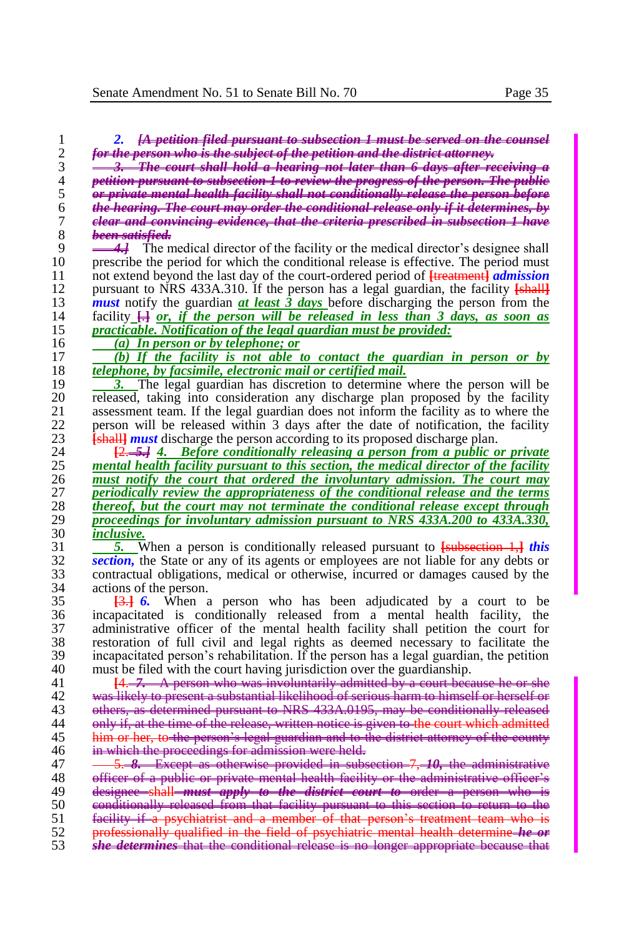|                                                                                                                                                                             | for the person who is the subject of the petition and the district attorney. |
|-----------------------------------------------------------------------------------------------------------------------------------------------------------------------------|------------------------------------------------------------------------------|
| 3. The court shall hold a hearing not later than 6 days after receiving a                                                                                                   |                                                                              |
| petition pursuant to subsection 1 to review the progress of the person. The public                                                                                          |                                                                              |
| or private mental health facility shall not conditionally release the person before                                                                                         |                                                                              |
| t <del>he hearing. The court may order the conditional release only if it determines, by</del>                                                                              |                                                                              |
| elear and convincing evidence, that the criteria prescribed in subsection 1 have                                                                                            |                                                                              |
| <del>been satisfied.</del>                                                                                                                                                  |                                                                              |
| $\leftrightarrow$ The medical director of the facility or the medical director's designee shall                                                                             |                                                                              |
| prescribe the period for which the conditional release is effective. The period must                                                                                        |                                                                              |
| not extend beyond the last day of the court-ordered period of <b>[treatment]</b> <i>admission</i>                                                                           |                                                                              |
| pursuant to NRS 433A.310. If the person has a legal guardian, the facility [shall]                                                                                          |                                                                              |
| <i>must</i> notify the guardian <i>at least</i> 3 <i>days</i> before discharging the person from the                                                                        |                                                                              |
| facility $\Box$ or, if the person will be released in less than 3 days, as soon as                                                                                          |                                                                              |
| practicable. Notification of the legal guardian must be provided:                                                                                                           |                                                                              |
| (a) In person or by telephone; or                                                                                                                                           |                                                                              |
| (b) If the facility is not able to contact the guardian in person or by                                                                                                     |                                                                              |
| telephone, by facsimile, electronic mail or certified mail.                                                                                                                 |                                                                              |
| The legal guardian has discretion to determine where the person will be                                                                                                     |                                                                              |
| released, taking into consideration any discharge plan proposed by the facility                                                                                             |                                                                              |
| assessment team. If the legal guardian does not inform the facility as to where the                                                                                         |                                                                              |
| person will be released within 3 days after the date of notification, the facility                                                                                          |                                                                              |
| <b>Eshall <i>nust</i></b> discharge the person according to its proposed discharge plan.                                                                                    |                                                                              |
| $\frac{[2,-5,1]}{[2,-5,1]}$ 4. Before conditionally releasing a person from a public or private                                                                             |                                                                              |
| mental health facility pursuant to this section, the medical director of the facility                                                                                       |                                                                              |
| must notify the court that ordered the involuntary admission. The court may<br>periodically review the appropriateness of the conditional release and the terms             |                                                                              |
| thereof, but the court may not terminate the conditional release except through                                                                                             |                                                                              |
| proceedings for involuntary admission pursuant to NRS 433A.200 to 433A.330,                                                                                                 |                                                                              |
| inclusive.                                                                                                                                                                  |                                                                              |
| <b>5.</b> When a person is conditionally released pursuant to <b>[subsection 1,]</b> this                                                                                   |                                                                              |
| section, the State or any of its agents or employees are not liable for any debts or                                                                                        |                                                                              |
| contractual obligations, medical or otherwise, incurred or damages caused by the                                                                                            |                                                                              |
| actions of the person.                                                                                                                                                      |                                                                              |
| When a person who has been adjudicated by a court to be<br><del>I3.I</del> 6.                                                                                               |                                                                              |
| incapacitated is conditionally released from a mental health facility,                                                                                                      | the                                                                          |
| administrative officer of the mental health facility shall petition the court for                                                                                           |                                                                              |
| restoration of full civil and legal rights as deemed necessary to facilitate the                                                                                            |                                                                              |
| incapacitated person's rehabilitation. If the person has a legal guardian, the petition                                                                                     |                                                                              |
| must be filed with the court having jurisdiction over the guardianship.                                                                                                     |                                                                              |
| $[4. -7. \t{A}$ person who was involuntarily admitted by a court because he or she                                                                                          |                                                                              |
| was likely to present a substantial likelihood of serious harm to himself or herself or                                                                                     |                                                                              |
| others, as determined pursuant to NRS 433A.0195, may be conditionally released                                                                                              |                                                                              |
| only if, at the time of the release, written notice is given to the court which admitted                                                                                    |                                                                              |
| <u>him or her, to-the person's legal guardian and to the district attorney of the county</u>                                                                                |                                                                              |
| in which the proceedings for admission were held.                                                                                                                           |                                                                              |
| 5. 8. Except as otherwise provided in subsection 7, 10, the administrative                                                                                                  |                                                                              |
|                                                                                                                                                                             |                                                                              |
|                                                                                                                                                                             |                                                                              |
| <u>officer of a public or private mental health facility or the administrative officer's</u>                                                                                |                                                                              |
| designee shall must apply to the district court to order a person who is                                                                                                    |                                                                              |
| conditionally released from that facility pursuant to this section to return to the                                                                                         |                                                                              |
| facility if a psychiatrist and a member of that person's treatment team who is<br>professionally qualified in the field of psychiatric mental health determine <b>he or</b> |                                                                              |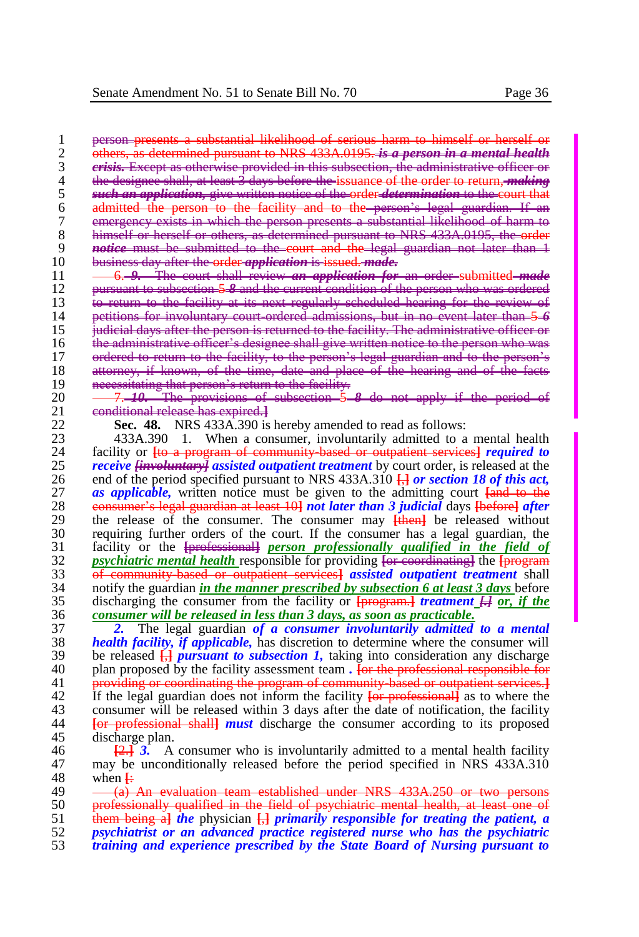1 person presents a substantial likelihood of serious harm to himself or herself<br>2 others, as determined pursuant to NRS 433A,0195, is a person in a mental hea 2 others, as determined pursuant to NRS 433A.0195. *is a person in a mental health*  3 *crisis.* Except as otherwise provided in this subsection, the administrative officer or the designee shall, at least 3 days before the issuance of the order to return, *mak*<br>5 and *an application*, give written notice of the order *determination* to the court 5 *such an application,* give written notice of the order *determination* to the court 6 admitted the person to the facility and to the person's legal guardian. I 6 admitted the person to the facility and to the person's legal guardian.<br>The emergency exists in which the person presents a substantial likelihood of the second of the substantial likelihood of the second second second s 7 emergency exists in which the person presents a substantial likelihood 8 himself or herself or others, as determined pursuant to NRS 433A.019. 8 himself or herself or others, as determined pursuant to NRS 433A.0195.<br>9 *notice* must be submitted to the court and the legal guardian not be **9** *notice* must be submitted to the court and the legal guardian not later than <br>10 business day after the order *application* is issued. *made*. 10 business day after the order *application* is issued. *made.*

11 6. *9.* The court shall review *an application for* an order submitted *made* 12 pursuant to subsection 5-8 and the current condition of the person who was ordered<br>13 to return to the facility at its next regularly scheduled hearing for the review of 13 to return to the facility at its next regularly scheduled hearing for the review of the review of the review of the review of the review of the review of the review of the review of the review of the review of the revie 14 petitions for involuntary court-ordered admissions, but in no event later than 5 *66*<br>15 **6** *indicial days after the person is returned to the facility. The administr*  $15$  judicial days after the person is returned to the facility. The administrative  $16$  the person is returned to the person 16 the administrative officer's designee shall give written notice to the person of the person who was defined to return to the facility to the person's legal guardian and ordered to return to the facility, to the person's legal guardian 18 attorney, if known, of the time, date and place of the hearing<br>19 accessitating that person's return to the facility. 19 necessitating that person's return to the facility.<br>20  $-7-10$  The provisions of subsection 5

20 <del>7. **10.** The provisions of subsection 5 8 do not apply if the</del> period of the period of the period of the period of the period of the period of the period of the period of the period of the period of the period of the p 21 **eonditional release has expired.**<br>22 **Sec. 48.** NRS 433A.390 is

22 **Sec. 48.** NRS 433A.390 is hereby amended to read as follows:

23 433A.390 1. When a consumer, involuntarily admitted to a mental health facility or He a program of community based or outpatient services *required to*  facility or **[**to a program of community-based or outpatient services**]** *required to receive <del>[involuntary]</del> assisted outpatient treatment by court order, is released at the end of the period specified pursuant to NRS 433A.310*  $\overline{H}$  *<i>or section 18 of this act.* 26 end of the period specified pursuant to NRS 433A.310  $\frac{1}{12}$  *or section 18 of this act*, <br>27 **as applicable**, written notice must be given to the admitting court fund to the *as applicable,* written notice must be given to the admitting court <del>[and to the</del> 28 **consumer's legal quardian at least 101 not** later than 3 judicial days the fored after consumer's legal guardian at least 10**]** *not later than 3 judicial* days **[**before**]** *after*  29 the release of the consumer. The consumer may  $\frac{[t \cdot \text{1}]}{[t \cdot \text{1}]}$  be released without  $\frac{1}{2}$  requiring further orders of the court. If the consumer has a legal guardian, the 30 requiring further orders of the court. If the consumer has a legal guardian, the field of 31 facility or the Lengtessional person professionally qualified in the field of facility or the **[**professional**]** *person professionally qualified in the field of psychiatric mental health* responsible for providing **[**or coordinating**]** the **[**program of community-based or outpatient services**]** *assisted outpatient treatment* shall 34 notify the guardian *in the manner prescribed by subsection 6 at least 3 days* before discharging the consumer from the facility or **Iprogram.** I *treatment* **I.** If the discharging the consumer from the facility or **[**program.**]** *treatment [.] or, if the consumer will be released in less than 3 days, as soon as practicable.* 

37 *2.* The legal guardian *of a consumer involuntarily admitted to a mental*  38 *health facility, if applicable,* has discretion to determine where the consumer will 39 be released  $\frac{1}{12}$  *pursuant to subsection 1*, taking into consideration any discharge plan proposed by the facility assessment team. For the professional responsible for 40 plan proposed by the facility assessment team . **For the professional responsible for**  $\frac{41}{100}$  providing or coordinating the program of community based or outpatient services 1 41 providing or coordinating the program of community-based or outpatient services.**]** 142 If the legal guardian does not inform the facility **[or professional]** as to where the consumer will be released within 3 days after the date of notification, the facility 43 consumer will be released within 3 days after the date of notification, the facility  $\frac{44}{10}$  for professional shall *must* discharge the consumer according to its proposed 44 **[**or professional shall**]** *must* discharge the consumer according to its proposed 45 discharge plan.<br>46  $\frac{12.1}{13.}$  A

 $\frac{2}{2}$  **[2.**] **3.** A consumer who is involuntarily admitted to a mental health facility may be unconditionally released before the period specified in NRS 433A.310 47 may be unconditionally released before the period specified in NRS 433A.310 when  $\frac{1}{2}$ 48 when  $\frac{1}{49}$ 

 $49 \longrightarrow (a)$  An evaluation team established under NRS  $433A.250$  or two persons  $50 \longrightarrow$  professionally qualified in the field of psychiatric mental health, at least one of professionally qualified in the field of psychiatric mental health, at least one of them being a**]** *the* physician **[**,**]** *primarily responsible for treating the patient, a psychiatrist or an advanced practice registered nurse who has the psychiatric* 

53 *training and experience prescribed by the State Board of Nursing pursuant to*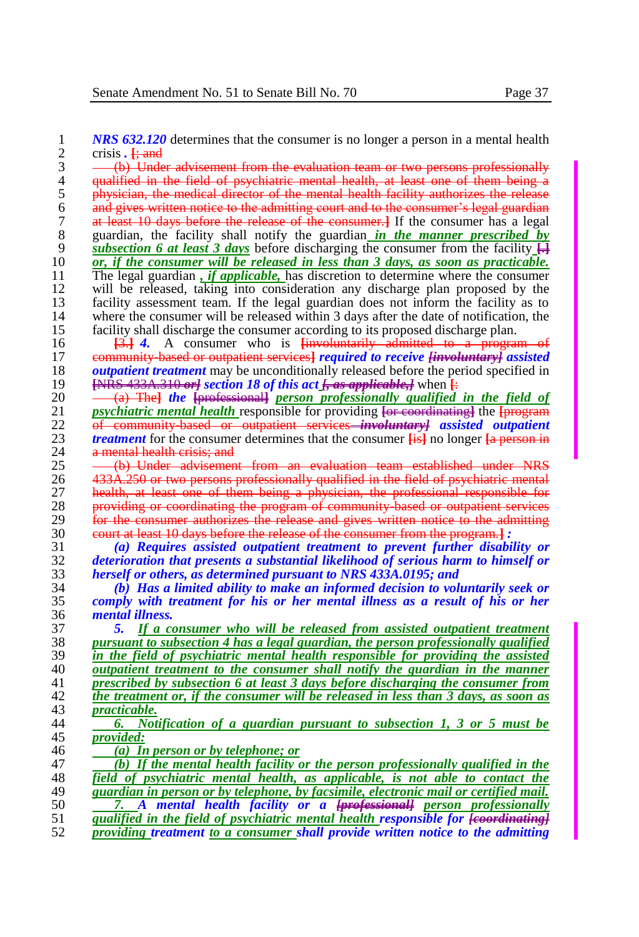**1** *NRS 632.120* determines that the consumer is no longer a person in a mental health crisis. <del>I: and</del> 2 crisis **.**  $\frac{1}{2}$  and  $\frac{1}{2}$  **.** (b) Unde

3 (b) Under advisement from the evaluation team or two persons professionally<br>4 qualified in the field of psychiatric mental health, at least one of them being a 4 qualified in the field of psychiatric mental health, at least one of them being a<br>5 blysician, the medical director of the mental health facility authorizes the release 5 physician, the medical director of the mental health facility authorizes the release<br>6 and gives written notice to the admitting court and to the consumer's legal guardian <sup>6</sup> and gives written notice to the admitting court and to the consumer's legal guardian<br><sup>7</sup> at least 10 days before the release of the consumer. If the consumer has a legal 7 at least 10 days before the release of the consumer.**]** If the consumer has a legal 8 guardian, the facility shall notify the guardian *in the manner prescribed by*  $\frac{9}{2}$  subsection 6 at least 3 days before discharging the consumer from the facility  $\frac{1}{2}$ 9 *subsection 6 at least 3 days* before discharging the consumer from the facility  $\frac{1}{\sqrt{2}}$  *or, if the consumer will be released in less than 3 days, as soon as practicable.* 10 *or, if the consumer will be released in less than 3 days, as soon as practicable.***<br>11 The legal guardian,** *if applicable***, has discretion to determine where the consumer** 11 The legal guardian *, if applicable*, has discretion to determine where the consumer will be released, taking into consideration any discharge plan proposed by the 12 will be released, taking into consideration any discharge plan proposed by the facility assessment team. If the legal guardian does not inform the facility as to 13 facility assessment team. If the legal guardian does not inform the facility as to 14 where the consumer will be released within 3 days after the date of notification, the 14 where the consumer will be released within 3 days after the date of notification, the facility shall discharge the consumer according to its proposed discharge plan. 15 facility shall discharge the consumer according to its proposed discharge plan.<br>16 **13.1 4.** A consumer who is linvoluntarily admitted to a program

**[3.] 4.** A consumer who is **[involuntarily admitted to a** proposition of a proposition of the angle of the *content services a required to receive linear* 17 community-based or outpatient services<sup>1</sup> *required to receive [involuntary] assisted outpatient treatment* may be unconditionally released before the period specified in *outpatient treatment* may be unconditionally released before the period specified in<br>19 <del>ENRS 433A.310 orl</del> section 18 of this act <del>L as applicable. I</del> when E **[**NRS 433A.310 *or] section 18 of this act [, as applicable,]* when **[**:

20 <del>(a) The *professionall person professionally qualified in the field of*  $\frac{1}{2}$  *psychiatric mental health* responsible for providing <del>for coordinating the forceran</del></del> 21 *psychiatric mental health* responsible for providing <del>[or coordinating]</del> the <del>[program</del> 22 **of** community based or outpatient services—*involuntaryl* assisted outpatient 22 of community-based or outpatient services—*involuntary] assisted outpatient* <br>23 *treatment* for the consumer determines that the consumer **Lis** no longer La person in 23 *treatment* for the consumer determines that the consumer  $\frac{1}{2}$  is no longer  $\frac{1}{2}$  a mental health crisis: and 24 a mental health crisis; and  $25$  -  $\left( \frac{h}{2} \right)$  Under advisement

25 <del>(b) Under advisement from an evaluation team established under NRS</del><br>26 433A.250 or two persons professionally qualified in the field of psychiatric mental 26 433A.250 or two persons professionally qualified in the field of psychiatric mental<br>27 bealth, at least one of them being a physician, the professional responsible for 27 **health, at least one of them being a physician, the professional responsible for** 28 **providing or coordinating the program of community based or outpatient services** 29 for the consumer authorizes the release and gives written notice to the admitting  $20 \qquad \text{count at least 10 days before the release of the consumer from the program-1:}$ 30 court at least 10 days before the release of the consumer from the program.**]** *:*

31 *(a) Requires assisted outpatient treatment to prevent further disability or*  32 *deterioration that presents a substantial likelihood of serious harm to himself or*  33 *herself or others, as determined pursuant to NRS 433A.0195; and* 

34 *(b) Has a limited ability to make an informed decision to voluntarily seek or*  35 *comply with treatment for his or her mental illness as a result of his or her*  36 *mental illness.*

 *5. If a consumer who will be released from assisted outpatient treatment pursuant to subsection 4 has a legal guardian, the person professionally qualified in the field of psychiatric mental health responsible for providing the assisted <u>outpatient treatment to the consumer shall notify the guardian in the manner</u><br>41 <i>outpatient transference in the manner in the manner from prescribed by subsection 6 at least 3 days before discharging the consumer from the treatment or, if the consumer will be released in less than 3 days, as soon as practicable.* 

- 44 *6. Notification of a guardian pursuant to subsection 1, 3 or 5 must be*  45 *provided:*
- 46 *(a) In person or by telephone; or*

 *(b) If the mental health facility or the person professionally qualified in the field of psychiatric mental health, as applicable, is not able to contact the guardian in person or by telephone, by facsimile, electronic mail or certified mail. 7. A mental health facility or a [professional] person professionally qualified in the field of psychiatric mental health responsible for [coordinating] providing treatment to a consumer shall provide written notice to the admitting*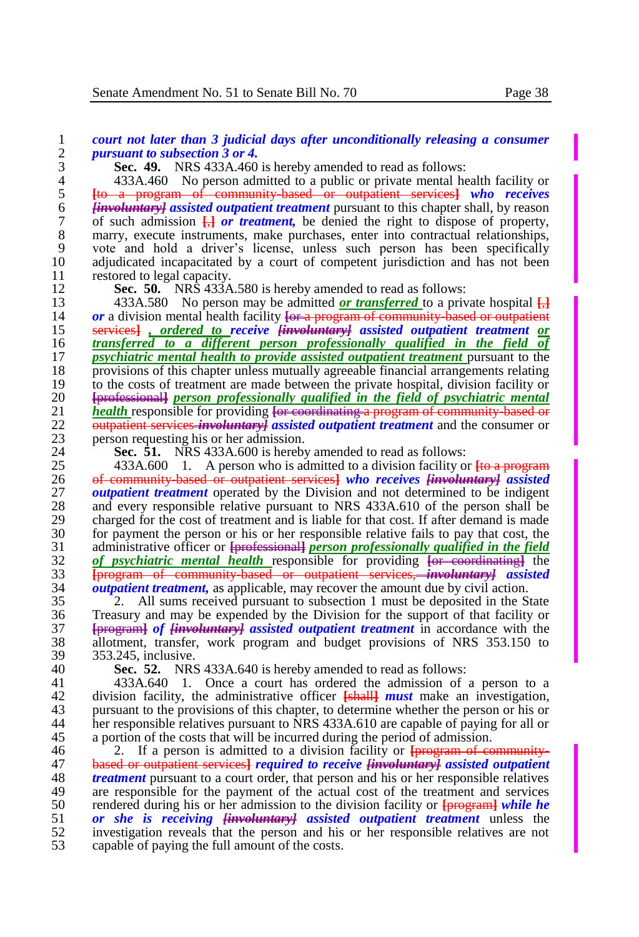| 1                       | court not later than 3 judicial days after unconditionally releasing a consumer                                                                                           |
|-------------------------|---------------------------------------------------------------------------------------------------------------------------------------------------------------------------|
| $\overline{c}$<br>3     | <i>pursuant to subsection 3 or 4.</i>                                                                                                                                     |
|                         | Sec. 49. NRS 433A.460 is hereby amended to read as follows:                                                                                                               |
| $\overline{\mathbf{4}}$ | 433A.460 No person admitted to a public or private mental health facility or                                                                                              |
| 5                       | [to a program of community-based or outpatient services] who receives                                                                                                     |
| 6                       | <b>Hinroluntary</b> assisted outpatient treatment pursuant to this chapter shall, by reason                                                                               |
| $\overline{7}$          | of such admission $\frac{1}{x}$ or treatment, be denied the right to dispose of property,                                                                                 |
| 8                       | marry, execute instruments, make purchases, enter into contractual relationships,                                                                                         |
| 9                       | vote and hold a driver's license, unless such person has been specifically                                                                                                |
| 10                      | adjudicated incapacitated by a court of competent jurisdiction and has not been                                                                                           |
| 11                      | restored to legal capacity.                                                                                                                                               |
| 12                      | Sec. 50. NRS 433A.580 is hereby amended to read as follows:                                                                                                               |
| 13                      | 433A.580 No person may be admitted <b>or transferred</b> to a private hospital $\frac{1}{12}$                                                                             |
| 14                      | or a division mental health facility $\frac{f_{\text{eff}}}{f}$ program of community based or outpatient                                                                  |
| 15                      | services], ordered to receive [involuntary] assisted outpatient treatment or                                                                                              |
| 16                      | transferred to a different person professionally qualified in the field of                                                                                                |
| 17                      | <i>psychiatric mental health to provide assisted outpatient treatment pursuant to the</i>                                                                                 |
| 18                      | provisions of this chapter unless mutually agreeable financial arrangements relating                                                                                      |
| 19                      | to the costs of treatment are made between the private hospital, division facility or                                                                                     |
| 20                      | [professional] person professionally qualified in the field of psychiatric mental                                                                                         |
| 21                      | <i>health</i> responsible for providing <del>[or coordinating a program of community based or</del>                                                                       |
| 22                      | outpatient services <i>involuntary]</i> assisted outpatient treatment and the consumer or                                                                                 |
| 23                      | person requesting his or her admission.                                                                                                                                   |
| 24                      | Sec. 51. NRS 433A.600 is hereby amended to read as follows:                                                                                                               |
| 25<br>26                | $433A.600$ 1. A person who is admitted to a division facility or $\overline{4}$ to a program                                                                              |
| 27                      | of community based or outpatient services] who receives [involuntary] assisted                                                                                            |
|                         | <i>outpatient treatment</i> operated by the Division and not determined to be indigent                                                                                    |
| 28<br>29                | and every responsible relative pursuant to NRS 433A.610 of the person shall be<br>charged for the cost of treatment and is liable for that cost. If after demand is made  |
| 30                      | for payment the person or his or her responsible relative fails to pay that cost, the                                                                                     |
| 31                      |                                                                                                                                                                           |
| 32                      | administrative officer or <b>[professional]</b> person professionally qualified in the field of psychiatric mental health responsible for providing [or coordinating] the |
| 33                      | [program of community based or outpatient services, <i>involuntary]</i> assisted                                                                                          |
| 21                      | outpatient tracturent, as applicable, moy recover the emount due by eight estion                                                                                          |

 *outpatient treatment,* as applicable, may recover the amount due by civil action. 2. All sums received pursuant to subsection 1 must be deposited in the State 36 Treasury and may be expended by the Division for the support of that facility or<br>37 Free that *facility of*  $\vec{v}$  *assisted outpatient treatment* in accordance with the **[**program**]** *of [involuntary] assisted outpatient treatment* in accordance with the allotment, transfer, work program and budget provisions of NRS 353.150 to 39 353.245, inclusive.<br>40 **Sec. 52.** NRS

**Sec. 52.** NRS 433A.640 is hereby amended to read as follows:

 433A.640 1. Once a court has ordered the admission of a person to a division facility, the administrative officer **[**shall**]** *must* make an investigation, 43 pursuant to the provisions of this chapter, to determine whether the person or his or 44 her responsible relatives pursuant to NRS 433A.610 are capable of paying for all or her responsible relatives pursuant to NRS 433A.610 are capable of paying for all or 45 a portion of the costs that will be incurred during the period of admission.<br>46  $\frac{2}{\pi}$  If a person is admitted to a division facility or **I**-program of co

46 <sup>2</sup> 2. If a person is admitted to a division facility or **[program of community-**<br>47 **based or outpatient services] required to receive linyoluntaryl assisted outpatient**  based or outpatient services**]** *required to receive [involuntary] assisted outpatient treatment* pursuant to a court order, that person and his or her responsible relatives are responsible for the navment of the actual cost of the treatment and services 49 are responsible for the payment of the actual cost of the treatment and services rendered during his or her admission to the division facility or  $\frac{1}{2}$  while he 50 rendered during his or her admission to the division facility or  $\frac{1}{1}$  *programi while he or she is receiving liminal assisted outpatient treatment* unless the *or she is receiving [involuntary] assisted outpatient treatment* unless the investigation reveals that the person and his or her responsible relatives are not capable of paying the full amount of the costs.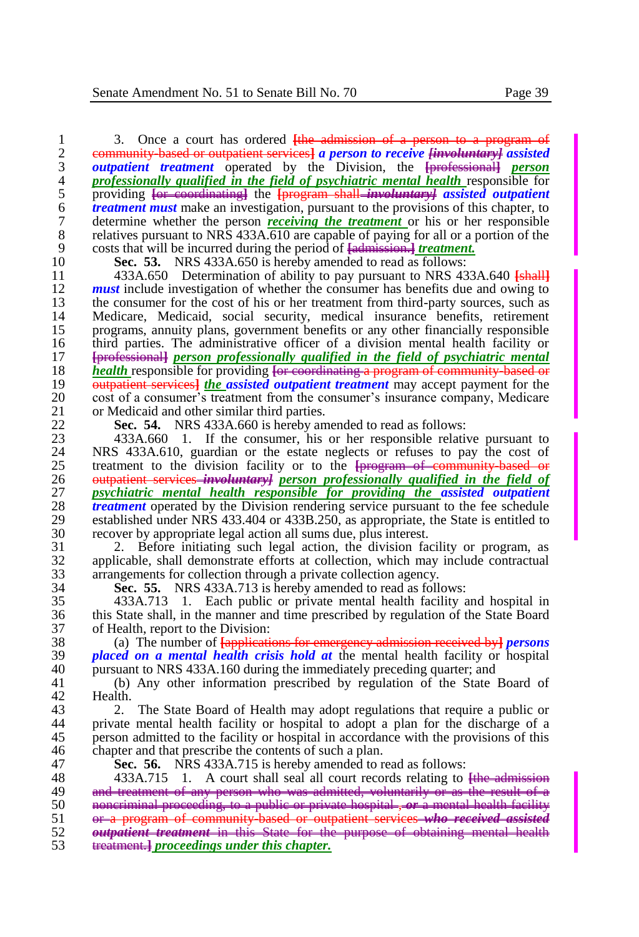1 3. Once a court has ordered <del>[the admission of a person to a program of</del> 2 community based or outpatient services] a person to receive *Haroluntary assisted* 2 community-based or outpatient services<sup>1</sup> *a person to receive [involuntary] assisted* 3 *outpatient treatment* operated by the Division, the <del>[professional]</del> *person* 3 *outpatient treatment* operated by the Division, the **[**professional**]** *person*  4 *professionally qualified in the field of psychiatric mental health* responsible for 5 providing <del>[or coordinating]</del> the **[program shall=involuntary] assisted outpatient** 6 *treatment must* **make an investigation, pursuant to the provisions of this chapter, to 6 treatment must** make an investigation, pursuant to the provisions of this chapter, to determine whether the person *receiving the treatment* or his or her responsible 7 determine whether the person *receiving the treatment* or his or her responsible relatives pursuant to NRS 433A.610 are capable of paying for all or a portion of the 8 relatives pursuant to NRS  $433\overline{\text{A}}\cdot610$  are capable of paying for all or a portion of the costs that will be incurred during the period of <del>fadmission 1</del> treatment. 9 costs that will be incurred during the period of <del>[admission.] *treatment*.</del><br>10 **Sec. 53.** NRS 433A.650 is hereby amended to read as follows:

10 **Sec. 53.** NRS 433A.650 is hereby amended to read as follows: 11 433A.650 Determination of ability to pay pursuant to NRS 433A.640 **[shall]**<br>12 **must** include investigation of whether the consumer has benefits due and owing to 12 **must** include investigation of whether the consumer has benefits due and owing to the consumer for the cost of his or her treatment from third-party sources, such as 13 the consumer for the cost of his or her treatment from third-party sources, such as<br>14 Medicare, Medicaid, social security, medical insurance benefits, retirement 14 Medicare, Medicaid, social security, medical insurance benefits, retirement 15 programs, annuity plans, government benefits or any other financially responsible 16 third parties. The administrative officer of a division mental health facility or<br>17 **Exercises Figure 1 Exercise of the property** mental that the field of psychiatric mental 17 **[**professional**]** *person professionally qualified in the field of psychiatric mental*  18 *health* responsible for providing <del>[or coordinating a program of community based or</del> 19 **b** *outpatient services) the assisted outpatient treatment* **may accept payment for the** 19 **outpatient services** *the assisted outpatient treatment* may accept payment for the cost of a consumer's treatment from the consumer's insurance company. Medicare 20 cost of a consumer's treatment from the consumer's insurance company, Medicare or Medicard and other similar third parties. 21 or Medicaid and other similar third parties.<br>22 **Sec. 54.** NRS 433A, 660 is hereby an

22 **Sec. 54.** NRS 433A.660 is hereby amended to read as follows:

23 433A.660 1. If the consumer, his or her responsible relative pursuant to 24 NRS 433A.610, guardian or the estate neglects or refuses to pay the cost of 24 NRS 433A.610, guardian or the estate neglects or refuses to pay the cost of treatment to the division facility or to the **Information** of community hased or 25 treatment to the division facility or to the **[**program of community-based or outpatient services *involuntary l* person professionally qualified in the field of 26 outpatient services *involuntary] person professionally qualified in the field of*  27 *psychiatric mental health responsible for providing the assisted outpatient*  28 *treatment* operated by the Division rendering service pursuant to the fee schedule 29 established under NRS 433.404 or 433B.250, as appropriate, the State is entitled to recover by appropriate legal action all sums due, plus interest. 30 recover by appropriate legal action all sums due, plus interest.

31 2. Before initiating such legal action, the division facility or program, as 32 applicable, shall demonstrate efforts at collection, which may include contractual arrangements for collection through a private collection agency. arrangements for collection through a private collection agency.

34 **Sec. 55.** NRS 433A.713 is hereby amended to read as follows: 35 433A.713 1. Each public or private mental health facility and hospital in 36 this State shall, in the manner and time prescribed by regulation of the State Board<br>37 of Health, report to the Division: 37 of Health, report to the Division:<br>38 (a) The number of Fapplicati

38 (a) The number of **[**applications for emergency admission received by**]** *persons*  39 *placed on a mental health crisis hold at* the mental health facility or hospital 40 pursuant to NRS 433A.160 during the immediately preceding quarter; and 41 (b) Any other information prescribed by regulation of the State

41 (b) Any other information prescribed by regulation of the State Board of 42 Health.<br>43 2.

43 2. The State Board of Health may adopt regulations that require a public or 44 private mental health facility or hospital to adopt a plan for the discharge of a 44 private mental health facility or hospital to adopt a plan for the discharge of a 45 person admitted to the facility or hospital in accordance with the provisions of this chapter and that prescribe the contents of such a plan. chapter and that prescribe the contents of such a plan.

47 **Sec. 56.** NRS 433A.715 is hereby amended to read as follows:

48 433A.715 1. A court shall seal all court records relating to the admission<br>49 and treatment of any person who was admitted, voluntarily or as the result of a 49 and treatment of any person who was admitted, voluntarily or as the result of a  $50$  approximinal proceeding, to a public or private hospital, or a mental health facility noncriminal proceeding, to a public or private hospital , *or* a mental health facility or a program of community-based or outpatient services *who received assisted outpatient treatment* in this State for the purpose of obtaining mental health treatment.**]** *proceedings under this chapter.*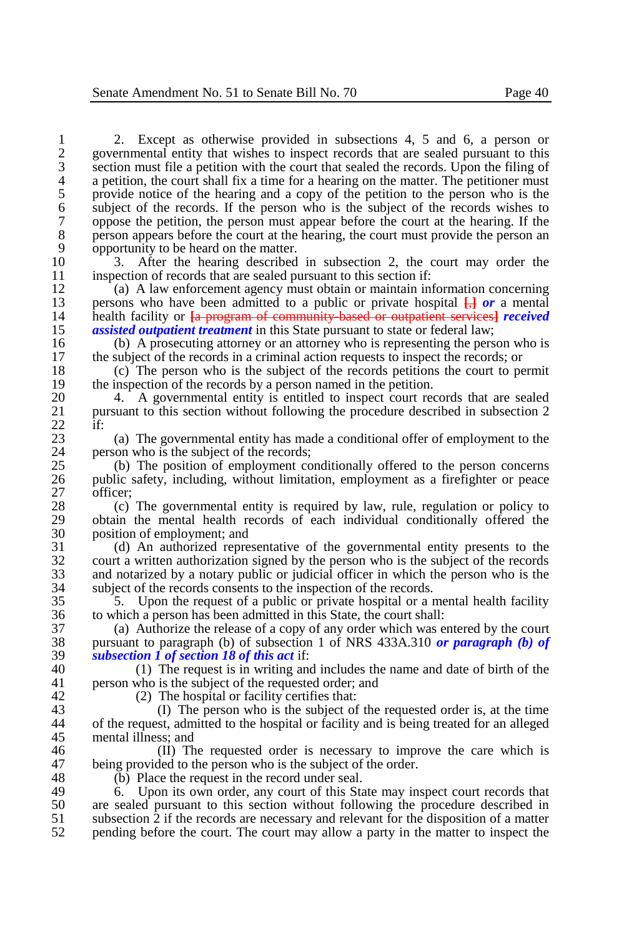1 2. Except as otherwise provided in subsections 4, 5 and 6, a person or 2 governmental entity that wishes to inspect records that are sealed pursuant to this 2 governmental entity that wishes to inspect records that are sealed pursuant to this<br>3 section must file a petition with the court that sealed the records. Upon the filing of 3 section must file a petition with the court that sealed the records. Upon the filing of a petition, the court shall fix a time for a hearing on the matter. The petitioner must 4 a petition, the court shall fix a time for a hearing on the matter. The petitioner must<br>5 brovide notice of the hearing and a copy of the petition to the person who is the 5 provide notice of the hearing and a copy of the petition to the person who is the subject of the records. If the person who is the subject of the records wishes to 6 subject of the records. If the person who is the subject of the records wishes to 0 oppose the petition, the person must appear before the court at the hearing. If the 7 oppose the petition, the person must appear before the court at the hearing. If the person appears before the court at the hearing, the court must provide the person an 8 person appears before the court at the hearing, the court must provide the person an opportunity to be heard on the matter. 9 opportunity to be heard on the matter.<br>10 3. After the hearing described

10 3. After the hearing described in subsection 2, the court may order the inspection of records that are sealed pursuant to this section if: 11 inspection of records that are sealed pursuant to this section if:<br>12 (a) A law enforcement agency must obtain or maintain in

12 (a) A law enforcement agency must obtain or maintain information concerning<br>13 bersons who have been admitted to a public or private hospital  $\frac{1}{2}$  or a mental 13 persons who have been admitted to a public or private hospital  $\frac{1}{k}$  *or* a mental 14 health facility or **La program of community based or outpatient services** *received* 14 health facility or **[**a program of community-based or outpatient services**]** *received*  15 **assisted outpatient treatment** in this State pursuant to state or federal law;<br>16 **b** A prosecuting attorney or an attorney who is representing the pers

16 (b) A prosecuting attorney or an attorney who is representing the person who is the subject of the records in a criminal action requests to inspect the records: or 17 the subject of the records in a criminal action requests to inspect the records; or 18 (c) The person who is the subject of the records petitions the court to per

18 (c) The person who is the subject of the records petitions the court to permit the inspection of the records by a person named in the petition. 19 the inspection of the records by a person named in the petition.<br>20 4. A governmental entity is entitled to inspect court required

20 4. A governmental entity is entitled to inspect court records that are sealed<br>21 bursuant to this section without following the procedure described in subsection 2 21 pursuant to this section without following the procedure described in subsection 2  $\frac{22}{23}$  if:

23 (a) The governmental entity has made a conditional offer of employment to the person who is the subject of the records: 24 person who is the subject of the records;<br>25 (b) The position of employment co

25 (b) The position of employment conditionally offered to the person concerns 26 public safety, including, without limitation, employment as a firefighter or peace 26 public safety, including, without limitation, employment as a firefighter or peace 27 officer;<br>28  $(c)$ 

28 (c) The governmental entity is required by law, rule, regulation or policy to obtain the mental health records of each individual conditionally offered the 29 obtain the mental health records of each individual conditionally offered the nosition of employment: and 30 position of employment; and<br>31 (d) An authorized repre

31 (d) An authorized representative of the governmental entity presents to the court a written authorization signed by the person who is the subject of the records 32 court a written authorization signed by the person who is the subject of the records<br>33 and notarized by a notary public or judicial officer in which the person who is the 33 and notarized by a notary public or judicial officer in which the person who is the subject of the records consents to the inspection of the records. 34 subject of the records consents to the inspection of the records.<br>35 5. Upon the request of a public or private hospital or a r

35 5. Upon the request of a public or private hospital or a mental health facility 36 to which a person has been admitted in this State, the court shall:<br>37 (a) Authorize the release of a copy of any order which was e

37 (a) Authorize the release of a copy of any order which was entered by the court 38 pursuant to paragraph (b) of subsection 1 of NRS 433A.310 or paragraph (b) of 38 pursuant to paragraph (b) of subsection 1 of NRS 433A.310 *or paragraph (b) of*  39 *subsection 1 of section 18 of this act* if:

40 (1) The request is in writing and includes the name and date of birth of the news approximate the subject of the requested order: and 41 person who is the subject of the requested order; and

42 (2) The hospital or facility certifies that:<br>43 (1) The person who is the subject of

43 (I) The person who is the subject of the requested order is, at the time 44 of the request, admitted to the hospital or facility and is being treated for an alleged 44 of the request, admitted to the hospital or facility and is being treated for an alleged 45 mental illness; and  $\frac{46}{10}$  m

46  $\qquad$  (II) The requested order is necessary to improve the care which is 47 being provided to the person who is the subject of the order. 47 being provided to the person who is the subject of the order.<br>48 (b) Place the request in the record under seal.

48 (b) Place the request in the record under seal.<br>49  $\overline{6}$  Upon its own order, any court of this Sta

49 6. Upon its own order, any court of this State may inspect court records that 50 are sealed pursuant to this section without following the procedure described in 50 are sealed pursuant to this section without following the procedure described in subsection 2 if the records are necessary and relevant for the disposition of a matter 51 subsection  $\overline{2}$  if the records are necessary and relevant for the disposition of a matter perception of a matter to inspect the court. The court may allow a party in the matter to inspect the 52 pending before the court. The court may allow a party in the matter to inspect the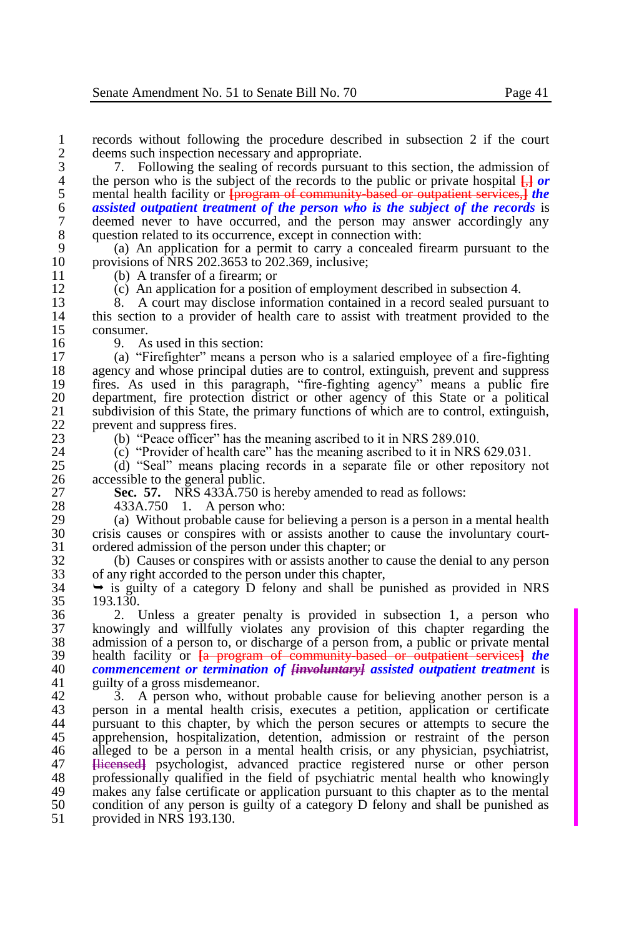1 records without following the procedure described in subsection 2 if the court deems such inspection necessary and appropriate. 2 deems such inspection necessary and appropriate.<br>3 7. Following the sealing of records pursuan

3 7. Following the sealing of records pursuant to this section, the admission of the person who is the subject of the records to the public or private hospital  $\overline{H}$  or 4 the person who is the subject of the records to the public or private hospital  $\frac{1}{k}$  *or* mental health facility or **Fundamia From the community based or outpatient services.** *I* the 5 mental health facility or <del>[program of community based or outpatient services,]</del> *the assisted outpatient treatment of the person who is the subject of the records* **is** 6 **assisted outpatient treatment of the person who is the subject of the records** is deemed never to have occurred, and the person may answer accordingly any 7 deemed never to have occurred, and the person may answer accordingly any question related to its occurrence, except in connection with: 8 question related to its occurrence, except in connection with:<br>9 (a) An application for a permit to carry a concealed fi

9 (a) An application for a permit to carry a concealed firearm pursuant to the 10 provisions of NRS 202.3653 to 202.369, inclusive;<br>11 (b) A transfer of a firearm: or

11 (b) A transfer of a firearm; or<br>12 (c) An application for a position

12 (c) An application for a position of employment described in subsection 4.

13 8. A court may disclose information contained in a record sealed pursuant to 14 this section to a provider of health care to assist with treatment provided to the 14 this section to a provider of health care to assist with treatment provided to the  $15$  consumer.<br>16 9. As

16 9. As used in this section:<br>17 (a) "Firefighter" means a n

17 (a) "Firefighter" means a person who is a salaried employee of a fire-fighting 18 agency and whose principal duties are to control, extinguish, prevent and suppress<br>19 fires. As used in this paragraph, "fire-fighting agency" means a public fire 19 fires. As used in this paragraph, "fire-fighting agency" means a public fire 20 department, fire protection district or other agency of this State or a political subdivision of this State, the primary functions of which are to control, extinguish, 21 subdivision of this State, the primary functions of which are to control, extinguish, prevent and suppress fires 22 prevent and suppress fires.<br>  $\frac{23}{23}$  (b) "Peace officer" has

23 (b) "Peace officer" has the meaning ascribed to it in NRS 289.010.<br>24 (c) "Provider of health care" has the meaning ascribed to it in NRS

24 (c) "Provider of health care" has the meaning ascribed to it in NRS 629.031.<br>25 (d) "Seal" means placing records in a separate file or other repository in

25 (d) "Seal" means placing records in a separate file or other repository not 26 accessible to the general public.<br>27 **Sec. 57.** NRS 433A.750 is

27 **Sec. 57.** NRS 433A.750 is hereby amended to read as follows:

28 433A.750 1. A person who:<br>29 (a) Without probable cause for

29 (a) Without probable cause for believing a person is a person in a mental health 30 crisis causes or conspires with or assists another to cause the involuntary court-31 ordered admission of the person under this chapter; or 32 (b) Causes or conspires with or assists another to

32 (b) Causes or conspires with or assists another to cause the denial to any person 33 of any right accorded to the person under this chapter,<br>34  $\rightarrow$  is guilty of a category D felony and shall be pro-

 $34 \rightarrow$  is guilty of a category D felony and shall be punished as provided in NRS 193.130. 193.130.

 2. Unless a greater penalty is provided in subsection 1, a person who knowingly and willfully violates any provision of this chapter regarding the admission of a person to, or discharge of a person from, a public or private mental<br> $39$  health facility or  $I<sub>2</sub>$  program of community based or outpatient services! the 39 health facility or <del>[a program of community-based or outpatient services]</del> *the*  $\frac{1}{2}$  *commencement or termination of liny-oluntary assisted outpatient treatment is commencement or termination of [involuntary] assisted outpatient treatment* is guilty of a gross misdemeanor.

42 3. A person who, without probable cause for believing another person is a<br>43 person in a mental health crisis, executes a petition, application or certificate 43 person in a mental health crisis, executes a petition, application or certificate our survey and the person secures or attempts to secure the 44 pursuant to this chapter, by which the person secures or attempts to secure the 45 apprehension, hospitalization, detention, admission or restraint of the person 46 alleged to be a person in a mental health crisis or any physician, psychiatrist. 46 alleged to be a person in a mental health crisis, or any physician, psychiatrist, 47 Hierased psychologist, advanced practice registered nurse or other person 47 **Elicensed** eperturellel psychologist, advanced practice registered nurse or other person 48 professionally qualified in the field of psychiatric mental health who knowingly 48 professionally qualified in the field of psychiatric mental health who knowingly<br>49 makes any false certificate or application pursuant to this chapter as to the mental 49 makes any false certificate or application pursuant to this chapter as to the mental condition of any person is guilty of a category D felony and shall be punished as 50 condition of any person is guilty of a category D felony and shall be punished as 51 provided in NRS 193.130.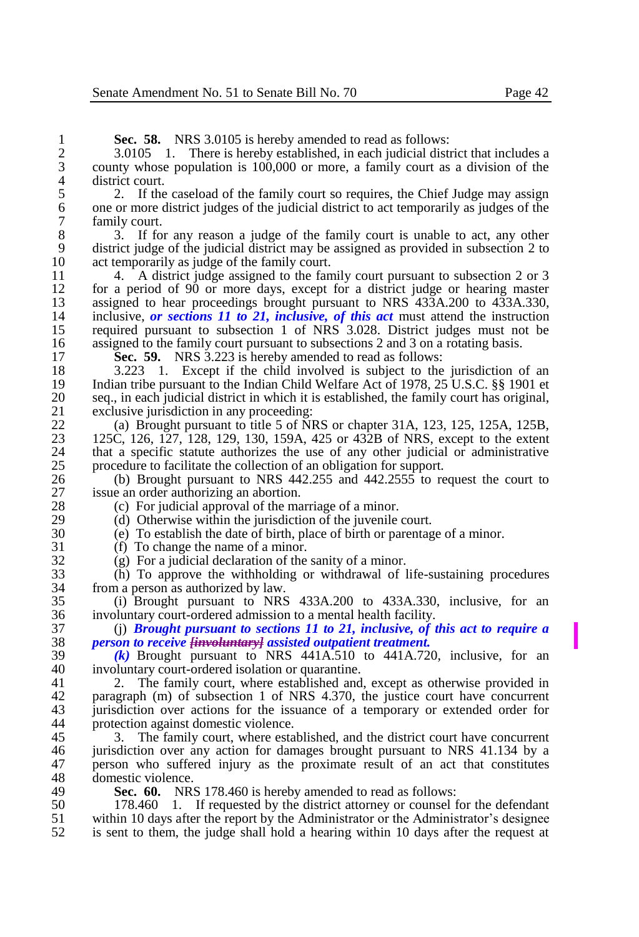**Sec. 58.** NRS 3.0105 is hereby amended to read as follows:<br>2 3.0105 1. There is hereby established, in each judicial dist

2 3.0105 1. There is hereby established, in each judicial district that includes a county whose population is 100,000 or more, a family court as a division of the 3 county whose population is 100,000 or more, a family court as a division of the 4 district court.<br>5 2. If the

5 2. If the caseload of the family court so requires, the Chief Judge may assign one or more district judges of the judicial district to act temporarily as judges of the 6 one or more district judges of the judicial district to act temporarily as judges of the 7 family court.<br>8 3. If fo

8 3. If for any reason a judge of the family court is unable to act, any other 9 district judge of the judicial district may be assigned as provided in subsection 2 to 10 act temporarily as judge of the family court.<br>11 4 A district judge assigned to the fam

11 4. A district judge assigned to the family court pursuant to subsection 2 or 3<br>12 for a period of 90 or more days, except for a district judge or hearing master 12 for a period of 90 or more days, except for a district judge or hearing master 13 assigned to hear proceedings brought pursuant to NRS 433A.200 to 433A.330. 13 assigned to hear proceedings brought pursuant to NRS  $43\overline{3}A.200$  to  $4\overline{3}3A.330$ ,<br>14 inclusive, or sections 11 to 21, inclusive, of this act must attend the instruction 14 inclusive, *or sections 11 to* 21, *inclusive*, *of this act* must attend the instruction 15 required pursuant to subsection 1 of NRS 3.028. District judges must not be 15 required pursuant to subsection 1 of  $NRS^3$  3.028. District judges must not be assigned to the family court pursuant to subsections 2 and 3 on a rotating basis. 16 assigned to the family court pursuant to subsections 2 and 3 on a rotating basis.<br>17 **Sec. 59.** NRS 3.223 is hereby amended to read as follows:

17 **Sec. 59.** NRS 3.223 is hereby amended to read as follows:<br>18 3.223 1. Except if the child involved is subject to the

18 3.223 1. Except if the child involved is subject to the jurisdiction of an 19 Indian tribe pursuant to the Indian Child Welfare Act of 1978, 25 U.S.C. \$ 1901 et 19 Indian tribe pursuant to the Indian Child Welfare Act of 1978, 25 U.S.C. §§ 1901 et 20<br>20 seq., in each judicial district in which it is established, the family court has original. 20 seq., in each judicial district in which it is established, the family court has original, exclusive iurisdiction in any proceeding: 21 exclusive jurisdiction in any proceeding:<br>22 (a) Brought pursuant to title 5 of NI

22 (a) Brought pursuant to title 5 of NRS or chapter 31A, 123, 125, 125A, 125B, 23 125C, 126, 127, 128, 129, 130, 159A, 425 or 432B of NRS, except to the extent 23 125C, 126, 127, 128, 129, 130, 159A, 425 or 432B of NRS, except to the extent that a specific statute authorizes the use of any other judicial or administrative 24 that a specific statute authorizes the use of any other judicial or administrative procedure to facilitate the collection of an obligation for support. 25 procedure to facilitate the collection of an obligation for support.<br>26 (b) Brought pursuant to NRS 442.255 and 442.2555 to re

26 (b) Brought pursuant to NRS 442.255 and 442.2555 to request the court to issue an order authorizing an abortion. 27 issue an order authorizing an abortion.<br>28 (c) For judicial approval of the ma

28 (c) For judicial approval of the marriage of a minor.<br>29 (d) Otherwise within the iurisdiction of the iuvenile

29 (d) Otherwise within the jurisdiction of the juvenile court.<br>30 (e) To establish the date of birth, place of birth or parentage

30 (e) To establish the date of birth, place of birth or parentage of a minor.

31 (f) To change the name of a minor.<br>32 (g) For a judicial declaration of the

32 (g) For a judicial declaration of the sanity of a minor.<br>33 (h) To approve the withholding or withdrawal of 1

33 (h) To approve the withholding or withdrawal of life-sustaining procedures 34 from a person as authorized by law.<br>35 (i) Brought pursuant to NRS

35 (i) Brought pursuant to NRS 433A.200 to 433A.330, inclusive, for an 36 involuntary court-ordered admission to a mental health facility.<br>37 (i) **Brought pursuant to sections 11 to 21, inclusive, of i** 

37 (j) *Brought pursuant to sections 11 to 21, inclusive, of this act to require a*  38 *person to receive [involuntary] assisted outpatient treatment.*

39 *(k)* Brought pursuant to NRS 441A.510 to 441A.720, inclusive, for an 40 involuntary court-ordered isolation or quarantine.<br>41 2. The family court, where established and

2. The family court, where established and, except as otherwise provided in 42 paragraph (m) of subsection 1 of NRS 4.370, the justice court have concurrent 43 iurisdiction over actions for the issuance of a temporary or extended order for 43 jurisdiction over actions for the issuance of a temporary or extended order for protection against domestic violence.

45 3. The family court, where established, and the district court have concurrent 46 iurisdiction over any action for damages brought pursuant to NRS 41.134 by a 46 iurisdiction over any action for damages brought pursuant to NRS 41.134 by a<br>47 errs on who suffered injury as the proximate result of an act that constitutes 47 person who suffered injury as the proximate result of an act that constitutes domestic violence. 48 domestic violence.<br>49 **Sec. 60.** NR:

49 **Sec. 60.** NRS 178.460 is hereby amended to read as follows:<br>50 178.460 1. If requested by the district attorney or counsel for

50 178.460 1. If requested by the district attorney or counsel for the defendant studies within 10 days after the report by the Administrator or the Administrator's designee 51 within 10 days after the report by the Administrator or the Administrator's designee<br>52 is sent to them, the judge shall hold a hearing within 10 days after the request at is sent to them, the judge shall hold a hearing within 10 days after the request at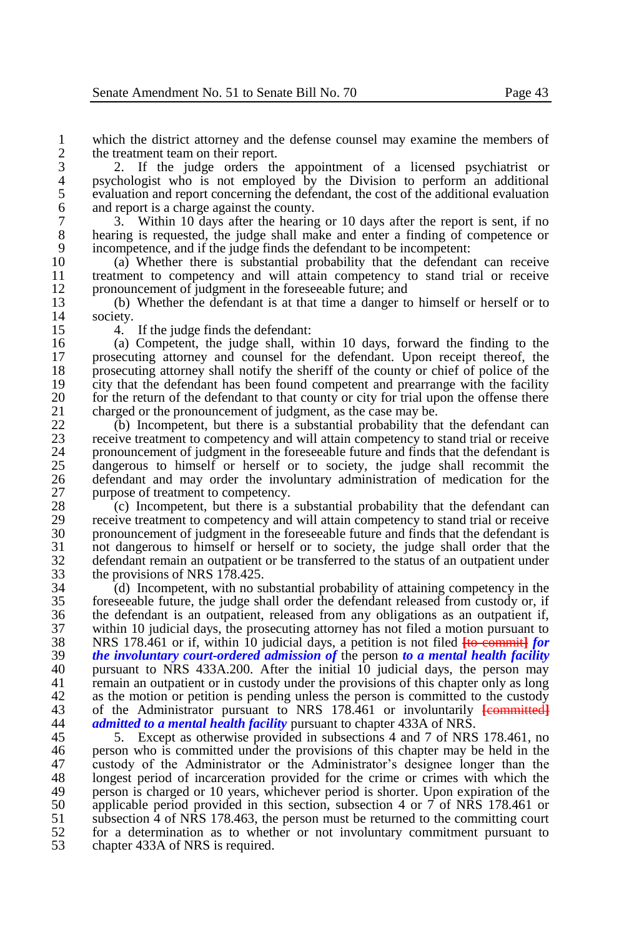1 which the district attorney and the defense counsel may examine the members of the treatment team on their report. 2 the treatment team on their report.<br>3 2. If the judge orders the

3 2. If the judge orders the appointment of a licensed psychiatrist or 4 psychologist who is not employed by the Division to perform an additional evaluation and report concerning the defendant, the cost of the additional evaluation 5 evaluation and report concerning the defendant, the cost of the additional evaluation<br>6 and report is a charge against the county. 6 and report is a charge against the county.<br>
7 3. Within 10 days after the hearing

7 3. Within 10 days after the hearing or 10 days after the report is sent, if no 8 hearing is requested, the judge shall make and enter a finding of competence or incompetence, and if the judge finds the defendant to be incompetent: 9 incompetence, and if the judge finds the defendant to be incompetent:<br>10 (a) Whether there is substantial probability that the defendan

10 (a) Whether there is substantial probability that the defendant can receive 11 treatment to competency and will attain competency to stand trial or receive<br>12 pronouncement of judgment in the foreseeable future: and 12 pronouncement of judgment in the foreseeable future; and<br>13 (b) Whether the defendant is at that time a danger to

13 (b) Whether the defendant is at that time a danger to himself or herself or to 14 society.<br>15 4.

15 4. If the judge finds the defendant:<br>16 (a) Competent, the judge shall, wi 16 (a) Competent, the judge shall, within 10 days, forward the finding to the prosecuting attorney and counsel for the defendant. Upon receipt thereof, the 17 prosecuting attorney and counsel for the defendant. Upon receipt thereof, the 18 prosecuting attorney shall notify the sheriff of the county or chief of police of the city that the defendant has been found competent and prearrange with the facility 19 city that the defendant has been found competent and prearrange with the facility<br>20 for the return of the defendant to that county or city for trial upon the offense there 20 for the return of the defendant to that county or city for trial upon the offense there charged or the pronouncement of judgment, as the case may be. 21 charged or the pronouncement of judgment, as the case may be.<br>22 (b) Incompetent, but there is a substantial probability that

22 (b) Incompetent, but there is a substantial probability that the defendant can<br>23 receive treatment to connectency and will attain competency to stand trial or receive 23 receive treatment to competency and will attain competency to stand trial or receive 24 pronouncement of judgment in the foreseeable future and finds that the defendant is<br>25 dangerous to himself or herself or to society, the judge shall recommit the 25 dangerous to himself or herself or to society, the judge shall recommit the defendant and may order the involuntary administration of medication for the 26 defendant and may order the involuntary administration of medication for the purpose of treatment to competency. 27 purpose of treatment to competency.<br>28 (c) Incompetent, but there is a

28 (c) Incompetent, but there is a substantial probability that the defendant can<br>29 receive treatment to connectency and will attain connectency to stand trial or receive 29 receive treatment to competency and will attain competency to stand trial or receive<br>30 romouncement of judgment in the foreseeable future and finds that the defendant is 30 pronouncement of judgment in the foreseeable future and finds that the defendant is<br>31 order dangerous to himself or herself or to society, the judge shall order that the 31 not dangerous to himself or herself or to society, the judge shall order that the defendant remain an outpatient or be transferred to the status of an outpatient under 32 defendant remain an outpatient or be transferred to the status of an outpatient under<br>33 the provisions of NRS 178 425. 33 the provisions of NRS 178.425.<br>34 (d) Incompetent, with no si

34 (d) Incompetent, with no substantial probability of attaining competency in the 35 foreseeable future, the judge shall order the defendant released from custody or, if foreseeable future, the judge shall order the defendant released from custody or, if 36 the defendant is an outpatient, released from any obligations as an outpatient if,<br>37 within 10 judicial days, the prosecuting attorney has not filed a motion pursuant to 37 within 10 judicial days, the prosecuting attorney has not filed a motion pursuant to<br>38 NRS 178.461 or if, within 10 judicial days, a petition is not filed Ho-commitation 38 NRS 178.461 or if, within 10 judicial days, a petition is not filed **[**to commit**]** *for*  39 *the involuntary court-ordered admission of* the person *to a mental health facility*  40 pursuant to NRS 433A.200. After the initial 10 judicial days, the person may<br>41 remain an outpatient or in custody under the provisions of this chapter only as long remain an outpatient or in custody under the provisions of this chapter only as long 42 as the motion or petition is pending unless the person is committed to the custody<br>43 of the Administrator pursuant to NRS 178.461 or involuntarily Leonmitted 43 of the Administrator pursuant to NRS 178.461 or involuntarily **[**committed**]** *admitted to a mental health facility* pursuant to chapter 433A of NRS.

45 5. Except as otherwise provided in subsections 4 and 7 of NRS 178.461, no<br>46 nerson who is committed under the provisions of this chapter may be held in the 46 person who is committed under the provisions of this chapter may be held in the 47 custody of the Administrator or the Administrator's designee longer than the 47 custody of the Administrator or the Administrator's designee longer than the 48 longest period of incarceration provided for the crime or crimes with which the 48 longest period of incarceration provided for the crime or crimes with which the person is charged or 10 years, whichever period is shorter. Upon expiration of the 49 person is charged or 10 years, whichever period is shorter. Upon expiration of the  $50$  annicable period provided in this section, subsection 4 or 7 of NRS 178.461 or 50 applicable period provided in this section, subsection 4 or  $\overline{7}$  of NRS 178.461 or 51 subsection 4 of NRS 178.463, the person must be returned to the committing court  $51$  subsection  $\overline{4}$  of NRS 178.463, the person must be returned to the committing court  $52$  for a determination as to whether or not involuntary commitment pursuant to 52 for a determination as to whether or not involuntary commitment pursuant to chapter 433A of NRS is required. chapter 433A of NRS is required.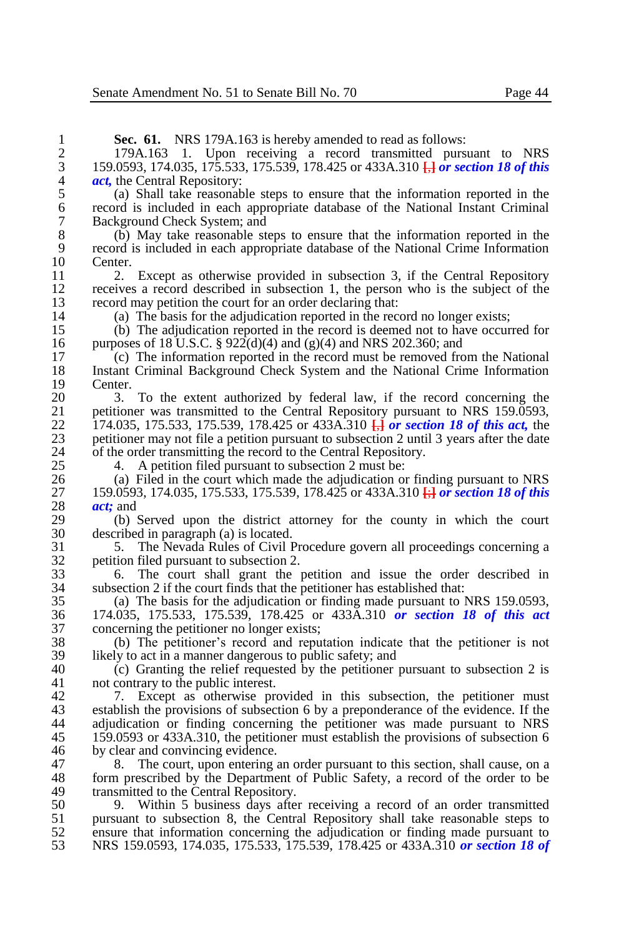1 **Sec. 61.** NRS 179A.163 is hereby amended to read as follows:<br>2 179A.163 1. Upon receiving a record transmitted purs

2 179A.163 1. Upon receiving a record transmitted pursuant to NRS<br>3 159.0593, 174.035, 175.533, 175.539, 178.425 or 433A.310  $\frac{1}{11}$  or section 18 of this 3 159.0593, 174.035, 175.533, 175.539, 178.425 or 433A.310 **[**,**]** *or section 18 of this*  4 *act*, the Central Repository:<br>5 (a) Shall take reasonab

5 (a) Shall take reasonable steps to ensure that the information reported in the 6 record is included in each appropriate database of the National Instant Criminal 7 Background Check System; and<br>8 (b) May take reasonable st

8 (b) May take reasonable steps to ensure that the information reported in the 9 record is included in each appropriate database of the National Crime Information  $10$  Center.<br> $11$  2.

11 2. Except as otherwise provided in subsection 3, if the Central Repository<br>12 receives a record described in subsection 1, the person who is the subject of the 12 receives a record described in subsection 1, the person who is the subject of the record may petition the court for an order declaring that: 13 record may petition the court for an order declaring that:<br>14 (a) The basis for the adjudication reported in the reco

14 (a) The basis for the adjudication reported in the record no longer exists;<br>15 (b) The adjudication reported in the record is deemed not to have occur

15 (b) The adjudication reported in the record is deemed not to have occurred for purposes of 18 U.S.C.  $\frac{8}{222}$ (d)(4) and (g)(4) and NRS 202.360; and 16 purposes of 18 U.S.C. § 922(d)(4) and (g)(4) and NRS 202.360; and 17 (c) The information reported in the record must be removed from

17 (c) The information reported in the record must be removed from the National 18 Instant Criminal Background Check System and the National Crime Information 18 Instant Criminal Background Check System and the National Crime Information  $19$  Center.<br>20  $3$ 

20 3. To the extent authorized by federal law, if the record concerning the perturbation 21 between 21 between 21 between 21 between 21 between 21 between 21 between 21 between 21 between 21 between 21 between 21 between 2 21 petitioner was transmitted to the Central Repository pursuant to NRS 159.0593,<br>22. 174.035, 175.533, 175.539, 178.425 or 433A.310  $\Box$  or section 18 of this act, the 22 174.035, 175.533, 175.539, 178.425 or 433A.310 **[**,**]** *or section 18 of this act,* the 23 petitioner may not file a petition pursuant to subsection 2 until 3 years after the date<br>24 of the order transmitting the record to the Central Repository. 24 of the order transmitting the record to the Central Repository.<br>25 4 A petition filed pursuant to subsection 2 must be:

25 4. A petition filed pursuant to subsection 2 must be:<br>26 (a) Filed in the court which made the adjudication of

26 (a) Filed in the court which made the adjudication or finding pursuant to NRS<br>27 159.0593, 174.035, 175.533, 175.539, 178.425 or 433A.310  $\frac{1}{2}$  or section 18 of this 27 159.0593, 174.035, 175.533, 175.539, 178.425 or 433A.310 **[**;**]** *or section 18 of this*  28 *act*; and<br>29 (b)

29 (b) Served upon the district attorney for the county in which the court 30 described in paragraph (a) is located. 30 described in paragraph (a) is located.<br>31 5. The Nevada Rules of Civil I

31 5. The Nevada Rules of Civil Procedure govern all proceedings concerning a  $\begin{array}{ll}\n 32 \\
 33\n \end{array}$  petition filed pursuant to subsection 2.

33 6. The court shall grant the petition and issue the order described in subsection 2 if the court finds that the petitioner has established that: 34 subsection 2 if the court finds that the petitioner has established that:

35 (a) The basis for the adjudication or finding made pursuant to NRS 159.0593, 36 174.035, 175.533, 175.539, 178.425 or 433A.310 *or section 18 of this act*  37 concerning the petitioner no longer exists;<br>38 (b) The petitioner's record and repu

38 (b) The petitioner's record and reputation indicate that the petitioner is not  $39$  likely to act in a manner dangerous to public safety; and  $40$  (c) Granting the relief requested by the petitioner

40 (c) Granting the relief requested by the petitioner pursuant to subsection 2 is not contrary to the public interest. not contrary to the public interest.

42 7. Except as otherwise provided in this subsection, the petitioner must establish the provisions of subsection 6 by a preponderance of the evidence. If the 43 establish the provisions of subsection 6 by a preponderance of the evidence. If the adjudication or finding concerning the petitioner was made pursuant to NRS adjudication or finding concerning the petitioner was made pursuant to NRS 45 159.0593 or 433A.310, the petitioner must establish the provisions of subsection 6<br>46 by clear and convincing evidence. 46 by clear and convincing evidence.<br>47 8. The court, upon entering

47 8. The court, upon entering an order pursuant to this section, shall cause, on a<br>48 form prescribed by the Department of Public Safety, a record of the order to be 48 form prescribed by the Department of Public Safety, a record of the order to be transmitted to the Central Repository. 49 transmitted to the Central Repository.<br>50 9. Within 5 business days after

50 9. Within 5 business days after receiving a record of an order transmitted 51 pursuant to subsection 8, the Central Repository shall take reasonable steps to ensure that information concerning the adjudication or finding made pursuant to 52 ensure that information concerning the adjudication or finding made pursuant to NRS 159.0593, 174.035, 175.533, 175.539, 178.425 or 433A.310 or section 18 of 53 NRS 159.0593, 174.035, 175.533, 175.539, 178.425 or 433A.310 *or section 18 of*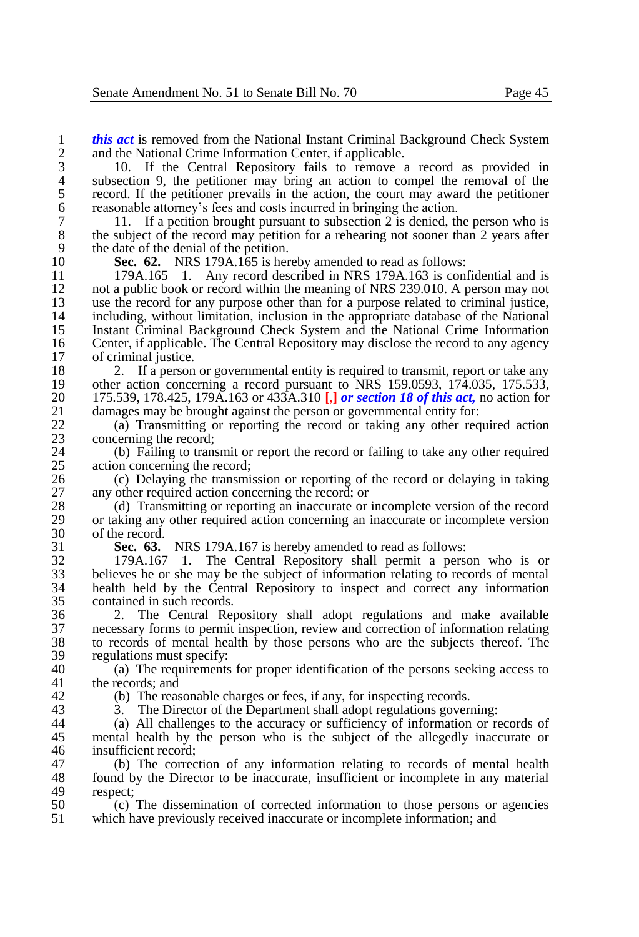3 10. If the Central Repository fails to remove a record as provided in 4 subsection 9, the petitioner may bring an action to compel the removal of the record. If the petitioner prevails in the action, the court may award the petitioner 5 record. If the petitioner prevails in the action, the court may award the petitioner reasonable attorney's fees and costs incurred in bringing the action. 6 reasonable attorney's fees and costs incurred in bringing the action.<br>
7 11. If a petition brought pursuant to subsection 2 is denied, the

7 11. If a petition brought pursuant to subsection 2 is denied, the person who is the subject of the record may petition for a rehearing not sooner than 2 years after 8 the subject of the record may petition for a rehearing not sooner than 2 years after the date of the denial of the netition. 9 the date of the denial of the petition.<br>10 **Sec. 62.** NRS 179A.165 is her

10 **Sec. 62.** NRS 179A.165 is hereby amended to read as follows: 11 179A.165 1. Any record described in NRS 179A.163 is confidential and is<br>12 not a public book or record within the meaning of NRS 239.010. A person may not 12 not a public book or record within the meaning of NRS 239.010. A person may not 13 use the record for any purpose other than for a purpose related to criminal justice. 13 use the record for any purpose other than for a purpose related to criminal justice,<br>14 including without limitation, inclusion in the appropriate database of the National 14 including, without limitation, inclusion in the appropriate database of the National 15 Instant Criminal Background Check System and the National Crime Information 15 Instant Criminal Background Check System and the National Crime Information 16 Center, if applicable. The Central Repository may disclose the record to any agency<br>17 of criminal justice. 17 of criminal justice.<br>18 2. If a person

18 2. If a person or governmental entity is required to transmit, report or take any<br>19 other action concerning a record pursuant to NRS 159.0593, 174.035, 175.533. 19 other action concerning a record pursuant to NRS 159.0593, 174.035, 175.533, 20 175.539, 178.425, 179A 163 or 433A 310  $\Box$  or section 18 of this act, no action for 20 175.539, 178.425, 179A.163 or 433A.310 **[**,] *or section 18 of this act*, no action for damages may be brought against the person or governmental entity for: 21 damages may be brought against the person or governmental entity for:<br>22 (a) Transmitting or reporting the record or taking any other req

22 (a) Transmitting or reporting the record or taking any other required action concerning the record: 23 concerning the record;<br>24 (b) Failing to trans

24 (b) Failing to transmit or report the record or failing to take any other required action concerning the record: 25 action concerning the record;<br>26 (c) Delaving the transmi

26 (c) Delaying the transmission or reporting of the record or delaying in taking any other required action concerning the record: or 27 any other required action concerning the record; or 28 (d) Transmitting or reporting an inaccurate or

28 (d) Transmitting or reporting an inaccurate or incomplete version of the record 29 or taking any other required action concerning an inaccurate or incomplete version 29 or taking any other required action concerning an inaccurate or incomplete version of the record. 30 of the record.<br>31 **Sec. 63.** 

31 **Sec. 63.** NRS 179A.167 is hereby amended to read as follows:

32 179A.167 1. The Central Repository shall permit a person who is or 33 believes he or she may be the subject of information relating to records of mental<br>34 bealth held by the Central Repository to inspect and correct any information 34 health held by the Central Repository to inspect and correct any information contained in such records.

 2. The Central Repository shall adopt regulations and make available necessary forms to permit inspection, review and correction of information relating to records of mental health by those persons who are the subjects thereof. The regulations must specify:<br> $40$  (a) The requirements

40 (a) The requirements for proper identification of the persons seeking access to the records: and the records; and

42 (b) The reasonable charges or fees, if any, for inspecting records.<br>43 3. The Director of the Department shall adopt regulations governed

43 3. The Director of the Department shall adopt regulations governing:<br>44 (a) All challenges to the accuracy or sufficiency of information or re

(a) All challenges to the accuracy or sufficiency of information or records of 45 mental health by the person who is the subject of the allegedly inaccurate or insufficient record: 46 insufficient record;<br>47 (b) The correct

47 (b) The correction of any information relating to records of mental health 48 found by the Director to be inaccurate, insufficient or incomplete in any material 48 found by the Director to be inaccurate, insufficient or incomplete in any material respect: 49 respect;<br>50 (c)

50 <sup>(c)</sup> The dissemination of corrected information to those persons or agencies which have previously received inaccurate or incomplete information: and which have previously received inaccurate or incomplete information; and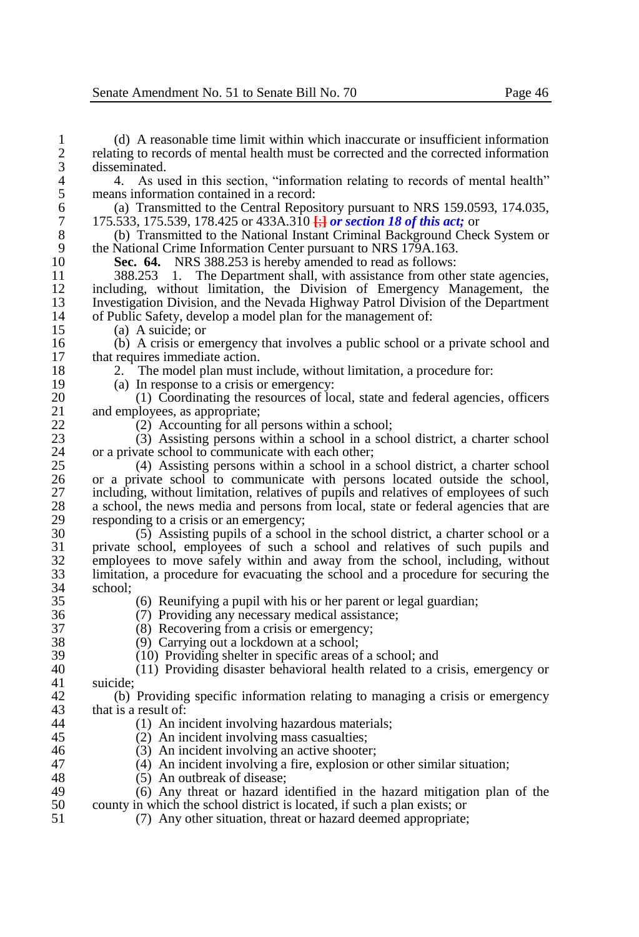1 (d) A reasonable time limit within which inaccurate or insufficient information 2 relating to records of mental health must be corrected and the corrected information disseminated. 3 disseminated. 4 4. As used in this section, "information relating to records of mental health"<br>5 means information contained in a record: 5 means information contained in a record:<br>6 (a) Transmitted to the Central Repos 6 (a) Transmitted to the Central Repository pursuant to NRS 159.0593, 174.035,  $\frac{7}{175.533}$ , 175.539, 178.425 or 433A.310  $\frac{1}{11}$  or section 18 of this act: or 7 175.533, 175.539, 178.425 or 433A.310 **[**;**]** *or section 18 of this act;* or 8 (b) Transmitted to the National Instant Criminal Background Check System or the National Crime Information Center pursuant to NRS 179A.163 9 the National Crime Information Center pursuant to NRS 179A.163.<br>10 **Sec. 64.** NRS 388.253 is hereby amended to read as follows: 10 **Sec. 64.** NRS 388.253 is hereby amended to read as follows:<br>11 388.253 1. The Department shall, with assistance from other 11 388.253 1. The Department shall, with assistance from other state agencies, 12 including, without limitation, the Division of Emergency Management, the Investigation Division and the Nevada Highway Patrol Division of the Department 13 Investigation Division, and the Nevada Highway Patrol Division of the Department<br>14 of Public Safety, develop a model plan for the management of: 14 of Public Safety, develop a model plan for the management of:<br>15 (a) A suicide: or 15 (a) A suicide; or<br>16 (b) A crisis or er 16 (b) A crisis or emergency that involves a public school or a private school and 17 that requires immediate action.<br>18 2. The model plan must in 18 2. The model plan must include, without limitation, a procedure for:<br>19 (a) In response to a crisis or emergency: 19 (a) In response to a crisis or emergency:<br>20 (1) Coordinating the resources of lo 20 (1) Coordinating the resources of local, state and federal agencies, officers and employees, as appropriate: 21 and employees, as appropriate;<br>22  $(2)$  Accounting for all 1 22 (2) Accounting for all persons within a school;<br>
23 (3) Assisting persons within a school in a scho 23 (3) Assisting persons within a school in a school district, a charter school 24 or a private school to communicate with each other;<br>25  $(4)$  Assisting persons within a school in a 25 (4) Assisting persons within a school in a school district, a charter school 26 or a private school to communicate with persons located outside the school, 27 including, without limitation, relatives of pupils and relatives of employees of such a school, the news media and persons from local, state or federal agencies that are 28 a school, the news media and persons from local, state or federal agencies that are responding to a crisis or an emergency: 29 responding to a crisis or an emergency;<br>30  $(5)$  Assisting pupils of a school  $30$  (5) Assisting pupils of a school in the school district, a charter school or a<br>31 orivate school employees of such a school and relatives of such pupils and 31 private school, employees of such a school and relatives of such pupils and 32 employees to move safely within and away from the school, including, without 33 limitation, a procedure for evacuating the school and a procedure for securing the 33 limitation, a procedure for evacuating the school and a procedure for securing the  $34$  school;<br> $35$  $(6)$  Reunifying a pupil with his or her parent or legal guardian; 36 (7) Providing any necessary medical assistance;<br>37 (8) Recovering from a crisis or emergency: 37 (8) Recovering from a crisis or emergency;<br>38 (9) Carrying out a lockdown at a school: 38 (9) Carrying out a lockdown at a school;<br>39 (10) Providing shelter in specific areas of  $\begin{array}{ll}\n 39 \\
 \hline\n 40\n \end{array}$  (10) Providing shelter in specific areas of a school; and  $\begin{array}{ll}\n 40\n \end{array}$ 40 (11) Providing disaster behavioral health related to a crisis, emergency or suicide: 42 (b) Providing specific information relating to managing a crisis or emergency that is a result of: 43 that is a result of:<br>44 (1) An in 44 (1) An incident involving hazardous materials;<br>45 (2) An incident involving mass casualties: 45 (2) An incident involving mass casualties;<br>46 (3) An incident involving an active shooter 46 (3) An incident involving an active shooter;<br>47 (4) An incident involving a fire, explosion of 47 (4) An incident involving a fire, explosion or other similar situation;<br>48 (5) An outbreak of disease: 48 (5) An outbreak of disease;<br>49 (6) Any threat or hazard is 49  $(6)$  Any threat or hazard identified in the hazard mitigation plan of the 50 county in which the school district is located if such a plan exists: or 50 county in which the school district is located, if such a plan exists; or  $(7)$  Any other situation, threat or hazard deemed appropriate: 51 (7) Any other situation, threat or hazard deemed appropriate;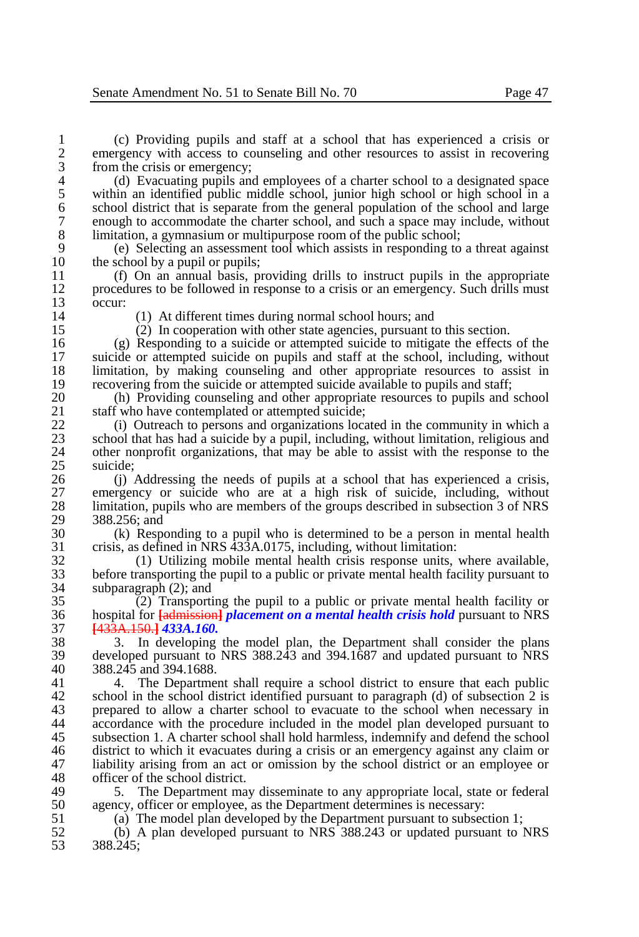1 (c) Providing pupils and staff at a school that has experienced a crisis or 2 emergency with access to counseling and other resources to assist in recovering from the crisis or emergency; 3 from the crisis or emergency;<br>4 (d) Evacuating pupils and

4 (d) Evacuating pupils and employees of a charter school to a designated space<br>5 within an identified public middle school, junior high school or high school in a 5 within an identified public middle school, junior high school or high school in a<br>6 school district that is separate from the general population of the school and large 6 school district that is separate from the general population of the school and large<br>
commodate the charter school, and such a space may include, without 7 enough to accommodate the charter school, and such a space may include, without 18 limitation. a gymnasium or multipurpose room of the public school: 8 limitation, a gymnasium or multipurpose room of the public school;<br>9 (e) Selecting an assessment tool which assists in responding to

9 (e) Selecting an assessment tool which assists in responding to a threat against 10 the school by a pupil or pupils;<br>11 (f) On an annual basis, pu

11 (f) On an annual basis, providing drills to instruct pupils in the appropriate<br>12 procedures to be followed in response to a crisis or an emergency. Such drills must 12 procedures to be followed in response to a crisis or an emergency. Such drills must occur:  $\frac{13}{14}$  occur:

14 (1) At different times during normal school hours; and<br>15 (2) In cooperation with other state agencies, pursuant to

15 (2) In cooperation with other state agencies, pursuant to this section.<br>16 (g) Responding to a suicide or attempted suicide to mitigate the effects 16 (g) Responding to a suicide or attempted suicide to mitigate the effects of the suicide or attempted suicide on pupils and staff at the school, including without 17 suicide or attempted suicide on pupils and staff at the school, including, without 18 limitation, by making counseling and other appropriate resources to assist in 18 limitation, by making counseling and other appropriate resources to assist in recovering from the suicide or attempted suicide available to pupils and staff: 19 recovering from the suicide or attempted suicide available to pupils and staff;<br>20 (b) Providing counseling and other appropriate resources to pupils and

20 (h) Providing counseling and other appropriate resources to pupils and school staff who have contemplated or attempted suicide: 21 staff who have contemplated or attempted suicide;<br>22. (i) Outreach to persons and organizations loca

22 (i) Outreach to persons and organizations located in the community in which a<br>23 school that has had a suicide by a pupil, including, without limitation, religious and 23 school that has had a suicide by a pupil, including, without limitation, religious and other nonprofit organizations, that may be able to assist with the response to the 24 other nonprofit organizations, that may be able to assist with the response to the suicide: 25 suicide;<br>26 (i)

26 (j) Addressing the needs of pupils at a school that has experienced a crisis,<br>27 emergency or suicide who are at a high risk of suicide, including, without 27 emergency or suicide who are at a high risk of suicide, including, without 28 limitation pupils who are members of the groups described in subsection 3 of NRS 28 limitation, pupils who are members of the groups described in subsection 3 of NRS<br>29 388.256: and 29 388.256; and<br>30 (k) Respo

30 (k) Responding to a pupil who is determined to be a person in mental health 31 crisis, as defined in NRS  $\frac{333}{4}$  A.0175, including, without limitation:<br>32 (1) Utilizing mobile mental health crisis response units.

32 (1) Utilizing mobile mental health crisis response units, where available, 33 before transporting the pupil to a public or private mental health facility pursuant to subparagraph  $(2)$ : and 34 subparagraph (2); and<br>35 (2) Transporti

 $(2)$  Transporting the pupil to a public or private mental health facility or 36 hospital for **[**admission**]** *placement on a mental health crisis hold* pursuant to NRS 37 **[**433A.150.**]** *433A.160.*

38 3. In developing the model plan, the Department shall consider the plans<br>39 developed pursuant to NRS 388.243 and 394.1687 and undated pursuant to NRS 39 developed pursuant to NRS  $388.2\overline{4}3$  and  $394.1\overline{6}87$  and updated pursuant to NRS  $388.2\overline{4}5$  and  $394.1\overline{6}88$ . 40 388.245 and 394.1688.<br>41 4. The Departme

4. The Department shall require a school district to ensure that each public 42 school in the school district identified pursuant to paragraph (d) of subsection 2 is<br>43 menared to allow a charter school to evacuate to the school when necessary in 43 prepared to allow a charter school to evacuate to the school when necessary in accordance with the procedure included in the model plan developed pursuant to accordance with the procedure included in the model plan developed pursuant to 45 subsection 1. A charter school shall hold harmless, indemnify and defend the school<br>46 district to which it evacuates during a crisis or an emergency against any claim or 46 district to which it evacuates during a crisis or an emergency against any claim or 47 liability arising from an act or omission by the school district or an employee or 47 liability arising from an act or omission by the school district or an employee or officer of the school district. 48 officer of the school district.<br>49 5 The Department ma

49 5. The Department may disseminate to any appropriate local, state or federal 50 agency, officer or employee, as the Department determines is necessary: 50 agency, officer or employee, as the Department determines is necessary:<br>51 (a) The model plan developed by the Department pursuant to subsect

51 (a) The model plan developed by the Department pursuant to subsection 1;<br>52 (b) A plan developed pursuant to NRS 388.243 or undated pursuant to 1

52 (b) A plan developed pursuant to NRS 388.243 or updated pursuant to NRS 53 388.245;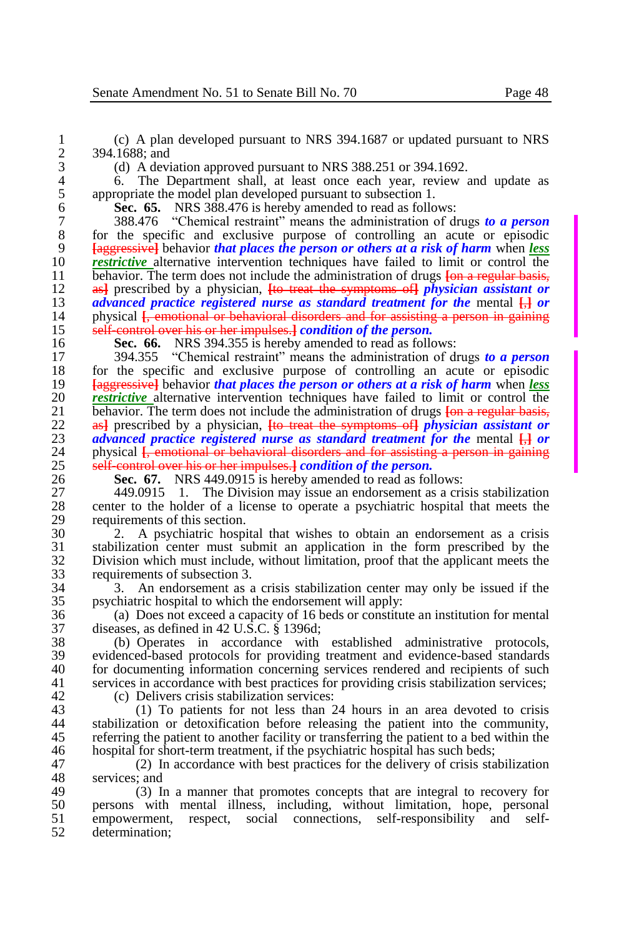1 (c) A plan developed pursuant to NRS 394.1687 or updated pursuant to NRS 2 394.1688; and<br>3 (d) A devi

3 (d) A deviation approved pursuant to NRS 388.251 or 394.1692.

4 6. The Department shall, at least once each year, review and update as appropriate the model plan developed pursuant to subsection 1. 5 appropriate the model plan developed pursuant to subsection 1.<br>6 **Sec. 65.** NRS 388.476 is hereby amended to read as follo

6 **Sec. 65.** NRS 388.476 is hereby amended to read as follows:

 388.476 "Chemical restraint" means the administration of drugs *to a person* 8 for the specific and exclusive purpose of controlling an acute or episodic<br>9 **Executes** and the specific planet that places the person or others at a risk of harm when less **[**aggressive**]** behavior *that places the person or others at a risk of harm* when *less restrictive* alternative intervention techniques have failed to limit or control the help behavior. The term does not include the administration of drugs **Long regular hasis** 11 behavior. The term does not include the administration of drugs <del>[on a regular basis,</del> 12 as<sup>1</sup> prescribed by a physician. **Ito treat the symptoms of** *physician assistant* **or**  as**]** prescribed by a physician, **[**to treat the symptoms of**]** *physician assistant or advanced practice registered nurse as standard treatment for the* mental  $\frac{1}{1}$  *or* physical Lemotional or behavioral disorders and for assisting a person in gaining 14 physical  $\hat{I}$ , emotional or behavioral disorders and for assisting a person in gaining<br>15 self-control over his or her impulses. I condition of the person. self-control over his or her impulses.**]** *condition of the person.*

16 **Sec. 66.** NRS 394.355 is hereby amended to read as follows:

17 394.355 "Chemical restraint" means the administration of drugs *to a person* 18 for the specific and exclusive purpose of controlling an acute or episodic 19 **Following 19 Followia Followia Followia Followia Followia Followia Followia Followia Followia Followia Followia Foll** 19 **[**aggressive**]** behavior *that places the person or others at a risk of harm* when *less*  20 *restrictive* alternative intervention techniques have failed to limit or control the 21 behavior. The term does not include the administration of drugs **fon a regular basis-**21 behavior. The term does not include the administration of drugs <del>[on a regular basis,</del> 22 as] prescribed by a physician. **Ito treat the symptoms of** *physician assistant* **or** 22 as<sup>1</sup> prescribed by a physician, <del>[to treat the symptoms of</del>] *physician assistant or*  $\frac{1}{2}$  *advanced practice registered nurse as standard treatment for the mental*  $\Box$  *or* 23 *advanced practice registered nurse as standard treatment for the mental*  $\frac{1}{1}$  *or physical <i>f*, emotional or behavioral disorders and for assisting a person in gaining 24 physical **[**, emotional or behavioral disorders and for assisting a person in gaining <br>25 self-control over his or her impulses *L* condition of the nerson. 25 self-control over his or her impulses.**]** *condition of the person.*

26 **Sec. 67.** NRS 449.0915 is hereby amended to read as follows:

27 449.0915 1. The Division may issue an endorsement as a crisis stabilization 28 center to the holder of a license to operate a psychiatric hospital that meets the 29 requirements of this section.<br>30  $\frac{2}{3}$  A psychiatric hospi

30 2. A psychiatric hospital that wishes to obtain an endorsement as a crisis 31 stabilization center must submit an application in the form prescribed by the 32 Division which must include, without limitation, proof that the applicant meets the 32 Division which must include, without limitation, proof that the applicant meets the 33 requirements of subsection 3.<br>34 3. An endorsement as a

34 3. An endorsement as a crisis stabilization center may only be issued if the psychiatric hospital to which the endorsement will apply:

36 (a) Does not exceed a capacity of 16 beds or constitute an institution for mental 37 diseases, as defined in 42 U.S.C. § 1396d;<br>38 (b) Operates in accordance with

38 (b) Operates in accordance with established administrative protocols, 39 evidenced-based protocols for providing treatment and evidence-based standards 40 for documenting information concerning services rendered and recipients of such services in accordance with best practices for providing crisis stabilization services: services in accordance with best practices for providing crisis stabilization services;

42 (c) Delivers crisis stabilization services:<br>43 (1) To patients for not less than 2

43 (1) To patients for not less than 24 hours in an area devoted to crisis 44 stabilization or detoxification before releasing the patient into the community. 44 stabilization or detoxification before releasing the patient into the community, 45 referring the patient to another facility or transferring the patient to a bed within the 46 hospital for short-term treatment, if the psychiatric hospital has such beds: 46 hospital for short-term treatment, if the psychiatric hospital has such beds;<br>47 (2) In accordance with best practices for the delivery of crisis sta

47 (2) In accordance with best practices for the delivery of crisis stabilization as services: and 48 services; and 49  $(3)$  I<sub>1</sub>

49 (3) In a manner that promotes concepts that are integral to recovery for<br>50 persons with mental illness, including without limitation, hope, personal 50 persons with mental illness, including, without limitation, hope, personal 51 empowerment, respect, social connections, self-responsibility and selfdetermination: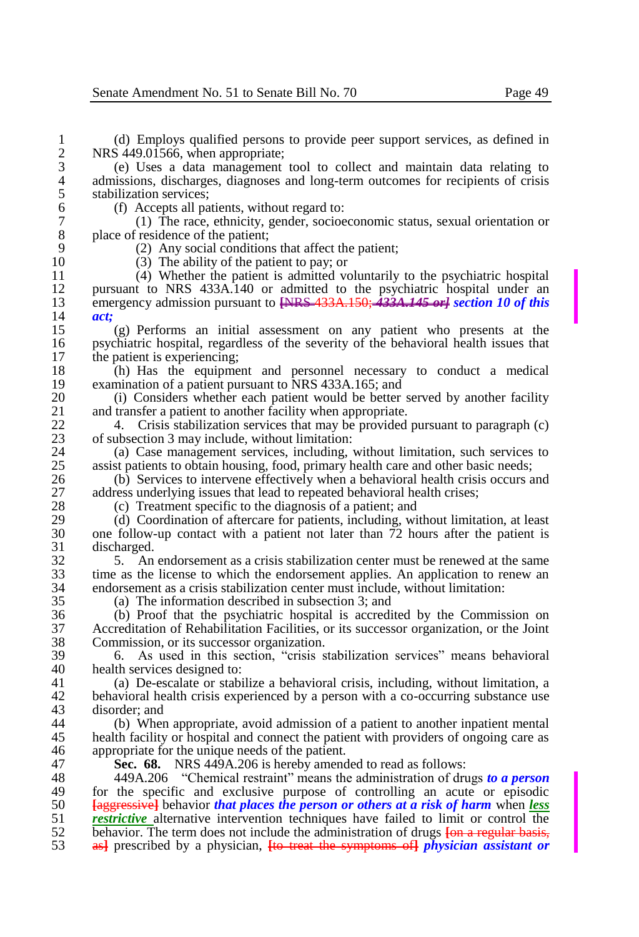1 (d) Employs qualified persons to provide peer support services, as defined in 2 NRS 449.01566, when appropriate;<br>3 (e) Uses a data management

3 (e) Uses a data management tool to collect and maintain data relating to 4 admissions, discharges, diagnoses and long-term outcomes for recipients of crisis stabilization services: 5 stabilization services;<br>6 (f) Accepts all pa

6 (f) Accepts all patients, without regard to:<br>
7 (1) The race, ethnicity, gender, socioe

7 (1) The race, ethnicity, gender, socioeconomic status, sexual orientation or 8 place of residence of the patient;<br>9  $(2)$  Any social condition

9 (2) Any social conditions that affect the patient;<br>10 (3) The ability of the patient to pay: or

10 (3) The ability of the patient to pay; or<br>11 (4) Whether the patient is admitted vo 11 (4) Whether the patient is admitted voluntarily to the psychiatric hospital 12 pursuant to NRS 433A.140 or admitted to the psychiatric hospital under an emergency admission pursuant to  $\frac{NRS-433A.150}{433A.150}$  + 433A.145 er i section 10 of this 13 emergency admission pursuant to **[**NRS 433A.150; *433A.145 or] section 10 of this*  14 *act;*

15 (g) Performs an initial assessment on any patient who presents at the 16 psychiatric hospital, regardless of the severity of the behavioral health issues that the patient is experiencing: 17 the patient is experiencing;<br>18 (h) Has the equipme

18 (h) Has the equipment and personnel necessary to conduct a medical examination of a patient pursuant to NRS 433A.165; and 19 examination of a patient pursuant to NRS 433A.165; and 20 (i) Considers whether each patient would be better

20 (i) Considers whether each patient would be better served by another facility and transfer a patient to another facility when appropriate. 21 and transfer a patient to another facility when appropriate.<br>22 4 Crisis stabilization services that may be provided

22 4. Crisis stabilization services that may be provided pursuant to paragraph (c)<br>23 of subsection 3 may include, without limitation: 23 of subsection 3 may include, without limitation:<br>24 (a) Case management services, including,

24 (a) Case management services, including, without limitation, such services to  $25$  assist patients to obtain housing, food, primary health care and other basic needs: 25 assist patients to obtain housing, food, primary health care and other basic needs;<br>26 (b) Services to intervene effectively when a behavioral health crisis occurs a

26 (b) Services to intervene effectively when a behavioral health crisis occurs and address underlying issues that lead to repeated behavioral health crises: 27 address underlying issues that lead to repeated behavioral health crises;<br>28 (c) Treatment specific to the diagnosis of a patient: and

28 (c) Treatment specific to the diagnosis of a patient; and 29 (d) Coordination of aftercare for patients, including wi

29 (d) Coordination of aftercare for patients, including, without limitation, at least 30 one follow-up contact with a patient not later than 72 hours after the patient is 30 one follow-up contact with a patient not later than  $\overline{72}$  hours after the patient is discharged. 31 discharged.<br>32 5. An

32 5. An endorsement as a crisis stabilization center must be renewed at the same<br>33 time as the license to which the endorsement applies. An application to renew an 33 time as the license to which the endorsement applies. An application to renew an endorsement as a crisis stabilization center must include, without limitation: 34 endorsement as a crisis stabilization center must include, without limitation:<br> $35$  (a) The information described in subsection 3: and

(a) The information described in subsection 3; and

36 (b) Proof that the psychiatric hospital is accredited by the Commission on 37 Accreditation of Rehabilitation Facilities, or its successor organization, or the Joint 38 Commission, or its successor organization.<br>39 6. As used in this section. "crisis s

39 6. As used in this section, "crisis stabilization services" means behavioral 40 health services designed to:<br>41 (a) De-escalate or stable

41 (a) De-escalate or stabilize a behavioral crisis, including, without limitation, a 42 behavioral health crisis experienced by a person with a co-occurring substance use disorder: and 43 disorder; and<br>44 (b) When

44 (b) When appropriate, avoid admission of a patient to another inpatient mental<br>45 health facility or hospital and connect the patient with providers of ongoing care as 45 health facility or hospital and connect the patient with providers of ongoing care as <br>46 appropriate for the unique needs of the patient. 46 appropriate for the unique needs of the patient.<br>47 **Sec. 68.** NRS 449A.206 is hereby amend

47 **Sec. 68.** NRS 449A.206 is hereby amended to read as follows:

 449A.206 "Chemical restraint" means the administration of drugs *to a person*  49 for the specific and exclusive purpose of controlling an acute or episodic 50 **Following 1.4** Following that **that places the person or others at a risk of harm** when less **[**aggressive**]** behavior *that places the person or others at a risk of harm* when *less restrictive* alternative intervention techniques have failed to limit or control the 52 behavior. The term does not include the administration of drugs **Long regular hasis** 52 behavior. The term does not include the administration of drugs <del>[on a regular basis, as]</del> prescribed by a physician. **He** treat the symptoms of *physician assistant or* as**]** prescribed by a physician, **[**to treat the symptoms of**]** *physician assistant or*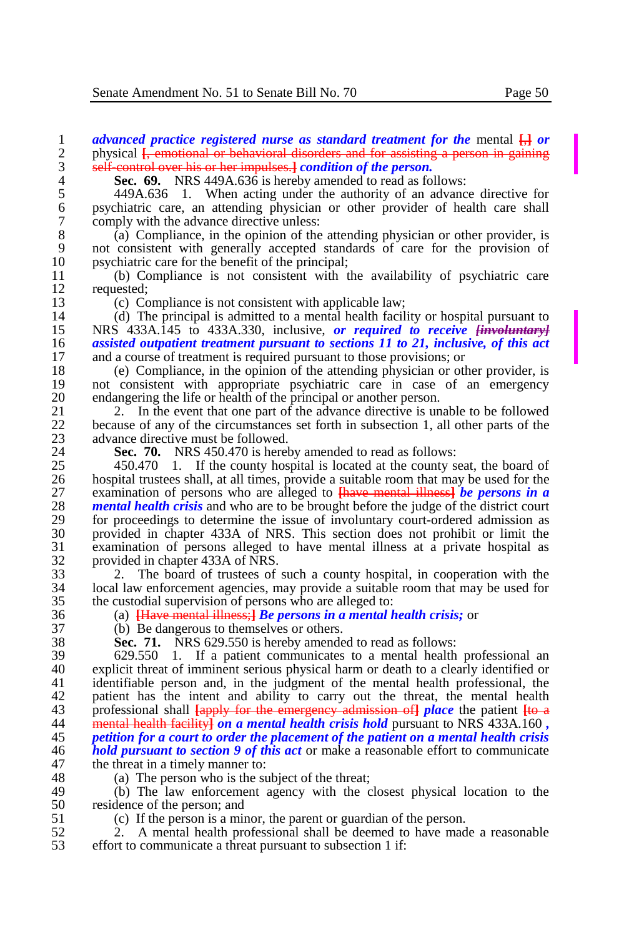1 *advanced practice registered nurse as standard treatment for the* mental  $\frac{1}{1}$  *or* bhysical *I*, emotional or behavioral disorders and for assisting a person in gaining 2 physical **[**, emotional or behavioral disorders and for assisting a person in gaining self-control over his or her impulses.] *condition of the person*. 3 self-control over his or her impulses.**]** *condition of the person.*

**Sec. 69.** NRS 449A.636 is hereby amended to read as follows:<br>5 449A.636 1. When acting under the authority of an advance

5 449A.636 1. When acting under the authority of an advance directive for 6 psychiatric care, an attending physician or other provider of health care shall 7 comply with the advance directive unless:<br>8 (a) Compliance, in the opinion of the

8 (a) Compliance, in the opinion of the attending physician or other provider, is<br>9 not consistent with generally accepted standards of care for the provision of 9 not consistent with generally accepted standards of care for the provision of 10 psychiatric care for the benefit of the principal;<br>11 (b) Compliance is not consistent with the

11 (b) Compliance is not consistent with the availability of psychiatric care  $12$  requested;<br>13 (c) Co

13 (c) Compliance is not consistent with applicable law;<br>14 (d) The principal is admitted to a mental health facil

14 (d) The principal is admitted to a mental health facility or hospital pursuant to<br>15 NRS 433A.145 to 433A.330, inclusive, or required to receive <del>linvoluntary</del> 15 NRS 433A.145 to 433A.330, inclusive, *or required to receive*  $\frac{1}{2}$  *cassisted outpatient treatment pursuant to sections 11 to 21, inclusive, of this act* 16 *assisted outpatient treatment pursuant to sections 11 to 21, inclusive, of this act* **and a course of treatment is required pursuant to those provisions; or** and a course of treatment is required pursuant to those provisions; or

18 (e) Compliance, in the opinion of the attending physician or other provider, is<br>19 not consistent with appropriate psychiatric care in case of an emergency 19 not consistent with appropriate psychiatric care in case of an emergency<br>20 endangering the life or health of the principal or another person. 20 endangering the life or health of the principal or another person.<br>21 2. In the event that one part of the advance directive is un

21 2. 2. 2. In the event that one part of the advance directive is unable to be followed<br>22 because of any of the circumstances set forth in subsection 1, all other parts of the 22 because of any of the circumstances set forth in subsection 1, all other parts of the advance directive must be followed. 23 advance directive must be followed.<br>24 **Sec. 70.** NRS 450.470 is here

24 **Sec. 70.** NRS 450.470 is hereby amended to read as follows:<br>25 450.470 1. If the county hospital is located at the county so

25 450.470 1. If the county hospital is located at the county seat, the board of 26 bosoital trustees shall at all times, provide a suitable room that may be used for the 26 hospital trustees shall, at all times, provide a suitable room that may be used for the examination of persons who are alleged to  $\frac{1}{2}$  the persons in a set of the system of persons who are alleged to  $\frac{1}{2}$  the 27 examination of persons who are alleged to **[**have mental illness**]** *be persons in a*  28 **mental health crisis** and who are to be brought before the judge of the district court<br>29 for proceedings to determine the issue of involuntary court-ordered admission as 29 for proceedings to determine the issue of involuntary court-ordered admission as<br>30 provided in chapter 433A of NRS. This section does not prohibit or limit the 30 provided in chapter 433A of NRS. This section does not prohibit or limit the 31 examination of persons alleged to have mental illness at a private hospital as 32 provided in chapter 433A of NRS.<br>33 2. The board of trustees of

33 2. The board of trustees of such a county hospital, in cooperation with the 34 local law enforcement agencies, may provide a suitable room that may be used for the custodial supervision of persons who are alleged to:

36 (a) **[**Have mental illness;**]** *Be persons in a mental health crisis;* or

37 (b) Be dangerous to themselves or others.<br>38 **Sec. 71.** NRS 629.550 is hereby amende

38 **Sec. 71.** NRS 629.550 is hereby amended to read as follows:

39 629.550 1. If a patient communicates to a mental health professional an 40 explicit threat of imminent serious physical harm or death to a clearly identified or<br>41 identifiable person and, in the judgment of the mental health professional, the identifiable person and, in the judgment of the mental health professional, the 42 patient has the intent and ability to carry out the threat, the mental health professional shall  $\frac{f_{\text{amb}}}{f_{\text{sub}}}$  for the emergency admission of place the patient  $\frac{f_{\text{sub}}}{f_{\text{sub}}}$ 43 professional shall **[**apply for the emergency admission of**]** *place* the patient **[**to a mental health facility) *on a mental health crisis hold* pursuant to NRS 433A.160, 45 *petition for a court to order the placement of the patient on a mental health crisis*  46 *hold pursuant to section 9 of this act* or make a reasonable effort to communicate the threat in a timely manner to: 47 the threat in a timely manner to:<br>48 (a) The person who is the sum

48 (a) The person who is the subject of the threat;<br>49 (b) The Jaw enforcement agency with the c

49 (b) The law enforcement agency with the closest physical location to the residence of the person: and 50 residence of the person; and<br>51 (c) If the person is a min

51 (c) If the person is a minor, the parent or guardian of the person.<br>52 2. A mental health professional shall be deemed to have made

52 2. A mental health professional shall be deemed to have made a reasonable effort to communicate a threat pursuant to subsection 1 if: effort to communicate a threat pursuant to subsection 1 if: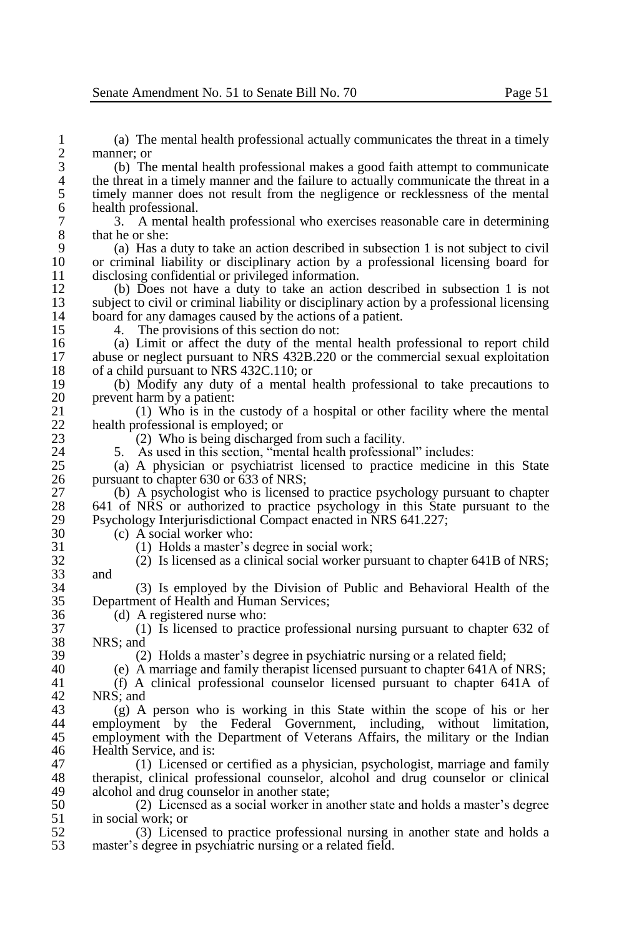1 (a) The mental health professional actually communicates the threat in a timely  $\frac{2}{3}$  manner; or<br>(b) The

3 (b) The mental health professional makes a good faith attempt to communicate 4 the threat in a timely manner and the failure to actually communicate the threat in a<br>5 timely manner does not result from the negligence or recklessness of the mental 5 timely manner does not result from the negligence or recklessness of the mental health professional. 6 health professional.<br>
7 3. A mental h

7 3. A mental health professional who exercises reasonable care in determining 8 that he or she:<br>9 (a) Has a

9 (a) Has a duty to take an action described in subsection 1 is not subject to civil 10 or criminal liability or disciplinary action by a professional licensing board for disclosing confidential or privileged information. 11 disclosing confidential or privileged information.<br>12 (b) Does not have a duty to take an action

12 (b) Does not have a duty to take an action described in subsection 1 is not 13 subject to civil or criminal liability or disciplinary action by a professional licensing<br>14 board for any damages caused by the actions of a patient. 14 board for any damages caused by the actions of a patient.<br>15 4. The provisions of this section do not:

15 4. The provisions of this section do not:<br>16 (a) Limit or affect the duty of the ment

16 (a) Limit or affect the duty of the mental health professional to report child<br>17 abuse or neglect pursuant to NRS 432B 220 or the commercial sexual exploitation 17 abuse or neglect pursuant to NRS 432B.220 or the commercial sexual exploitation of a child pursuant to NRS 432C.110; or 18 of a child pursuant to NRS 432C.110; or<br>19 (b) Modify any duty of a mental

19 (b) Modify any duty of a mental health professional to take precautions to 20 prevent harm by a patient:<br>21 (1) Who is in the

21 (1) Who is in the custody of a hospital or other facility where the mental  $22$  health professional is employed: or 22 health professional is employed; or  $(2)$  Who is being discharge

23 (2) Who is being discharged from such a facility.<br>24 5. As used in this section. "mental health profession.

24 5. As used in this section, "mental health professional" includes:<br>25 (a) A physician or psychiatrist licensed to practice medicine

25 (a) A physician or psychiatrist licensed to practice medicine in this State 26 pursuant to chapter 630 or 633 of NRS;<br>27 (b) A psychologist who is licensed

27 (b) A psychologist who is licensed to practice psychology pursuant to chapter 28 (641 of NRS or authorized to practice psychology in this State pursuant to the 28 641 of NRS or authorized to practice psychology in this State pursuant to the Psychology Interiurisdictional Compact enacted in NRS 641.227: 29 Psychology Interjurisdictional Compact enacted in NRS 641.227;<br>30 (c) A social worker who:

30 (c) A social worker who:<br>31 (1) Holds a master's o

31 (1) Holds a master's degree in social work;<br>32 (2) Is licensed as a clinical social worker pu 32 (2) Is licensed as a clinical social worker pursuant to chapter 641B of NRS;

 $33$  and  $34$ 34 (3) Is employed by the Division of Public and Behavioral Health of the Department of Health and Human Services;

36 (d) A registered nurse who:<br>37 (1) Is licensed to practi

37 (1) Is licensed to practice professional nursing pursuant to chapter 632 of 38 NRS; and<br>39 (2)

39 (2) Holds a master's degree in psychiatric nursing or a related field;<br>40 (e) A marriage and family therapist licensed pursuant to chapter 641A or

40 (e) A marriage and family therapist licensed pursuant to chapter 641A of NRS;

 $(f)$  A clinical professional counselor licensed pursuant to chapter 641A of 42 NRS; and 43 (g) A

43 (g) A person who is working in this State within the scope of his or her 44 employment by the Federal Government including without limitation. employment by the Federal Government, including, without limitation, 45 employment with the Department of Veterans Affairs, the military or the Indian 46 Health Service, and is: 46 Health Service, and is:<br>47 (1) Licensed c

47 (1) Licensed or certified as a physician, psychologist, marriage and family<br>48 therapist, clinical professional counselor, alcohol and drug counselor or clinical 48 therapist, clinical professional counselor, alcohol and drug counselor or clinical alcohol and drug counselor in another state: 49 alcohol and drug counselor in another state;<br>50  $(2)$  Licensed as a social worker in a

50 (2) Licensed as a social worker in another state and holds a master's degree  $51$  in social work; or<br> $52$   $(3)$  Licen

52 (3) Licensed to practice professional nursing in another state and holds a master's degree in psychiatric nursing or a related field. master's degree in psychiatric nursing or a related field.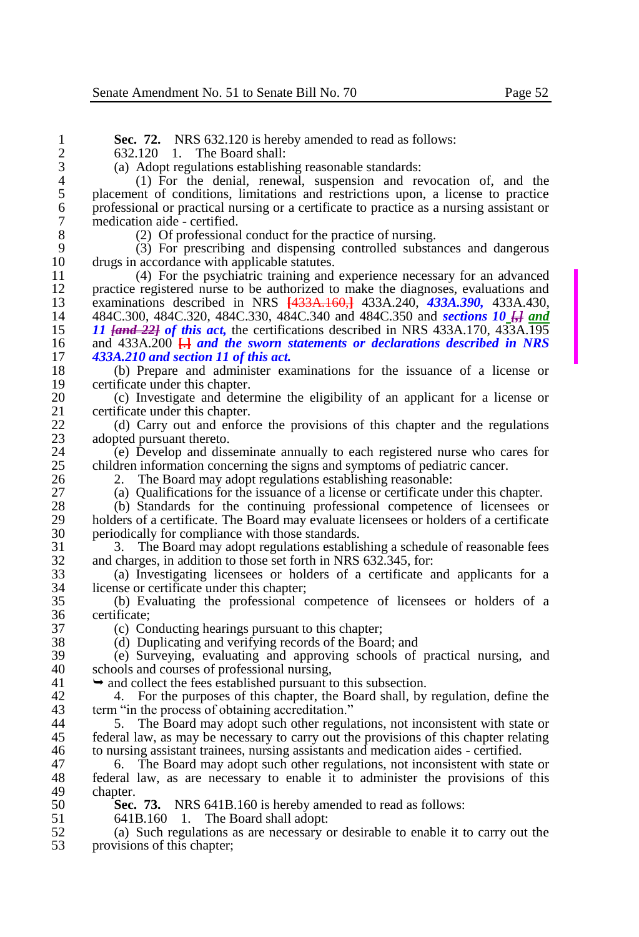| 1              | <b>Sec. 72.</b> NRS 632.120 is hereby amended to read as follows:                                                     |
|----------------|-----------------------------------------------------------------------------------------------------------------------|
| $\overline{2}$ | The Board shall:<br>632.120<br>$\overline{1}$ .                                                                       |
| 3              | (a) Adopt regulations establishing reasonable standards:                                                              |
| $\overline{4}$ | (1) For the denial, renewal, suspension and revocation of, and the                                                    |
| 5              | placement of conditions, limitations and restrictions upon, a license to practice                                     |
| 6              | professional or practical nursing or a certificate to practice as a nursing assistant or                              |
| $\overline{7}$ | medication aide - certified.                                                                                          |
| 8              | (2) Of professional conduct for the practice of nursing.                                                              |
| 9              | (3) For prescribing and dispensing controlled substances and dangerous                                                |
| 10             | drugs in accordance with applicable statutes.                                                                         |
| 11             | (4) For the psychiatric training and experience necessary for an advanced                                             |
| 12             | practice registered nurse to be authorized to make the diagnoses, evaluations and                                     |
| 13             | examinations described in NRS [433A.160,] 433A.240, 433A.390, 433A.430,                                               |
| 14             | 484C.300, 484C.320, 484C.330, 484C.340 and 484C.350 and sections 10 H                                                 |
| 15             | 11 [and 22] of this act, the certifications described in NRS 433A.170, 433A.195                                       |
| 16             | and $433A.200$ $\Box$ and the sworn statements or declarations described in NRS                                       |
| 17             | 433A.210 and section 11 of this act.                                                                                  |
| 18             | (b) Prepare and administer examinations for the issuance of a license or                                              |
| 19             | certificate under this chapter.                                                                                       |
| 20             | (c) Investigate and determine the eligibility of an applicant for a license or                                        |
| 21             | certificate under this chapter.                                                                                       |
| 22             | (d) Carry out and enforce the provisions of this chapter and the regulations                                          |
| 23             | adopted pursuant thereto.                                                                                             |
| 24             | (e) Develop and disseminate annually to each registered nurse who cares for                                           |
| 25             | children information concerning the signs and symptoms of pediatric cancer.                                           |
| 26             | The Board may adopt regulations establishing reasonable:<br>2.                                                        |
| 27             | (a) Qualifications for the issuance of a license or certificate under this chapter.                                   |
| 28             | (b) Standards for the continuing professional competence of licensees or                                              |
| 29             | holders of a certificate. The Board may evaluate licensees or holders of a certificate                                |
| 30             | periodically for compliance with those standards.                                                                     |
| 31             | The Board may adopt regulations establishing a schedule of reasonable fees<br>3.                                      |
| 32             | and charges, in addition to those set forth in NRS 632.345, for:                                                      |
| 33             | (a) Investigating licensees or holders of a certificate and applicants for a                                          |
| 34             | license or certificate under this chapter;<br>(b) Evaluating the professional competence of licensees or holders of a |
| 35<br>36       | certificate;                                                                                                          |
| 37             | (c) Conducting hearings pursuant to this chapter;                                                                     |
| 38             | (d) Duplicating and verifying records of the Board; and                                                               |
| 39             | (e) Surveying, evaluating and approving schools of practical nursing, and                                             |
| 40             | schools and courses of professional nursing,                                                                          |
| 41             | $\rightarrow$ and collect the fees established pursuant to this subsection.                                           |
| 42             | For the purposes of this chapter, the Board shall, by regulation, define the<br>4.                                    |
| 43             | term "in the process of obtaining accreditation."                                                                     |
| 44             | The Board may adopt such other regulations, not inconsistent with state or<br>5.                                      |
| 45             | federal law, as may be necessary to carry out the provisions of this chapter relating                                 |
| 46             | to nursing assistant trainees, nursing assistants and medication aides - certified.                                   |
| 47             | The Board may adopt such other regulations, not inconsistent with state or<br>6.                                      |
| 48             | federal law, as are necessary to enable it to administer the provisions of this                                       |
| 49             | chapter.                                                                                                              |
| 50             | Sec. 73. NRS 641B.160 is hereby amended to read as follows:                                                           |
|                |                                                                                                                       |

641B.160 1. The Board shall adopt:

 $rac{36}{37}$ 

49<br>50

 (a) Such regulations as are necessary or desirable to enable it to carry out the provisions of this chapter;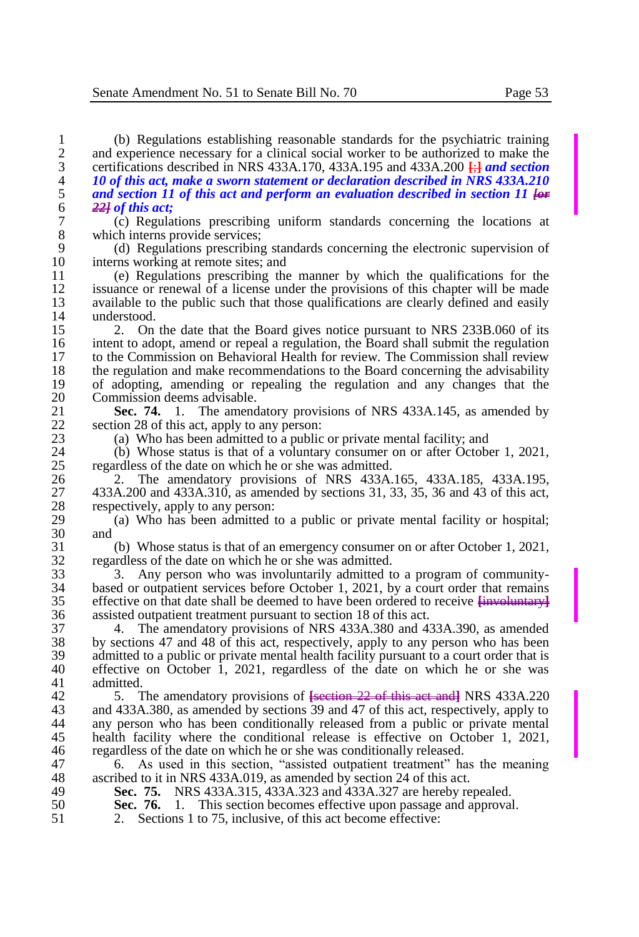(b) Regulations establishing reasonable standards for the psychiatric training 2 and experience necessary for a clinical social worker to be authorized to make the certifications described in NRS 433A.170, 433A.195 and 433A.200  $\frac{1}{11}$  and section certifications described in NRS 433A.170, 433A.195 and 433A.200 **[**;**]** *and section 10 of this act, make a sworn statement or declaration described in NRS 433A.210 and section 11 of this act and perform an evaluation described in section 11*  $\theta$   $\rightarrow$   $\frac{221}{9}$  *of this act*; *22] of this act;*

7 (c) Regulations prescribing uniform standards concerning the locations at 8 which interns provide services;<br>9 (d) Regulations prescribing

9 (d) Regulations prescribing standards concerning the electronic supervision of 10 interns working at remote sites; and<br>11 (e) Regulations prescribing the

11 (e) Regulations prescribing the manner by which the qualifications for the 12 issuance or renewal of a license under the provisions of this chapter will be made<br>13 available to the public such that those qualifications are clearly defined and easily 13 available to the public such that those qualifications are clearly defined and easily understood. 14 understood.<br>15 2. On

15 2. On the date that the Board gives notice pursuant to NRS 233B.060 of its intent to adopt, amend or repeal a regulation, the Board shall submit the regulation 16 intent to adopt, amend or repeal a regulation, the Board shall submit the regulation<br>17 to the Commission on Behavioral Health for review. The Commission shall review to the Commission on Behavioral Health for review. The Commission shall review 18 the regulation and make recommendations to the Board concerning the advisability<br>19 of adopting, amending or repealing the regulation and any changes that the 19 of adopting, amending or repealing the regulation and any changes that the 20 Commission deems advisable.<br>21 **Sec. 74.** 1. The amend

21 **Sec. 74.** 1. The amendatory provisions of NRS 433A.145, as amended by section 28 of this act apply to any person: 22 section 28 of this act, apply to any person:<br>
23 (a) Who has been admitted to a public

23 (a) Who has been admitted to a public or private mental facility; and 24 (b) Whose status is that of a voluntary consumer on or after Octobe

24 (b) Whose status is that of a voluntary consumer on or after October 1, 2021, regardless of the date on which he or she was admitted. 25 regardless of the date on which he or she was admitted.<br>26 2. The amendatory provisions of NRS 433A.

26 2. The amendatory provisions of NRS 433A.165, 433A.185, 433A.195, 27 433A.200 and 433A.310, as amended by sections 31, 33, 35, 36 and 43 of this act, 28 respectively, apply to any person:<br>29 (a) Who has been admitted t

29 (a) Who has been admitted to a public or private mental facility or hospital;<br>30 and and

31 (b) Whose status is that of an emergency consumer on or after October 1, 2021, 32 regardless of the date on which he or she was admitted.<br>33 Any person who was involuntarily admitted to

33 3. Any person who was involuntarily admitted to a program of community-<br>34 based or outpatient services before October 1, 2021, by a court order that remains 34 based or outpatient services before October 1, 2021, by a court order that remains effective on that date shall be deemed to have been ordered to receive  $\frac{1}{2}$ 35 effective on that date shall be deemed to have been ordered to receive **[**involuntary**]** 36 assisted outpatient treatment pursuant to section 18 of this act.<br>37 4 The amendatory provisions of NRS 433A 380 and 42

37 4. The amendatory provisions of NRS 433A.380 and 433A.390, as amended 38 by sections 47 and 48 of this act, respectively, apply to any person who has been<br>39 admitted to a public or private mental health facility pursuant to a court order that is 39 admitted to a public or private mental health facility pursuant to a court order that is<br>40 effective on October 1, 2021, regardless of the date on which he or she was 40 effective on October 1, 2021, regardless of the date on which he or she was admitted.

42 5. The amendatory provisions of **[**section 22 of this act and**]** NRS 433A.220 43 and 433A.380, as amended by sections 39 and 47 of this act, respectively, apply to 44 any person who has been conditionally released from a public or private mental any person who has been conditionally released from a public or private mental 45 health facility where the conditional release is effective on October 1, 2021, <br>46 regardless of the date on which he or she was conditionally released. regardless of the date on which he or she was conditionally released.

47 6. As used in this section, "assisted outpatient treatment" has the meaning ascribed to it in NRS 433A.019, as amended by section 24 of this act. 48 ascribed to it in NRS 433A.019, as amended by section 24 of this act.<br>49 **Sec. 75.** NRS 433A.315, 433A.323 and 433A.327 are hereby re

49 **Sec. 75.** NRS 433A.315, 433A.323 and 433A.327 are hereby repealed.<br>50 **Sec. 76.** 1. This section becomes effective upon passage and approval

50 **Sec. 76.** 1. This section becomes effective upon passage and approval.<br>51 2. Sections 1 to 75, inclusive, of this act become effective:

2. Sections 1 to 75, inclusive, of this act become effective: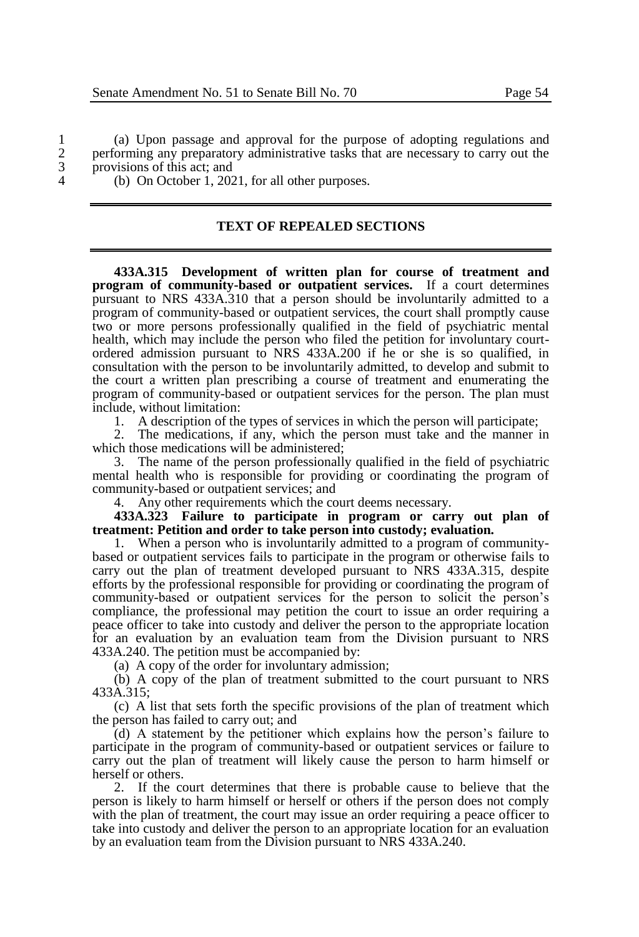1 (a) Upon passage and approval for the purpose of adopting regulations and performing any preparatory administrative tasks that are necessary to carry out the 2 performing any preparatory administrative tasks that are necessary to carry out the provisions of this act: and  $\frac{3}{4}$  provisions of this act; and<br>4 (b) On October 1, 202

4 (b) On October 1, 2021, for all other purposes.

#### **TEXT OF REPEALED SECTIONS**

**433A.315 Development of written plan for course of treatment and program of community-based or outpatient services.** If a court determines pursuant to NRS 433A.310 that a person should be involuntarily admitted to a program of community-based or outpatient services, the court shall promptly cause two or more persons professionally qualified in the field of psychiatric mental health, which may include the person who filed the petition for involuntary courtordered admission pursuant to NRS 433A.200 if he or she is so qualified, in consultation with the person to be involuntarily admitted, to develop and submit to the court a written plan prescribing a course of treatment and enumerating the program of community-based or outpatient services for the person. The plan must include, without limitation:

1. A description of the types of services in which the person will participate;

2. The medications, if any, which the person must take and the manner in which those medications will be administered;

3. The name of the person professionally qualified in the field of psychiatric mental health who is responsible for providing or coordinating the program of community-based or outpatient services; and

4. Any other requirements which the court deems necessary.

**433A.323 Failure to participate in program or carry out plan of treatment: Petition and order to take person into custody; evaluation.**

1. When a person who is involuntarily admitted to a program of communitybased or outpatient services fails to participate in the program or otherwise fails to carry out the plan of treatment developed pursuant to NRS 433A.315, despite efforts by the professional responsible for providing or coordinating the program of community-based or outpatient services for the person to solicit the person's compliance, the professional may petition the court to issue an order requiring a peace officer to take into custody and deliver the person to the appropriate location for an evaluation by an evaluation team from the Division pursuant to NRS 433A.240. The petition must be accompanied by:

(a) A copy of the order for involuntary admission;

(b) A copy of the plan of treatment submitted to the court pursuant to NRS 433A.315;

(c) A list that sets forth the specific provisions of the plan of treatment which the person has failed to carry out; and

(d) A statement by the petitioner which explains how the person's failure to participate in the program of community-based or outpatient services or failure to carry out the plan of treatment will likely cause the person to harm himself or herself or others.

2. If the court determines that there is probable cause to believe that the person is likely to harm himself or herself or others if the person does not comply with the plan of treatment, the court may issue an order requiring a peace officer to take into custody and deliver the person to an appropriate location for an evaluation by an evaluation team from the Division pursuant to NRS 433A.240.